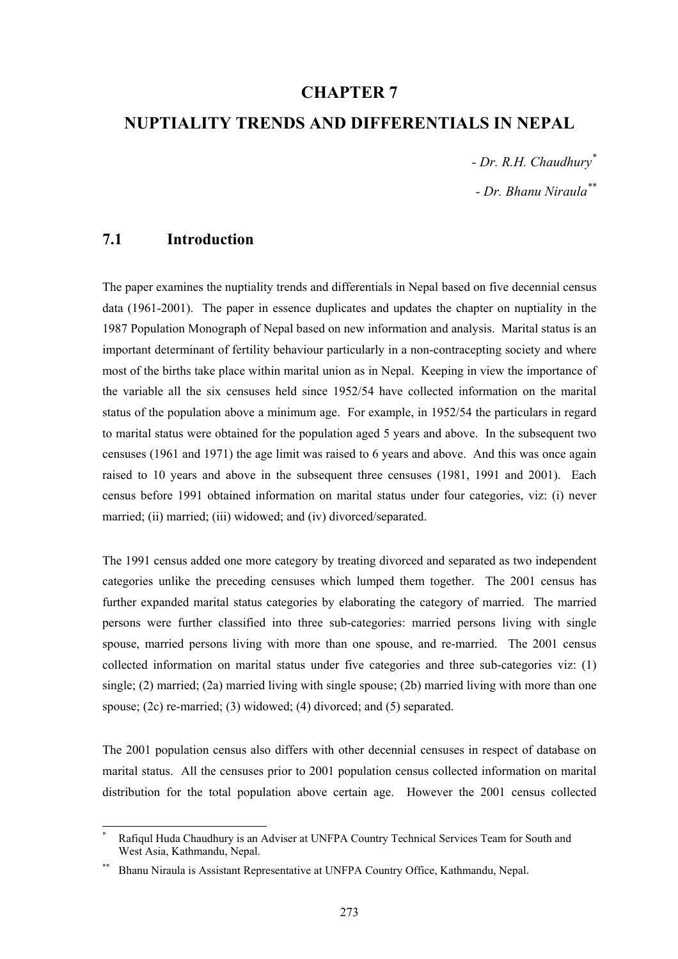## **CHAPTER 7**

## **NUPTIALITY TRENDS AND DIFFERENTIALS IN NEPAL**

*- Dr. R.H. Chaudhury\**

*- Dr. Bhanu Niraula\*\**

# **7.1 Introduction**

l

The paper examines the nuptiality trends and differentials in Nepal based on five decennial census data (1961-2001). The paper in essence duplicates and updates the chapter on nuptiality in the 1987 Population Monograph of Nepal based on new information and analysis. Marital status is an important determinant of fertility behaviour particularly in a non-contracepting society and where most of the births take place within marital union as in Nepal. Keeping in view the importance of the variable all the six censuses held since 1952/54 have collected information on the marital status of the population above a minimum age. For example, in 1952/54 the particulars in regard to marital status were obtained for the population aged 5 years and above. In the subsequent two censuses (1961 and 1971) the age limit was raised to 6 years and above. And this was once again raised to 10 years and above in the subsequent three censuses (1981, 1991 and 2001). Each census before 1991 obtained information on marital status under four categories, viz: (i) never married; (ii) married; (iii) widowed; and (iv) divorced/separated.

The 1991 census added one more category by treating divorced and separated as two independent categories unlike the preceding censuses which lumped them together. The 2001 census has further expanded marital status categories by elaborating the category of married. The married persons were further classified into three sub-categories: married persons living with single spouse, married persons living with more than one spouse, and re-married. The 2001 census collected information on marital status under five categories and three sub-categories viz: (1) single; (2) married; (2a) married living with single spouse; (2b) married living with more than one spouse; (2c) re-married; (3) widowed; (4) divorced; and (5) separated.

The 2001 population census also differs with other decennial censuses in respect of database on marital status. All the censuses prior to 2001 population census collected information on marital distribution for the total population above certain age. However the 2001 census collected

<sup>\*</sup> Rafiqul Huda Chaudhury is an Adviser at UNFPA Country Technical Services Team for South and West Asia, Kathmandu, Nepal.

<sup>\*\*</sup> Bhanu Niraula is Assistant Representative at UNFPA Country Office, Kathmandu, Nepal.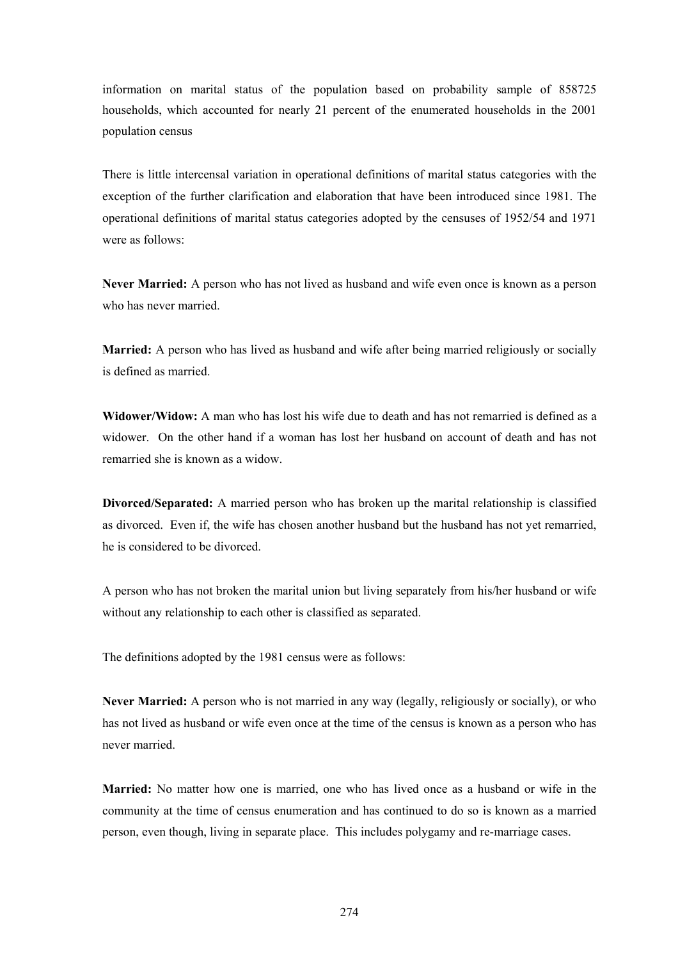information on marital status of the population based on probability sample of 858725 households, which accounted for nearly 21 percent of the enumerated households in the 2001 population census

There is little intercensal variation in operational definitions of marital status categories with the exception of the further clarification and elaboration that have been introduced since 1981. The operational definitions of marital status categories adopted by the censuses of 1952/54 and 1971 were as follows:

**Never Married:** A person who has not lived as husband and wife even once is known as a person who has never married.

**Married:** A person who has lived as husband and wife after being married religiously or socially is defined as married.

**Widower/Widow:** A man who has lost his wife due to death and has not remarried is defined as a widower. On the other hand if a woman has lost her husband on account of death and has not remarried she is known as a widow.

**Divorced/Separated:** A married person who has broken up the marital relationship is classified as divorced. Even if, the wife has chosen another husband but the husband has not yet remarried, he is considered to be divorced.

A person who has not broken the marital union but living separately from his/her husband or wife without any relationship to each other is classified as separated.

The definitions adopted by the 1981 census were as follows:

**Never Married:** A person who is not married in any way (legally, religiously or socially), or who has not lived as husband or wife even once at the time of the census is known as a person who has never married.

**Married:** No matter how one is married, one who has lived once as a husband or wife in the community at the time of census enumeration and has continued to do so is known as a married person, even though, living in separate place. This includes polygamy and re-marriage cases.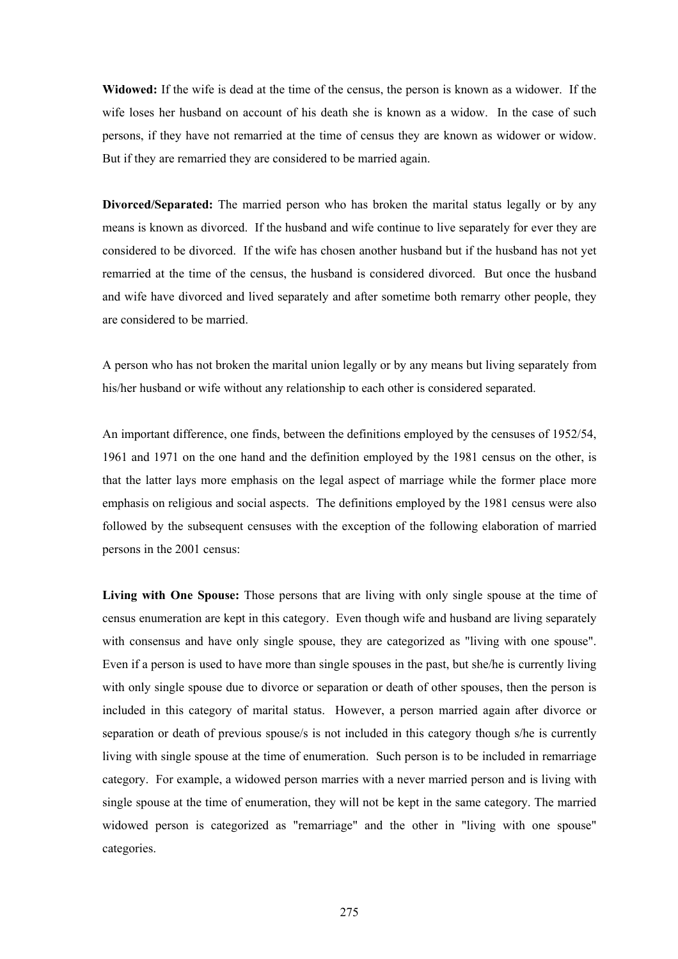**Widowed:** If the wife is dead at the time of the census, the person is known as a widower. If the wife loses her husband on account of his death she is known as a widow. In the case of such persons, if they have not remarried at the time of census they are known as widower or widow. But if they are remarried they are considered to be married again.

**Divorced/Separated:** The married person who has broken the marital status legally or by any means is known as divorced. If the husband and wife continue to live separately for ever they are considered to be divorced. If the wife has chosen another husband but if the husband has not yet remarried at the time of the census, the husband is considered divorced. But once the husband and wife have divorced and lived separately and after sometime both remarry other people, they are considered to be married.

A person who has not broken the marital union legally or by any means but living separately from his/her husband or wife without any relationship to each other is considered separated.

An important difference, one finds, between the definitions employed by the censuses of 1952/54, 1961 and 1971 on the one hand and the definition employed by the 1981 census on the other, is that the latter lays more emphasis on the legal aspect of marriage while the former place more emphasis on religious and social aspects. The definitions employed by the 1981 census were also followed by the subsequent censuses with the exception of the following elaboration of married persons in the 2001 census:

**Living with One Spouse:** Those persons that are living with only single spouse at the time of census enumeration are kept in this category. Even though wife and husband are living separately with consensus and have only single spouse, they are categorized as "living with one spouse". Even if a person is used to have more than single spouses in the past, but she/he is currently living with only single spouse due to divorce or separation or death of other spouses, then the person is included in this category of marital status. However, a person married again after divorce or separation or death of previous spouse/s is not included in this category though s/he is currently living with single spouse at the time of enumeration. Such person is to be included in remarriage category. For example, a widowed person marries with a never married person and is living with single spouse at the time of enumeration, they will not be kept in the same category. The married widowed person is categorized as "remarriage" and the other in "living with one spouse" categories.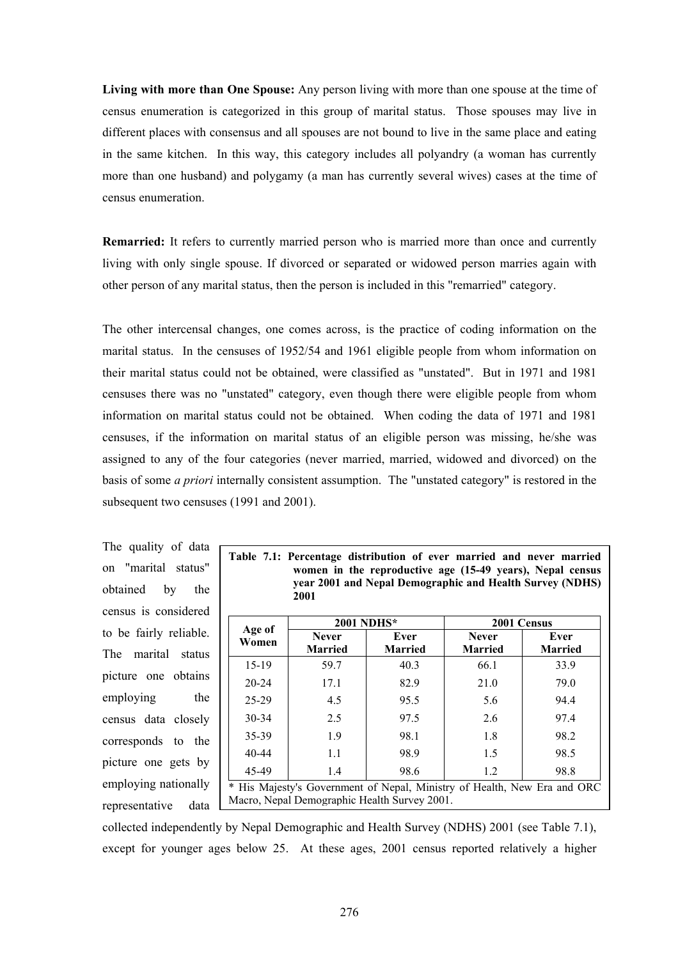**Living with more than One Spouse:** Any person living with more than one spouse at the time of census enumeration is categorized in this group of marital status. Those spouses may live in different places with consensus and all spouses are not bound to live in the same place and eating in the same kitchen. In this way, this category includes all polyandry (a woman has currently more than one husband) and polygamy (a man has currently several wives) cases at the time of census enumeration.

**Remarried:** It refers to currently married person who is married more than once and currently living with only single spouse. If divorced or separated or widowed person marries again with other person of any marital status, then the person is included in this "remarried" category.

The other intercensal changes, one comes across, is the practice of coding information on the marital status. In the censuses of 1952/54 and 1961 eligible people from whom information on their marital status could not be obtained, were classified as "unstated". But in 1971 and 1981 censuses there was no "unstated" category, even though there were eligible people from whom information on marital status could not be obtained. When coding the data of 1971 and 1981 censuses, if the information on marital status of an eligible person was missing, he/she was assigned to any of the four categories (never married, married, widowed and divorced) on the basis of some *a priori* internally consistent assumption. The "unstated category" is restored in the subsequent two censuses (1991 and 2001).

The quality of data on "marital status" obtained by the census is considered to be fairly reliable. The marital status picture one obtains employing the census data closely corresponds to the picture one gets by employing nationally representative data

|  |      | Table 7.1: Percentage distribution of ever married and never married |  |  |  |
|--|------|----------------------------------------------------------------------|--|--|--|
|  |      | women in the reproductive age (15-49 years), Nepal census            |  |  |  |
|  |      | vear 2001 and Nepal Demographic and Health Survey (NDHS)             |  |  |  |
|  | 2001 |                                                                      |  |  |  |

|                                                                                                                          | <b>2001 NDHS*</b>              |                        | 2001 Census                    |                        |  |  |  |  |  |
|--------------------------------------------------------------------------------------------------------------------------|--------------------------------|------------------------|--------------------------------|------------------------|--|--|--|--|--|
| Age of<br>Women                                                                                                          | <b>Never</b><br><b>Married</b> | Ever<br><b>Married</b> | <b>Never</b><br><b>Married</b> | Ever<br><b>Married</b> |  |  |  |  |  |
| 15-19                                                                                                                    | 59.7                           | 40.3                   | 66.1                           | 33.9                   |  |  |  |  |  |
| $20 - 24$                                                                                                                | 17.1                           | 82.9                   | 21.0                           | 79.0                   |  |  |  |  |  |
| $25 - 29$                                                                                                                | 4.5                            | 95.5                   | 5.6                            | 94.4                   |  |  |  |  |  |
| 30-34                                                                                                                    | 2.5                            | 97.5                   | 2.6                            | 97.4                   |  |  |  |  |  |
| 35-39                                                                                                                    | 1.9                            | 98.1                   | 1.8                            | 98.2                   |  |  |  |  |  |
| $40 - 44$                                                                                                                | 1.1                            | 98.9                   | 1.5                            | 98.5                   |  |  |  |  |  |
| 45-49<br>98.6<br>1.2<br>98.8<br>1.4                                                                                      |                                |                        |                                |                        |  |  |  |  |  |
| * His Majesty's Government of Nepal, Ministry of Health, New Era and ORC<br>Macro, Nepal Demographic Health Survey 2001. |                                |                        |                                |                        |  |  |  |  |  |

collected independently by Nepal Demographic and Health Survey (NDHS) 2001 (see Table 7.1), except for younger ages below 25. At these ages, 2001 census reported relatively a higher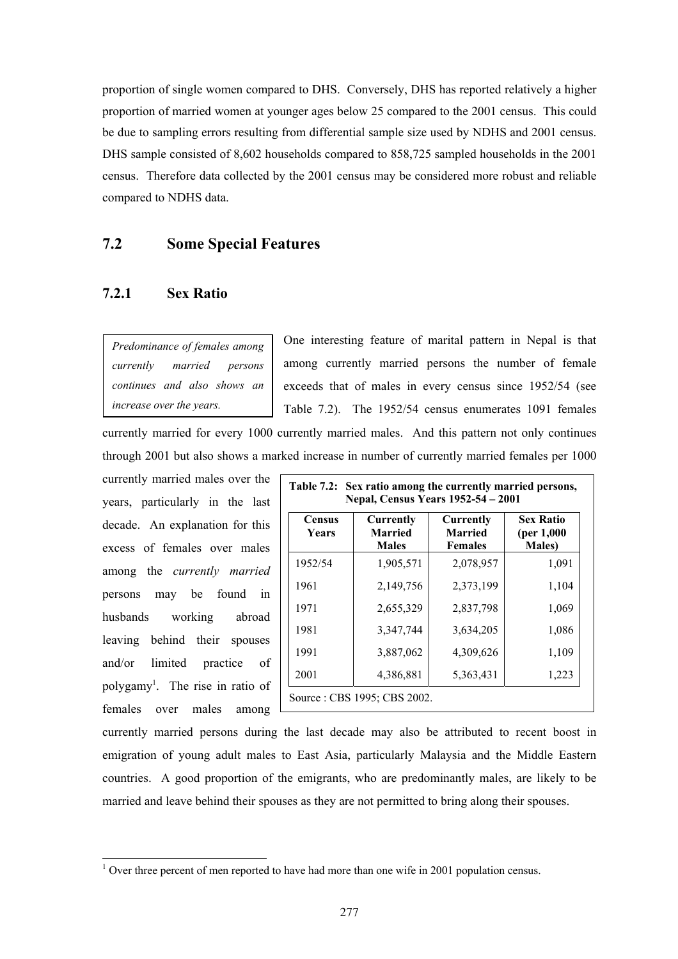proportion of single women compared to DHS. Conversely, DHS has reported relatively a higher proportion of married women at younger ages below 25 compared to the 2001 census. This could be due to sampling errors resulting from differential sample size used by NDHS and 2001 census. DHS sample consisted of 8,602 households compared to 858,725 sampled households in the 2001 census. Therefore data collected by the 2001 census may be considered more robust and reliable compared to NDHS data.

# **7.2 Some Special Features**

## **7.2.1 Sex Ratio**

*Predominance of females among currently married persons continues and also shows an increase over the years.*

One interesting feature of marital pattern in Nepal is that among currently married persons the number of female exceeds that of males in every census since 1952/54 (see Table 7.2). The 1952/54 census enumerates 1091 females currently married for every 1000 currently married males. And this pattern not only continues

through 2001 but also shows a marked increase in number of currently married females per 1000

currently married males over the years, particularly in the last decade. An explanation for this excess of females over males among the *currently married* persons may be found in husbands working abroad leaving behind their spouses and/or limited practice of polygamy<sup>1</sup>. The rise in ratio of females over males among

l

| <b>Census</b><br><b>Years</b> | <b>Currently</b><br><b>Married</b><br><b>Males</b> | <b>Currently</b><br><b>Married</b><br><b>Females</b> | <b>Sex Ratio</b><br>(per 1,000)<br><b>Males</b> ) |  |  |
|-------------------------------|----------------------------------------------------|------------------------------------------------------|---------------------------------------------------|--|--|
| 1952/54                       | 1,905,571                                          | 2,078,957                                            | 1,091                                             |  |  |
| 1961                          | 2,149,756                                          | 2,373,199                                            | 1,104                                             |  |  |
| 1971                          | 2,655,329                                          | 2,837,798                                            | 1,069                                             |  |  |
| 1981                          | 3,347,744                                          | 3,634,205                                            | 1,086                                             |  |  |
| 1991                          | 3,887,062                                          | 4,309,626                                            | 1,109                                             |  |  |
| 2001                          | 4,386,881                                          | 5,363,431                                            | 1,223                                             |  |  |

currently married persons during the last decade may also be attributed to recent boost in emigration of young adult males to East Asia, particularly Malaysia and the Middle Eastern countries. A good proportion of the emigrants, who are predominantly males, are likely to be married and leave behind their spouses as they are not permitted to bring along their spouses.

 $1$  Over three percent of men reported to have had more than one wife in 2001 population census.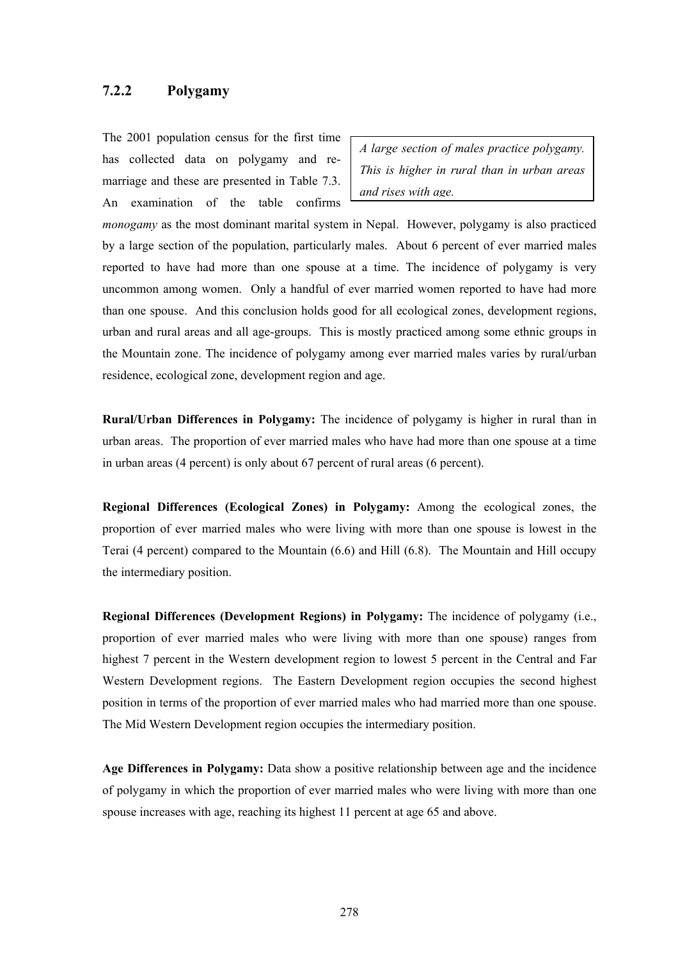#### **7.2.2 Polygamy**

The 2001 population census for the first time has collected data on polygamy and remarriage and these are presented in Table 7.3. An examination of the table confirms

*A large section of males practice polygamy. This is higher in rural than in urban areas and rises with age.*

*monogamy* as the most dominant marital system in Nepal. However, polygamy is also practiced by a large section of the population, particularly males. About 6 percent of ever married males reported to have had more than one spouse at a time. The incidence of polygamy is very uncommon among women. Only a handful of ever married women reported to have had more than one spouse. And this conclusion holds good for all ecological zones, development regions, urban and rural areas and all age-groups. This is mostly practiced among some ethnic groups in the Mountain zone. The incidence of polygamy among ever married males varies by rural/urban residence, ecological zone, development region and age.

**Rural/Urban Differences in Polygamy:** The incidence of polygamy is higher in rural than in urban areas. The proportion of ever married males who have had more than one spouse at a time in urban areas (4 percent) is only about 67 percent of rural areas (6 percent).

**Regional Differences (Ecological Zones) in Polygamy:** Among the ecological zones, the proportion of ever married males who were living with more than one spouse is lowest in the Terai (4 percent) compared to the Mountain (6.6) and Hill (6.8). The Mountain and Hill occupy the intermediary position.

**Regional Differences (Development Regions) in Polygamy:** The incidence of polygamy (i.e., proportion of ever married males who were living with more than one spouse) ranges from highest 7 percent in the Western development region to lowest 5 percent in the Central and Far Western Development regions. The Eastern Development region occupies the second highest position in terms of the proportion of ever married males who had married more than one spouse. The Mid Western Development region occupies the intermediary position.

**Age Differences in Polygamy:** Data show a positive relationship between age and the incidence of polygamy in which the proportion of ever married males who were living with more than one spouse increases with age, reaching its highest 11 percent at age 65 and above.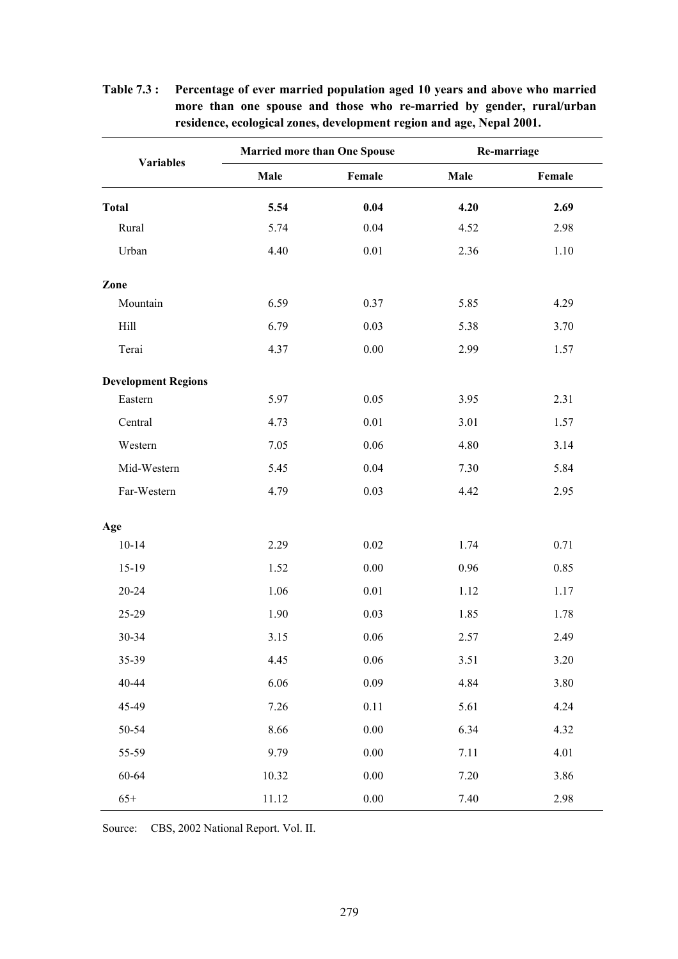| <b>Variables</b>           |       | <b>Married more than One Spouse</b> |      | Re-marriage |
|----------------------------|-------|-------------------------------------|------|-------------|
|                            | Male  | Female                              | Male | Female      |
| <b>Total</b>               | 5.54  | 0.04                                | 4.20 | 2.69        |
| Rural                      | 5.74  | 0.04                                | 4.52 | 2.98        |
| Urban                      | 4.40  | $0.01\,$                            | 2.36 | 1.10        |
| Zone                       |       |                                     |      |             |
| Mountain                   | 6.59  | 0.37                                | 5.85 | 4.29        |
| Hill                       | 6.79  | 0.03                                | 5.38 | 3.70        |
| Terai                      | 4.37  | 0.00                                | 2.99 | 1.57        |
| <b>Development Regions</b> |       |                                     |      |             |
| Eastern                    | 5.97  | 0.05                                | 3.95 | 2.31        |
| Central                    | 4.73  | $0.01\,$                            | 3.01 | 1.57        |
| Western                    | 7.05  | 0.06                                | 4.80 | 3.14        |
| Mid-Western                | 5.45  | 0.04                                | 7.30 | 5.84        |
| Far-Western                | 4.79  | 0.03                                | 4.42 | 2.95        |
| Age                        |       |                                     |      |             |
| $10 - 14$                  | 2.29  | $0.02\,$                            | 1.74 | 0.71        |
| 15-19                      | 1.52  | $0.00\,$                            | 0.96 | 0.85        |
| 20-24                      | 1.06  | 0.01                                | 1.12 | 1.17        |
| 25-29                      | 1.90  | 0.03                                | 1.85 | 1.78        |
| 30-34                      | 3.15  | 0.06                                | 2.57 | 2.49        |
| 35-39                      | 4.45  | $0.06\,$                            | 3.51 | 3.20        |
| 40-44                      | 6.06  | 0.09                                | 4.84 | 3.80        |
| 45-49                      | 7.26  | $0.11\,$                            | 5.61 | 4.24        |
| 50-54                      | 8.66  | $0.00\,$                            | 6.34 | 4.32        |
| 55-59                      | 9.79  | $0.00\,$                            | 7.11 | 4.01        |
| 60-64                      | 10.32 | $0.00\,$                            | 7.20 | 3.86        |
| $65+$                      | 11.12 | $0.00\,$                            | 7.40 | 2.98        |

**Table 7.3 : Percentage of ever married population aged 10 years and above who married more than one spouse and those who re-married by gender, rural/urban residence, ecological zones, development region and age, Nepal 2001.** 

Source: CBS, 2002 National Report. Vol. II.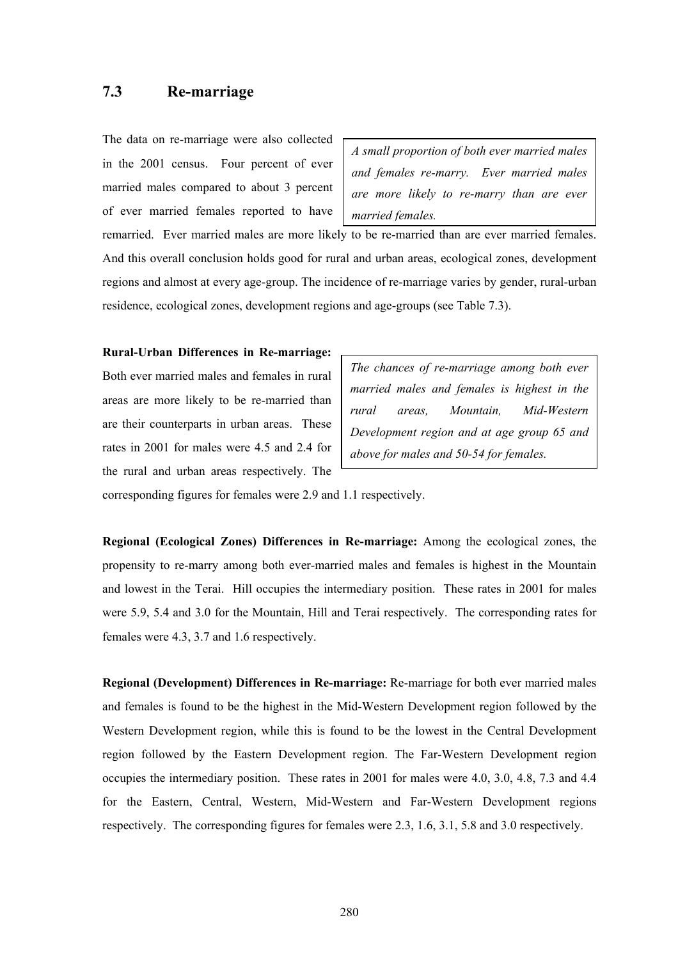## **7.3 Re-marriage**

The data on re-marriage were also collected in the 2001 census. Four percent of ever married males compared to about 3 percent of ever married females reported to have

*A small proportion of both ever married males and females re-marry. Ever married males are more likely to re-marry than are ever married females.* 

remarried. Ever married males are more likely to be re-married than are ever married females. And this overall conclusion holds good for rural and urban areas, ecological zones, development regions and almost at every age-group. The incidence of re-marriage varies by gender, rural-urban residence, ecological zones, development regions and age-groups (see Table 7.3).

#### **Rural-Urban Differences in Re-marriage:**

Both ever married males and females in rural areas are more likely to be re-married than are their counterparts in urban areas. These rates in 2001 for males were 4.5 and 2.4 for the rural and urban areas respectively. The

*The chances of re-marriage among both ever married males and females is highest in the rural areas, Mountain, Mid-Western Development region and at age group 65 and above for males and 50-54 for females.* 

corresponding figures for females were 2.9 and 1.1 respectively.

**Regional (Ecological Zones) Differences in Re-marriage:** Among the ecological zones, the propensity to re-marry among both ever-married males and females is highest in the Mountain and lowest in the Terai. Hill occupies the intermediary position. These rates in 2001 for males were 5.9, 5.4 and 3.0 for the Mountain, Hill and Terai respectively. The corresponding rates for females were 4.3, 3.7 and 1.6 respectively.

**Regional (Development) Differences in Re-marriage:** Re-marriage for both ever married males and females is found to be the highest in the Mid-Western Development region followed by the Western Development region, while this is found to be the lowest in the Central Development region followed by the Eastern Development region. The Far-Western Development region occupies the intermediary position. These rates in 2001 for males were 4.0, 3.0, 4.8, 7.3 and 4.4 for the Eastern, Central, Western, Mid-Western and Far-Western Development regions respectively. The corresponding figures for females were 2.3, 1.6, 3.1, 5.8 and 3.0 respectively.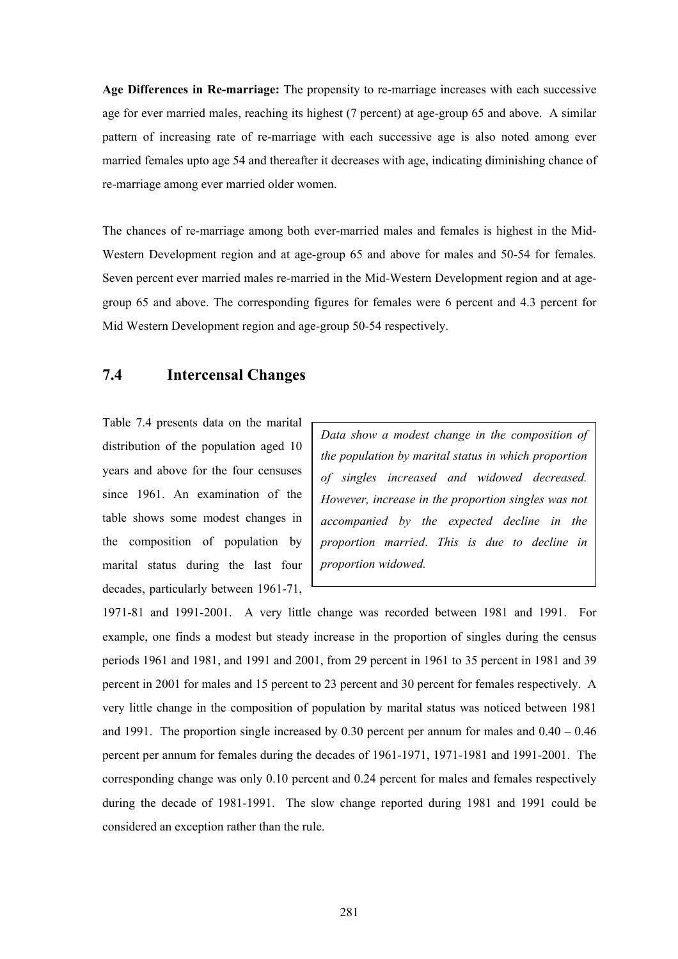**Age Differences in Re-marriage:** The propensity to re-marriage increases with each successive age for ever married males, reaching its highest (7 percent) at age-group 65 and above. A similar pattern of increasing rate of re-marriage with each successive age is also noted among ever married females upto age 54 and thereafter it decreases with age, indicating diminishing chance of re-marriage among ever married older women.

The chances of re-marriage among both ever-married males and females is highest in the Mid-Western Development region and at age-group 65 and above for males and 50-54 for females*.* Seven percent ever married males re-married in the Mid-Western Development region and at agegroup 65 and above. The corresponding figures for females were 6 percent and 4.3 percent for Mid Western Development region and age-group 50-54 respectively.

## **7.4 Intercensal Changes**

Table 7.4 presents data on the marital distribution of the population aged 10 years and above for the four censuses since 1961. An examination of the table shows some modest changes in the composition of population by marital status during the last four decades, particularly between 1961-71,

*Data show a modest change in the composition of the population by marital status in which proportion of singles increased and widowed decreased. However, increase in the proportion singles was not accompanied by the expected decline in the proportion married*. *This is due to decline in proportion widowed.* 

1971-81 and 1991-2001. A very little change was recorded between 1981 and 1991. For example, one finds a modest but steady increase in the proportion of singles during the census periods 1961 and 1981, and 1991 and 2001, from 29 percent in 1961 to 35 percent in 1981 and 39 percent in 2001 for males and 15 percent to 23 percent and 30 percent for females respectively. A very little change in the composition of population by marital status was noticed between 1981 and 1991. The proportion single increased by 0.30 percent per annum for males and  $0.40 - 0.46$ percent per annum for females during the decades of 1961-1971, 1971-1981 and 1991-2001. The corresponding change was only 0.10 percent and 0.24 percent for males and females respectively during the decade of 1981-1991. The slow change reported during 1981 and 1991 could be considered an exception rather than the rule.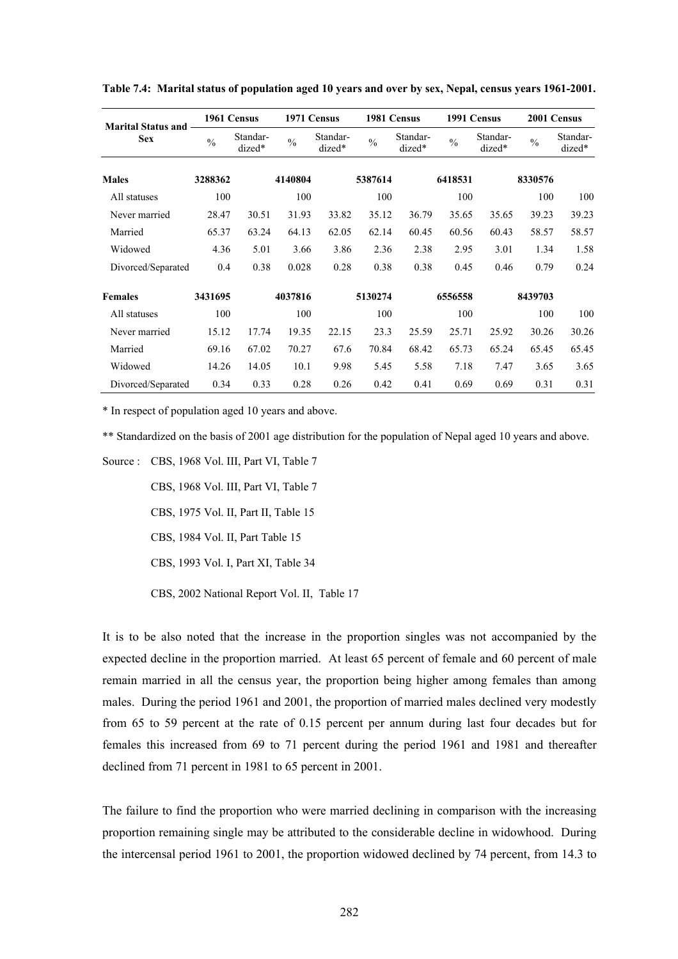| <b>Marital Status and</b> |               | 1961 Census        |               | 1971 Census        |               | 1981 Census        |               | 1991 Census        |               | 2001 Census        |
|---------------------------|---------------|--------------------|---------------|--------------------|---------------|--------------------|---------------|--------------------|---------------|--------------------|
| <b>Sex</b>                | $\frac{0}{0}$ | Standar-<br>dized* | $\frac{0}{0}$ | Standar-<br>dized* | $\frac{0}{0}$ | Standar-<br>dized* | $\frac{0}{0}$ | Standar-<br>dized* | $\frac{0}{0}$ | Standar-<br>dized* |
| <b>Males</b>              | 3288362       |                    | 4140804       |                    | 5387614       |                    | 6418531       |                    | 8330576       |                    |
| All statuses              | 100           |                    | 100           |                    | 100           |                    | 100           |                    | 100           | 100                |
| Never married             | 28.47         | 30.51              | 31.93         | 33.82              | 35.12         | 36.79              | 35.65         | 35.65              | 39.23         | 39.23              |
| Married                   | 65.37         | 63.24              | 64.13         | 62.05              | 62.14         | 60.45              | 60.56         | 60.43              | 58.57         | 58.57              |
| Widowed                   | 4.36          | 5.01               | 3.66          | 3.86               | 2.36          | 2.38               | 2.95          | 3.01               | 1.34          | 1.58               |
| Divorced/Separated        | 0.4           | 0.38               | 0.028         | 0.28               | 0.38          | 0.38               | 0.45          | 0.46               | 0.79          | 0.24               |
| <b>Females</b>            | 3431695       |                    | 4037816       |                    | 5130274       |                    | 6556558       |                    | 8439703       |                    |
| All statuses              | 100           |                    | 100           |                    | 100           |                    | 100           |                    | 100           | 100                |
| Never married             | 15.12         | 17.74              | 19.35         | 22.15              | 23.3          | 25.59              | 25.71         | 25.92              | 30.26         | 30.26              |
| Married                   | 69.16         | 67.02              | 70.27         | 67.6               | 70.84         | 68.42              | 65.73         | 65.24              | 65.45         | 65.45              |
| Widowed                   | 14.26         | 14.05              | 10.1          | 9.98               | 5.45          | 5.58               | 7.18          | 7.47               | 3.65          | 3.65               |
| Divorced/Separated        | 0.34          | 0.33               | 0.28          | 0.26               | 0.42          | 0.41               | 0.69          | 0.69               | 0.31          | 0.31               |

**Table 7.4: Marital status of population aged 10 years and over by sex, Nepal, census years 1961-2001.** 

\* In respect of population aged 10 years and above.

\*\* Standardized on the basis of 2001 age distribution for the population of Nepal aged 10 years and above.

Source : CBS, 1968 Vol. III, Part VI, Table 7

CBS, 1968 Vol. III, Part VI, Table 7

CBS, 1975 Vol. II, Part II, Table 15

CBS, 1984 Vol. II, Part Table 15

CBS, 1993 Vol. I, Part XI, Table 34

CBS, 2002 National Report Vol. II, Table 17

It is to be also noted that the increase in the proportion singles was not accompanied by the expected decline in the proportion married. At least 65 percent of female and 60 percent of male remain married in all the census year, the proportion being higher among females than among males. During the period 1961 and 2001, the proportion of married males declined very modestly from 65 to 59 percent at the rate of 0.15 percent per annum during last four decades but for females this increased from 69 to 71 percent during the period 1961 and 1981 and thereafter declined from 71 percent in 1981 to 65 percent in 2001.

The failure to find the proportion who were married declining in comparison with the increasing proportion remaining single may be attributed to the considerable decline in widowhood. During the intercensal period 1961 to 2001, the proportion widowed declined by 74 percent, from 14.3 to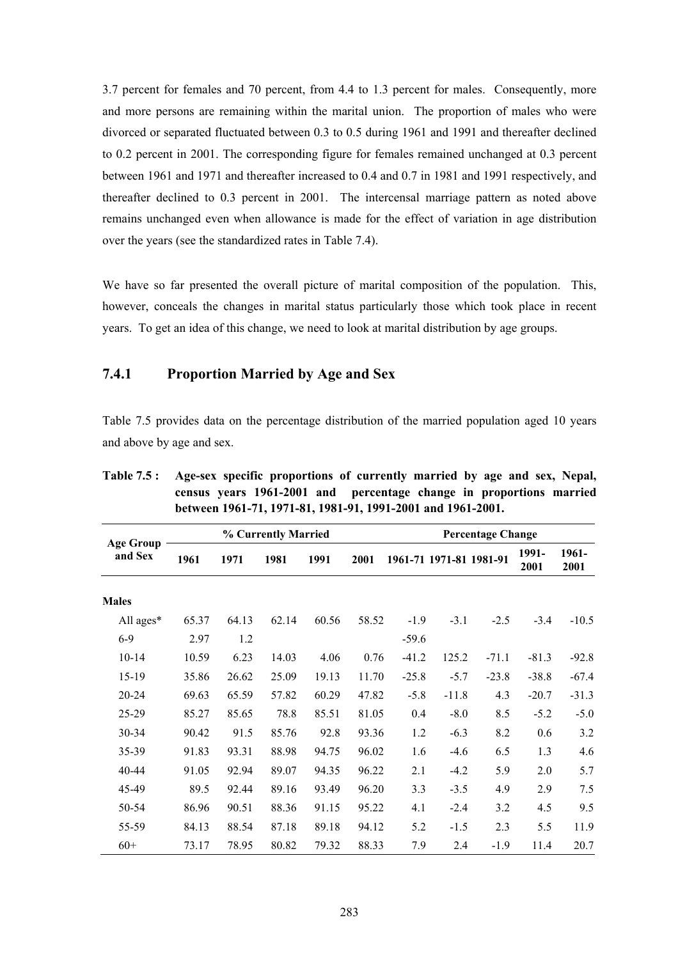3.7 percent for females and 70 percent, from 4.4 to 1.3 percent for males. Consequently, more and more persons are remaining within the marital union. The proportion of males who were divorced or separated fluctuated between 0.3 to 0.5 during 1961 and 1991 and thereafter declined to 0.2 percent in 2001. The corresponding figure for females remained unchanged at 0.3 percent between 1961 and 1971 and thereafter increased to 0.4 and 0.7 in 1981 and 1991 respectively, and thereafter declined to 0.3 percent in 2001. The intercensal marriage pattern as noted above remains unchanged even when allowance is made for the effect of variation in age distribution over the years (see the standardized rates in Table 7.4).

We have so far presented the overall picture of marital composition of the population. This, however, conceals the changes in marital status particularly those which took place in recent years. To get an idea of this change, we need to look at marital distribution by age groups.

#### **7.4.1 Proportion Married by Age and Sex**

Table 7.5 provides data on the percentage distribution of the married population aged 10 years and above by age and sex.

|                             |       |       | % Currently Married |       |       |         |                         | <b>Percentage Change</b> |               |               |
|-----------------------------|-------|-------|---------------------|-------|-------|---------|-------------------------|--------------------------|---------------|---------------|
| <b>Age Group</b><br>and Sex | 1961  | 1971  | 1981                | 1991  | 2001  |         | 1961-71 1971-81 1981-91 |                          | 1991-<br>2001 | 1961-<br>2001 |
| <b>Males</b>                |       |       |                     |       |       |         |                         |                          |               |               |
| All ages*                   | 65.37 | 64.13 | 62.14               | 60.56 | 58.52 | $-1.9$  | $-3.1$                  | $-2.5$                   | $-3.4$        | $-10.5$       |
| $6-9$                       | 2.97  | 1.2   |                     |       |       | $-59.6$ |                         |                          |               |               |
| $10 - 14$                   | 10.59 | 6.23  | 14.03               | 4.06  | 0.76  | $-41.2$ | 125.2                   | $-71.1$                  | $-81.3$       | $-92.8$       |
| 15-19                       | 35.86 | 26.62 | 25.09               | 19.13 | 11.70 | $-25.8$ | $-5.7$                  | $-23.8$                  | $-38.8$       | $-67.4$       |
| 20-24                       | 69.63 | 65.59 | 57.82               | 60.29 | 47.82 | $-5.8$  | $-11.8$                 | 4.3                      | $-20.7$       | $-31.3$       |
| 25-29                       | 85.27 | 85.65 | 78.8                | 85.51 | 81.05 | 0.4     | $-8.0$                  | 8.5                      | $-5.2$        | $-5.0$        |
| 30-34                       | 90.42 | 91.5  | 85.76               | 92.8  | 93.36 | 1.2     | $-6.3$                  | 8.2                      | 0.6           | 3.2           |
| 35-39                       | 91.83 | 93.31 | 88.98               | 94.75 | 96.02 | 1.6     | $-4.6$                  | 6.5                      | 1.3           | 4.6           |
| 40-44                       | 91.05 | 92.94 | 89.07               | 94.35 | 96.22 | 2.1     | $-4.2$                  | 5.9                      | 2.0           | 5.7           |
| 45-49                       | 89.5  | 92.44 | 89.16               | 93.49 | 96.20 | 3.3     | $-3.5$                  | 4.9                      | 2.9           | 7.5           |
| 50-54                       | 86.96 | 90.51 | 88.36               | 91.15 | 95.22 | 4.1     | $-2.4$                  | 3.2                      | 4.5           | 9.5           |
| 55-59                       | 84.13 | 88.54 | 87.18               | 89.18 | 94.12 | 5.2     | $-1.5$                  | 2.3                      | 5.5           | 11.9          |
| $60+$                       | 73.17 | 78.95 | 80.82               | 79.32 | 88.33 | 7.9     | 2.4                     | $-1.9$                   | 11.4          | 20.7          |

**Table 7.5 : Age-sex specific proportions of currently married by age and sex, Nepal, census years 1961-2001 and percentage change in proportions married between 1961-71, 1971-81, 1981-91, 1991-2001 and 1961-2001.**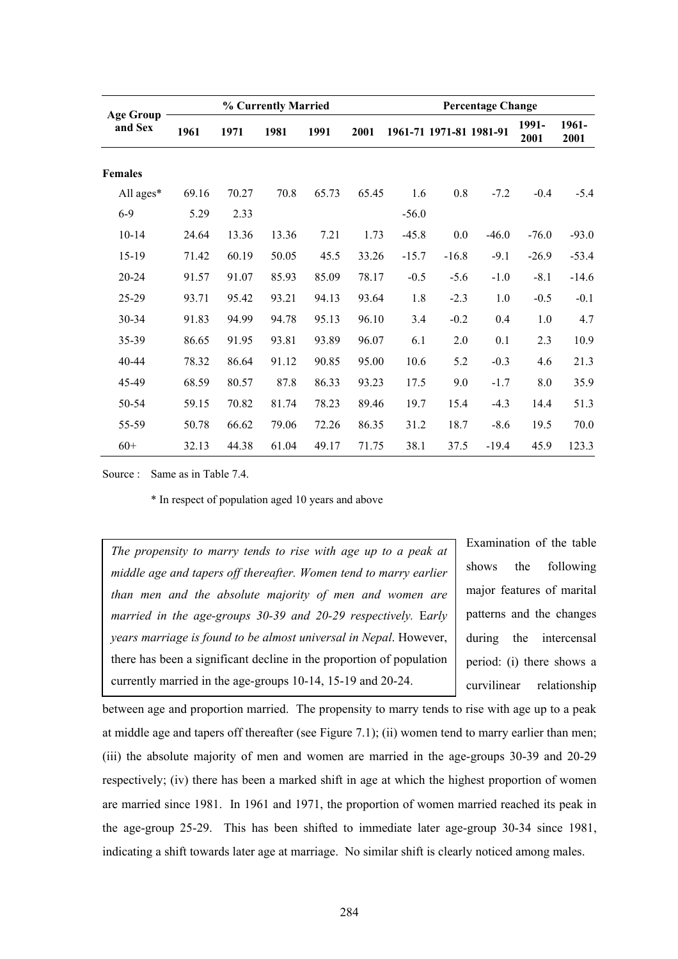|                             |       |       | % Currently Married |       |       |         |                         | <b>Percentage Change</b> |               |               |
|-----------------------------|-------|-------|---------------------|-------|-------|---------|-------------------------|--------------------------|---------------|---------------|
| <b>Age Group</b><br>and Sex | 1961  | 1971  | 1981                | 1991  | 2001  |         | 1961-71 1971-81 1981-91 |                          | 1991-<br>2001 | 1961-<br>2001 |
| <b>Females</b>              |       |       |                     |       |       |         |                         |                          |               |               |
| All ages*                   | 69.16 | 70.27 | 70.8                | 65.73 | 65.45 | 1.6     | 0.8                     | $-7.2$                   | $-0.4$        | $-5.4$        |
| $6-9$                       | 5.29  | 2.33  |                     |       |       | $-56.0$ |                         |                          |               |               |
| $10 - 14$                   | 24.64 | 13.36 | 13.36               | 7.21  | 1.73  | $-45.8$ | $0.0\,$                 | $-46.0$                  | $-76.0$       | $-93.0$       |
| 15-19                       | 71.42 | 60.19 | 50.05               | 45.5  | 33.26 | $-15.7$ | $-16.8$                 | $-9.1$                   | $-26.9$       | $-53.4$       |
| 20-24                       | 91.57 | 91.07 | 85.93               | 85.09 | 78.17 | $-0.5$  | $-5.6$                  | $-1.0$                   | $-8.1$        | $-14.6$       |
| 25-29                       | 93.71 | 95.42 | 93.21               | 94.13 | 93.64 | 1.8     | $-2.3$                  | 1.0                      | $-0.5$        | $-0.1$        |
| 30-34                       | 91.83 | 94.99 | 94.78               | 95.13 | 96.10 | 3.4     | $-0.2$                  | 0.4                      | 1.0           | 4.7           |
| 35-39                       | 86.65 | 91.95 | 93.81               | 93.89 | 96.07 | 6.1     | 2.0                     | 0.1                      | 2.3           | 10.9          |
| $40 - 44$                   | 78.32 | 86.64 | 91.12               | 90.85 | 95.00 | 10.6    | 5.2                     | $-0.3$                   | 4.6           | 21.3          |
| 45-49                       | 68.59 | 80.57 | 87.8                | 86.33 | 93.23 | 17.5    | 9.0                     | $-1.7$                   | 8.0           | 35.9          |
| 50-54                       | 59.15 | 70.82 | 81.74               | 78.23 | 89.46 | 19.7    | 15.4                    | $-4.3$                   | 14.4          | 51.3          |
| 55-59                       | 50.78 | 66.62 | 79.06               | 72.26 | 86.35 | 31.2    | 18.7                    | $-8.6$                   | 19.5          | 70.0          |
| $60+$                       | 32.13 | 44.38 | 61.04               | 49.17 | 71.75 | 38.1    | 37.5                    | $-19.4$                  | 45.9          | 123.3         |

Source : Same as in Table 7.4.

\* In respect of population aged 10 years and above

*The propensity to marry tends to rise with age up to a peak at middle age and tapers off thereafter. Women tend to marry earlier than men and the absolute majority of men and women are married in the age-groups 30-39 and 20-29 respectively.* E*arly years marriage is found to be almost universal in Nepal*. However, there has been a significant decline in the proportion of population currently married in the age-groups 10-14, 15-19 and 20-24.

Examination of the table shows the following major features of marital patterns and the changes during the intercensal period: (i) there shows a curvilinear relationship

between age and proportion married. The propensity to marry tends to rise with age up to a peak at middle age and tapers off thereafter (see Figure 7.1); (ii) women tend to marry earlier than men; (iii) the absolute majority of men and women are married in the age-groups 30-39 and 20-29 respectively; (iv) there has been a marked shift in age at which the highest proportion of women are married since 1981. In 1961 and 1971, the proportion of women married reached its peak in the age-group 25-29. This has been shifted to immediate later age-group 30-34 since 1981, indicating a shift towards later age at marriage. No similar shift is clearly noticed among males.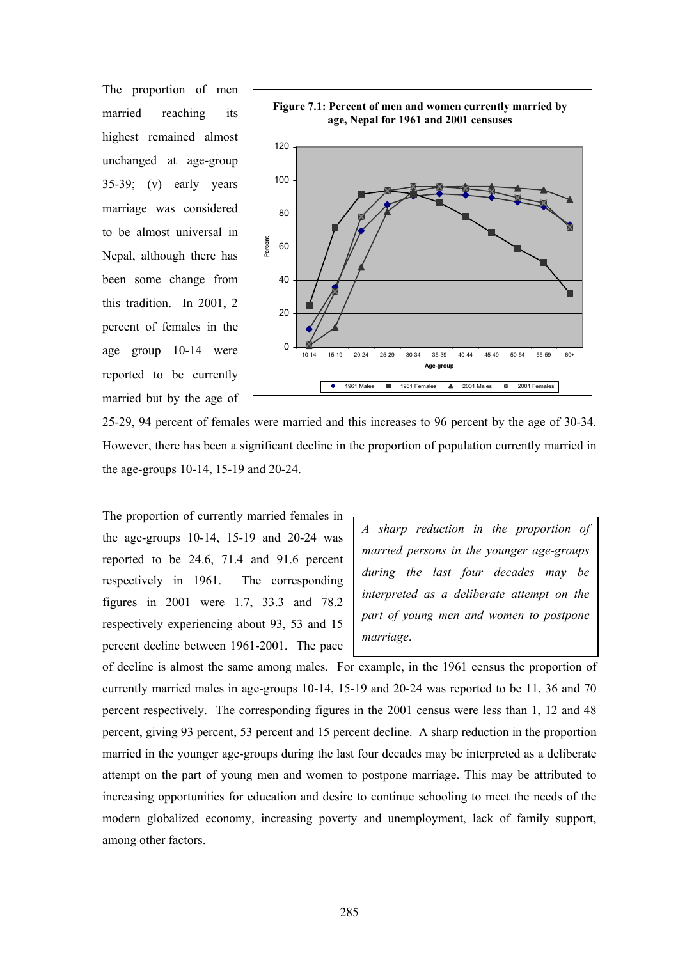The proportion of men married reaching its highest remained almost unchanged at age-group 35-39; (v) early years marriage was considered to be almost universal in Nepal, although there has been some change from this tradition. In 2001, 2 percent of females in the age group 10-14 were reported to be currently married but by the age of



25-29, 94 percent of females were married and this increases to 96 percent by the age of 30-34. However, there has been a significant decline in the proportion of population currently married in the age-groups 10-14, 15-19 and 20-24.

The proportion of currently married females in the age-groups 10-14, 15-19 and 20-24 was reported to be 24.6, 71.4 and 91.6 percent respectively in 1961. The corresponding figures in 2001 were 1.7, 33.3 and 78.2 respectively experiencing about 93, 53 and 15 percent decline between 1961-2001. The pace

*A sharp reduction in the proportion of married persons in the younger age-groups during the last four decades may be interpreted as a deliberate attempt on the part of young men and women to postpone marriage*.

of decline is almost the same among males. For example, in the 1961 census the proportion of currently married males in age-groups 10-14, 15-19 and 20-24 was reported to be 11, 36 and 70 percent respectively. The corresponding figures in the 2001 census were less than 1, 12 and 48 percent, giving 93 percent, 53 percent and 15 percent decline. A sharp reduction in the proportion married in the younger age-groups during the last four decades may be interpreted as a deliberate attempt on the part of young men and women to postpone marriage. This may be attributed to increasing opportunities for education and desire to continue schooling to meet the needs of the modern globalized economy, increasing poverty and unemployment, lack of family support, among other factors.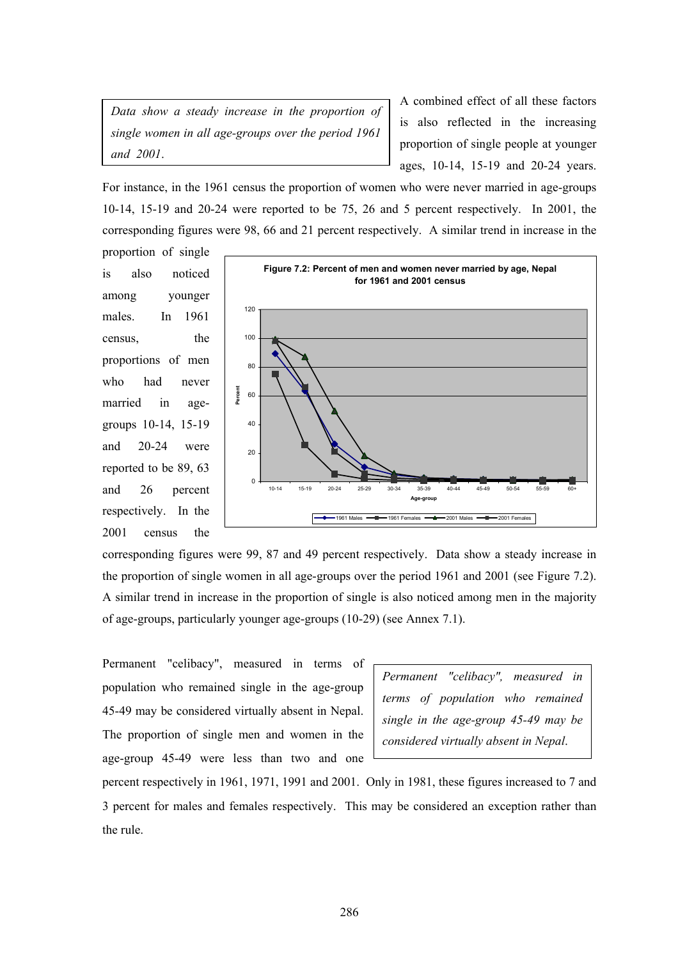*Data show a steady increase in the proportion of single women in all age-groups over the period 1961 and 2001*.

A combined effect of all these factors is also reflected in the increasing proportion of single people at younger ages, 10-14, 15-19 and 20-24 years.

For instance, in the 1961 census the proportion of women who were never married in age-groups 10-14, 15-19 and 20-24 were reported to be 75, 26 and 5 percent respectively. In 2001, the corresponding figures were 98, 66 and 21 percent respectively. A similar trend in increase in the

proportion of single is also noticed among younger males. In 1961 census, the proportions of men who had never married in agegroups 10-14, 15-19 and 20-24 were reported to be 89, 63 and 26 percent respectively. In the 2001 census the



corresponding figures were 99, 87 and 49 percent respectively. Data show a steady increase in the proportion of single women in all age-groups over the period 1961 and 2001 (see Figure 7.2). A similar trend in increase in the proportion of single is also noticed among men in the majority of age-groups, particularly younger age-groups (10-29) (see Annex 7.1).

Permanent "celibacy", measured in terms of population who remained single in the age-group 45-49 may be considered virtually absent in Nepal. The proportion of single men and women in the age-group 45-49 were less than two and one

*Permanent "celibacy", measured in terms of population who remained single in the age-group 45-49 may be considered virtually absent in Nepal*.

percent respectively in 1961, 1971, 1991 and 2001. Only in 1981, these figures increased to 7 and 3 percent for males and females respectively. This may be considered an exception rather than the rule.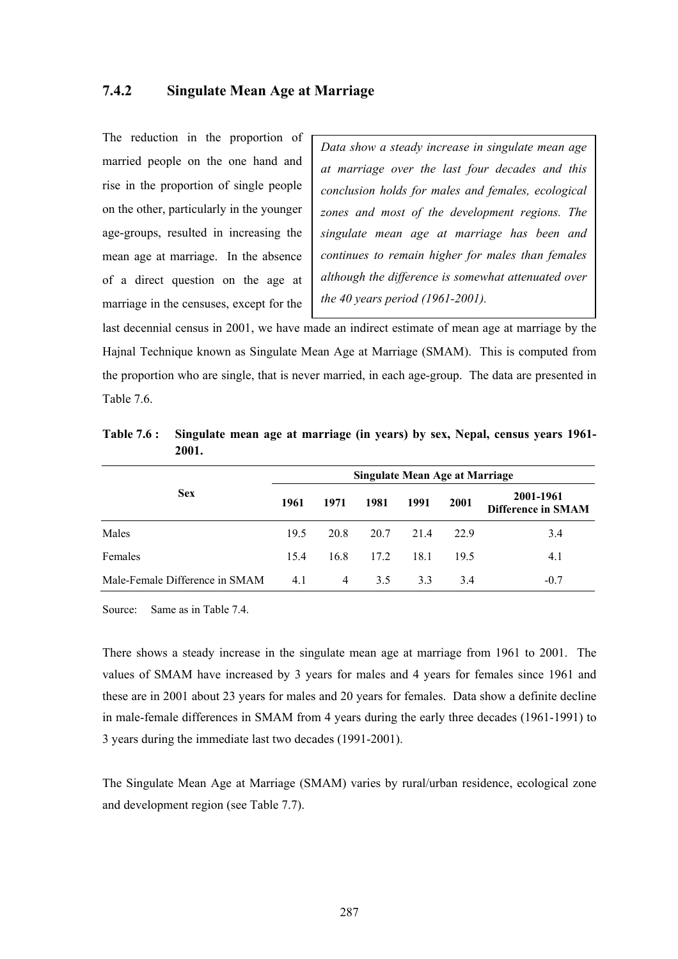#### **7.4.2 Singulate Mean Age at Marriage**

The reduction in the proportion of married people on the one hand and rise in the proportion of single people on the other, particularly in the younger age-groups, resulted in increasing the mean age at marriage. In the absence of a direct question on the age at marriage in the censuses, except for the

*Data show a steady increase in singulate mean age at marriage over the last four decades and this conclusion holds for males and females, ecological zones and most of the development regions. The singulate mean age at marriage has been and continues to remain higher for males than females although the difference is somewhat attenuated over the 40 years period (1961-2001).* 

last decennial census in 2001, we have made an indirect estimate of mean age at marriage by the Hajnal Technique known as Singulate Mean Age at Marriage (SMAM). This is computed from the proportion who are single, that is never married, in each age-group. The data are presented in Table 7.6.

|                                | Singulate Mean Age at Marriage |      |      |      |      |                                        |  |  |  |  |
|--------------------------------|--------------------------------|------|------|------|------|----------------------------------------|--|--|--|--|
| <b>Sex</b>                     | 1961                           | 1971 | 1981 | 1991 | 2001 | 2001-1961<br><b>Difference in SMAM</b> |  |  |  |  |
| Males                          | 19.5                           | 20.8 | 20.7 | 21.4 | 22.9 | 3.4                                    |  |  |  |  |
| Females                        | 15.4                           | 16.8 | 17.2 | 18.1 | 19.5 | 4.1                                    |  |  |  |  |
| Male-Female Difference in SMAM | 4.1                            | 4    | 3.5  | 33   | 3.4  | $-0.7$                                 |  |  |  |  |

**Table 7.6 : Singulate mean age at marriage (in years) by sex, Nepal, census years 1961- 2001.** 

Source: Same as in Table 7.4.

There shows a steady increase in the singulate mean age at marriage from 1961 to 2001. The values of SMAM have increased by 3 years for males and 4 years for females since 1961 and these are in 2001 about 23 years for males and 20 years for females. Data show a definite decline in male-female differences in SMAM from 4 years during the early three decades (1961-1991) to 3 years during the immediate last two decades (1991-2001).

The Singulate Mean Age at Marriage (SMAM) varies by rural/urban residence, ecological zone and development region (see Table 7.7).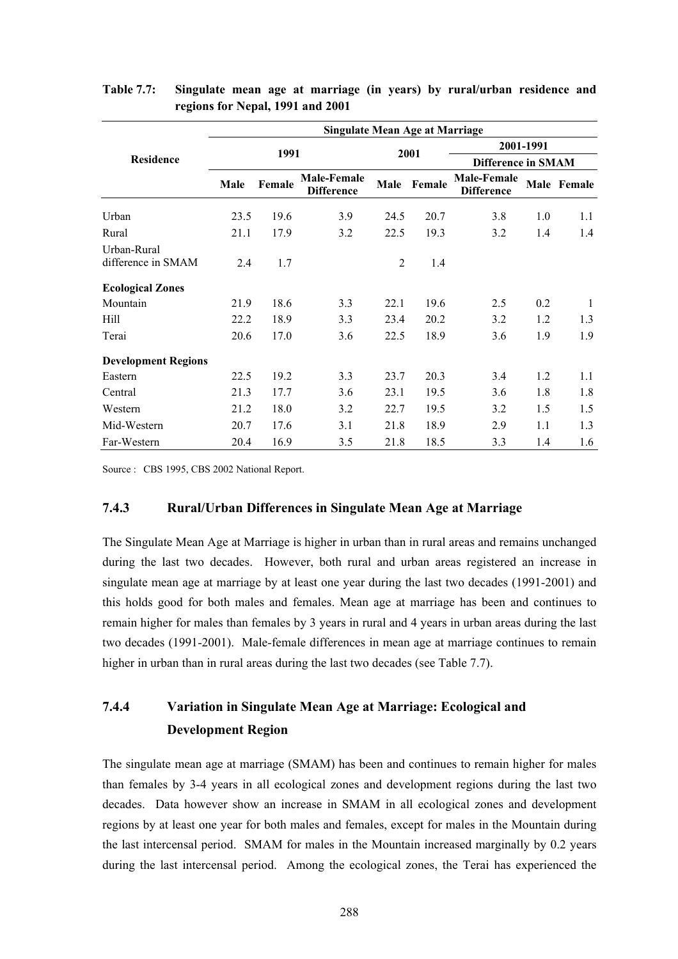|                                   |      |        | <b>Singulate Mean Age at Marriage</b>   |                |        |                                         |           |             |  |
|-----------------------------------|------|--------|-----------------------------------------|----------------|--------|-----------------------------------------|-----------|-------------|--|
|                                   |      |        |                                         |                |        |                                         | 2001-1991 |             |  |
| <b>Residence</b>                  |      | 1991   |                                         |                | 2001   | <b>Difference in SMAM</b>               |           |             |  |
|                                   | Male | Female | <b>Male-Female</b><br><b>Difference</b> | <b>Male</b>    | Female | <b>Male-Female</b><br><b>Difference</b> |           | Male Female |  |
| Urban                             | 23.5 | 19.6   | 3.9                                     | 24.5           | 20.7   | 3.8                                     | 1.0       | 1.1         |  |
| Rural                             | 21.1 | 17.9   | 3.2                                     | 22.5           | 19.3   | 3.2                                     | 1.4       | 1.4         |  |
| Urban-Rural<br>difference in SMAM | 2.4  | 1.7    |                                         | $\overline{c}$ | 1.4    |                                         |           |             |  |
| <b>Ecological Zones</b>           |      |        |                                         |                |        |                                         |           |             |  |
| Mountain                          | 21.9 | 18.6   | 3.3                                     | 22.1           | 19.6   | 2.5                                     | 0.2       | 1           |  |
| Hill                              | 22.2 | 18.9   | 3.3                                     | 23.4           | 20.2   | 3.2                                     | 1.2       | 1.3         |  |
| Terai                             | 20.6 | 17.0   | 3.6                                     | 22.5           | 18.9   | 3.6                                     | 1.9       | 1.9         |  |
| <b>Development Regions</b>        |      |        |                                         |                |        |                                         |           |             |  |
| Eastern                           | 22.5 | 19.2   | 3.3                                     | 23.7           | 20.3   | 3.4                                     | 1.2       | 1.1         |  |
| Central                           | 21.3 | 17.7   | 3.6                                     | 23.1           | 19.5   | 3.6                                     | 1.8       | 1.8         |  |
| Western                           | 21.2 | 18.0   | 3.2                                     | 22.7           | 19.5   | 3.2                                     | 1.5       | 1.5         |  |
| Mid-Western                       | 20.7 | 17.6   | 3.1                                     | 21.8           | 18.9   | 2.9                                     | 1.1       | 1.3         |  |
| Far-Western                       | 20.4 | 16.9   | 3.5                                     | 21.8           | 18.5   | 3.3                                     | 1.4       | 1.6         |  |

#### **Table 7.7: Singulate mean age at marriage (in years) by rural/urban residence and regions for Nepal, 1991 and 2001**

Source : CBS 1995, CBS 2002 National Report.

#### **7.4.3 Rural/Urban Differences in Singulate Mean Age at Marriage**

The Singulate Mean Age at Marriage is higher in urban than in rural areas and remains unchanged during the last two decades. However, both rural and urban areas registered an increase in singulate mean age at marriage by at least one year during the last two decades (1991-2001) and this holds good for both males and females. Mean age at marriage has been and continues to remain higher for males than females by 3 years in rural and 4 years in urban areas during the last two decades (1991-2001). Male-female differences in mean age at marriage continues to remain higher in urban than in rural areas during the last two decades (see Table 7.7).

# **7.4.4 Variation in Singulate Mean Age at Marriage: Ecological and Development Region**

The singulate mean age at marriage (SMAM) has been and continues to remain higher for males than females by 3-4 years in all ecological zones and development regions during the last two decades. Data however show an increase in SMAM in all ecological zones and development regions by at least one year for both males and females, except for males in the Mountain during the last intercensal period. SMAM for males in the Mountain increased marginally by 0.2 years during the last intercensal period. Among the ecological zones, the Terai has experienced the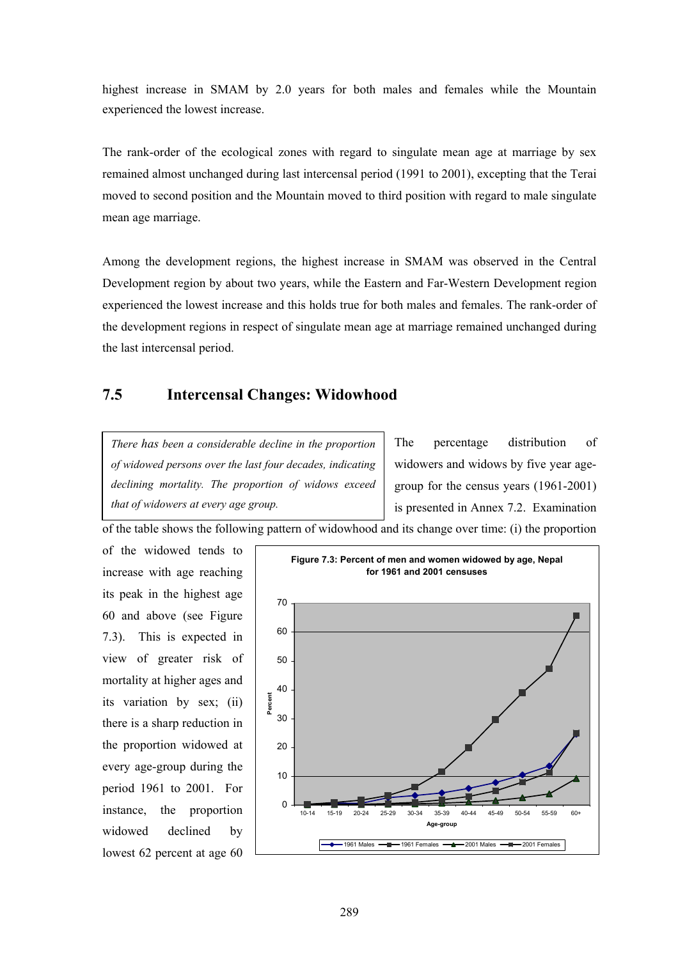highest increase in SMAM by 2.0 years for both males and females while the Mountain experienced the lowest increase.

The rank-order of the ecological zones with regard to singulate mean age at marriage by sex remained almost unchanged during last intercensal period (1991 to 2001), excepting that the Terai moved to second position and the Mountain moved to third position with regard to male singulate mean age marriage.

Among the development regions, the highest increase in SMAM was observed in the Central Development region by about two years, while the Eastern and Far-Western Development region experienced the lowest increase and this holds true for both males and females. The rank-order of the development regions in respect of singulate mean age at marriage remained unchanged during the last intercensal period.

# **7.5 Intercensal Changes: Widowhood**

*There has been a considerable decline in the proportion of widowed persons over the last four decades, indicating declining mortality. The proportion of widows exceed that of widowers at every age group.* 

The percentage distribution of widowers and widows by five year agegroup for the census years (1961-2001) is presented in Annex 7.2. Examination

of the table shows the following pattern of widowhood and its change over time: (i) the proportion

of the widowed tends to increase with age reaching its peak in the highest age 60 and above (see Figure 7.3). This is expected in view of greater risk of mortality at higher ages and its variation by sex; (ii) there is a sharp reduction in the proportion widowed at every age-group during the period 1961 to 2001. For instance, the proportion widowed declined by lowest 62 percent at age 60

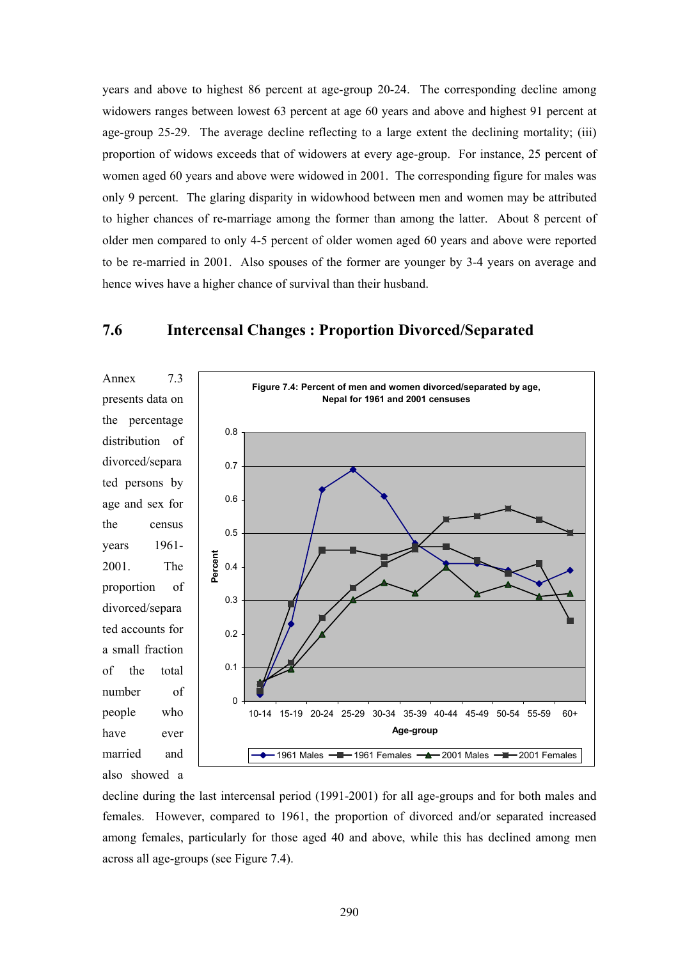years and above to highest 86 percent at age-group 20-24. The corresponding decline among widowers ranges between lowest 63 percent at age 60 years and above and highest 91 percent at age-group 25-29. The average decline reflecting to a large extent the declining mortality; (iii) proportion of widows exceeds that of widowers at every age-group. For instance, 25 percent of women aged 60 years and above were widowed in 2001. The corresponding figure for males was only 9 percent. The glaring disparity in widowhood between men and women may be attributed to higher chances of re-marriage among the former than among the latter. About 8 percent of older men compared to only 4-5 percent of older women aged 60 years and above were reported to be re-married in 2001. Also spouses of the former are younger by 3-4 years on average and hence wives have a higher chance of survival than their husband.



#### **7.6 Intercensal Changes : Proportion Divorced/Separated**

decline during the last intercensal period (1991-2001) for all age-groups and for both males and females. However, compared to 1961, the proportion of divorced and/or separated increased among females, particularly for those aged 40 and above, while this has declined among men across all age-groups (see Figure 7.4).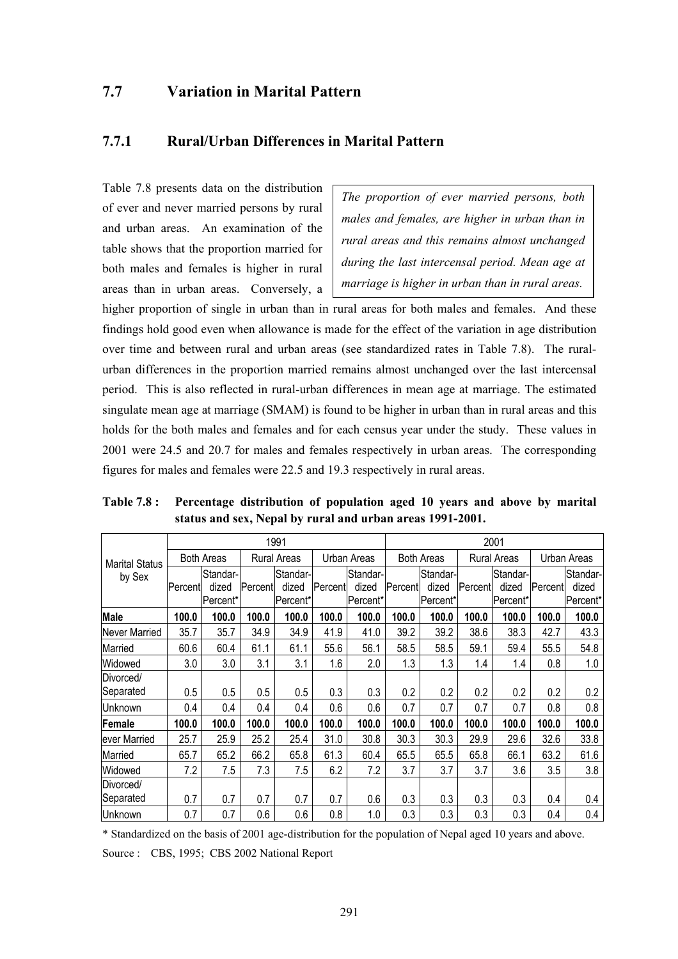## **7.7 Variation in Marital Pattern**

#### **7.7.1 Rural/Urban Differences in Marital Pattern**

Table 7.8 presents data on the distribution of ever and never married persons by rural and urban areas. An examination of the table shows that the proportion married for both males and females is higher in rural areas than in urban areas. Conversely, a

*The proportion of ever married persons, both males and females, are higher in urban than in rural areas and this remains almost unchanged during the last intercensal period. Mean age at marriage is higher in urban than in rural areas.* 

higher proportion of single in urban than in rural areas for both males and females. And these findings hold good even when allowance is made for the effect of the variation in age distribution over time and between rural and urban areas (see standardized rates in Table 7.8). The ruralurban differences in the proportion married remains almost unchanged over the last intercensal period. This is also reflected in rural-urban differences in mean age at marriage. The estimated singulate mean age at marriage (SMAM) is found to be higher in urban than in rural areas and this holds for the both males and females and for each census year under the study. These values in 2001 were 24.5 and 20.7 for males and females respectively in urban areas. The corresponding figures for males and females were 22.5 and 19.3 respectively in rural areas.

|                       |          |                   |         | 1991               |         |             |         |                   |         | 2001               |         |             |
|-----------------------|----------|-------------------|---------|--------------------|---------|-------------|---------|-------------------|---------|--------------------|---------|-------------|
| <b>Marital Status</b> |          | <b>Both Areas</b> |         | <b>Rural Areas</b> |         | Urban Areas |         | <b>Both Areas</b> |         | <b>Rural Areas</b> |         | Urban Areas |
| by Sex                |          | Standar-          |         | Standar-           |         | Standar-    |         | Standar-          |         | Standar-           |         | Standar-    |
|                       | Percentl | dized             | Percent | dized              | Percent | dized       | Percent | dized             | Percent | dized              | Percent | dized       |
|                       |          | Percent*          |         | Percent*           |         | Percent*    |         | Percent*          |         | Percent*           |         | Percent*    |
| <b>Male</b>           | 100.0    | 100.0             | 100.0   | 100.0              | 100.0   | 100.0       | 100.0   | 100.0             | 100.0   | 100.0              | 100.0   | 100.0       |
| Never Married         | 35.7     | 35.7              | 34.9    | 34.9               | 41.9    | 41.0        | 39.2    | 39.2              | 38.6    | 38.3               | 42.7    | 43.3        |
| Married               | 60.6     | 60.4              | 61.1    | 61.1               | 55.6    | 56.1        | 58.5    | 58.5              | 59.1    | 59.4               | 55.5    | 54.8        |
| Widowed               | 3.0      | 3.0               | 3.1     | 3.1                | 1.6     | 2.0         | 1.3     | 1.3               | 1.4     | 1.4                | 0.8     | 1.0         |
| Divorced/             |          |                   |         |                    |         |             |         |                   |         |                    |         |             |
| Separated             | 0.5      | 0.5               | 0.5     | 0.5                | 0.3     | 0.3         | 0.2     | 0.2               | 0.2     | 0.2                | 0.2     | 0.2         |
| Unknown               | 0.4      | 0.4               | 0.4     | 0.4                | 0.6     | 0.6         | 0.7     | 0.7               | 0.7     | 0.7                | 0.8     | 0.8         |
| Female                | 100.0    | 100.0             | 100.0   | 100.0              | 100.0   | 100.0       | 100.0   | 100.0             | 100.0   | 100.0              | 100.0   | 100.0       |
| ever Married          | 25.7     | 25.9              | 25.2    | 25.4               | 31.0    | 30.8        | 30.3    | 30.3              | 29.9    | 29.6               | 32.6    | 33.8        |
| Married               | 65.7     | 65.2              | 66.2    | 65.8               | 61.3    | 60.4        | 65.5    | 65.5              | 65.8    | 66.1               | 63.2    | 61.6        |
| Widowed               | 7.2      | 7.5               | 7.3     | 7.5                | 6.2     | 7.2         | 3.7     | 3.7               | 3.7     | 3.6                | 3.5     | 3.8         |
| Divorced/             |          |                   |         |                    |         |             |         |                   |         |                    |         |             |
| Separated             | 0.7      | 0.7               | 0.7     | 0.7                | 0.7     | 0.6         | 0.3     | 0.3               | 0.3     | 0.3                | 0.4     | 0.4         |
| Unknown               | 0.7      | 0.7               | 0.6     | 0.6                | 0.8     | 1.0         | 0.3     | 0.3               | 0.3     | 0.3                | 0.4     | 0.4         |

**Table 7.8 : Percentage distribution of population aged 10 years and above by marital status and sex, Nepal by rural and urban areas 1991-2001.** 

\* Standardized on the basis of 2001 age-distribution for the population of Nepal aged 10 years and above. Source : CBS, 1995; CBS 2002 National Report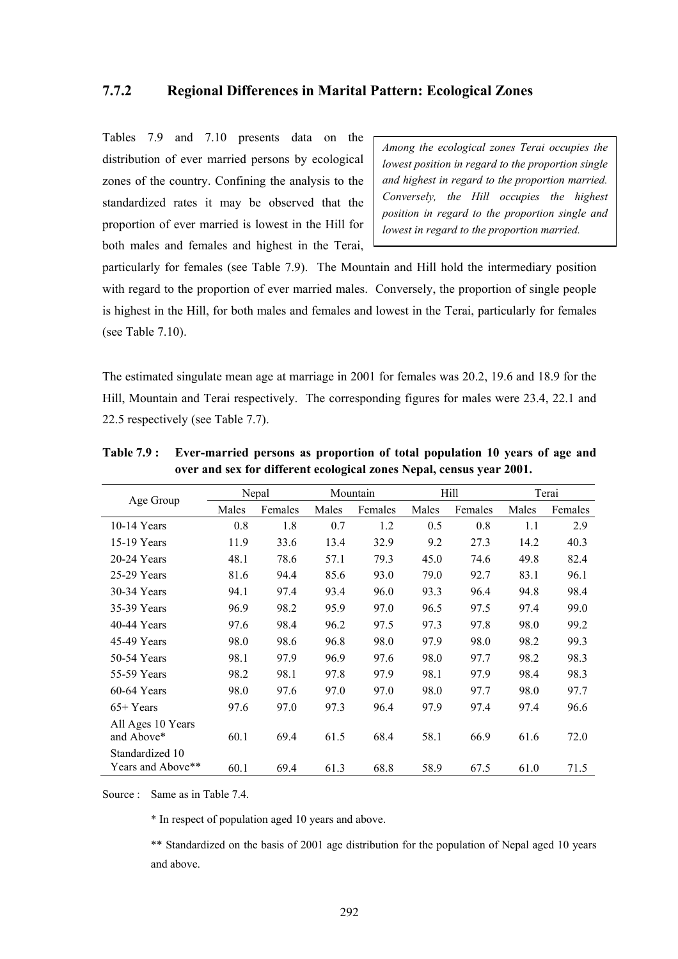#### **7.7.2 Regional Differences in Marital Pattern: Ecological Zones**

Tables 7.9 and 7.10 presents data on the distribution of ever married persons by ecological zones of the country. Confining the analysis to the standardized rates it may be observed that the proportion of ever married is lowest in the Hill for both males and females and highest in the Terai,

*Among the ecological zones Terai occupies the lowest position in regard to the proportion single and highest in regard to the proportion married. Conversely, the Hill occupies the highest position in regard to the proportion single and lowest in regard to the proportion married.* 

particularly for females (see Table 7.9). The Mountain and Hill hold the intermediary position with regard to the proportion of ever married males. Conversely, the proportion of single people is highest in the Hill, for both males and females and lowest in the Terai, particularly for females (see Table 7.10).

The estimated singulate mean age at marriage in 2001 for females was 20.2, 19.6 and 18.9 for the Hill, Mountain and Terai respectively. The corresponding figures for males were 23.4, 22.1 and 22.5 respectively (see Table 7.7).

| Age Group         |       | Nepal   |       | Mountain |       | Hill    | Terai |         |
|-------------------|-------|---------|-------|----------|-------|---------|-------|---------|
|                   | Males | Females | Males | Females  | Males | Females | Males | Females |
| $10-14$ Years     | 0.8   | 1.8     | 0.7   | 1.2      | 0.5   | 0.8     | 1.1   | 2.9     |
| 15-19 Years       | 11.9  | 33.6    | 13.4  | 32.9     | 9.2   | 27.3    | 14.2  | 40.3    |
| 20-24 Years       | 48.1  | 78.6    | 57.1  | 79.3     | 45.0  | 74.6    | 49.8  | 82.4    |
| 25-29 Years       | 81.6  | 94.4    | 85.6  | 93.0     | 79.0  | 92.7    | 83.1  | 96.1    |
| 30-34 Years       | 94.1  | 97.4    | 93.4  | 96.0     | 93.3  | 96.4    | 94.8  | 98.4    |
| 35-39 Years       | 96.9  | 98.2    | 95.9  | 97.0     | 96.5  | 97.5    | 97.4  | 99.0    |
| $40-44$ Years     | 97.6  | 98.4    | 96.2  | 97.5     | 97.3  | 97.8    | 98.0  | 99.2    |
| 45-49 Years       | 98.0  | 98.6    | 96.8  | 98.0     | 97.9  | 98.0    | 98.2  | 99.3    |
| 50-54 Years       | 98.1  | 97.9    | 96.9  | 97.6     | 98.0  | 97.7    | 98.2  | 98.3    |
| 55-59 Years       | 98.2  | 98.1    | 97.8  | 97.9     | 98.1  | 97.9    | 98.4  | 98.3    |
| $60-64$ Years     | 98.0  | 97.6    | 97.0  | 97.0     | 98.0  | 97.7    | 98.0  | 97.7    |
| $65+Years$        | 97.6  | 97.0    | 97.3  | 96.4     | 97.9  | 97.4    | 97.4  | 96.6    |
| All Ages 10 Years |       |         |       |          |       |         |       |         |
| and Above*        | 60.1  | 69.4    | 61.5  | 68.4     | 58.1  | 66.9    | 61.6  | 72.0    |
| Standardized 10   |       |         |       |          |       |         |       |         |
| Years and Above** | 60.1  | 69.4    | 61.3  | 68.8     | 58.9  | 67.5    | 61.0  | 71.5    |

**Table 7.9 : Ever-married persons as proportion of total population 10 years of age and over and sex for different ecological zones Nepal, census year 2001.** 

Source : Same as in Table 7.4

\* In respect of population aged 10 years and above.

 \*\* Standardized on the basis of 2001 age distribution for the population of Nepal aged 10 years and above.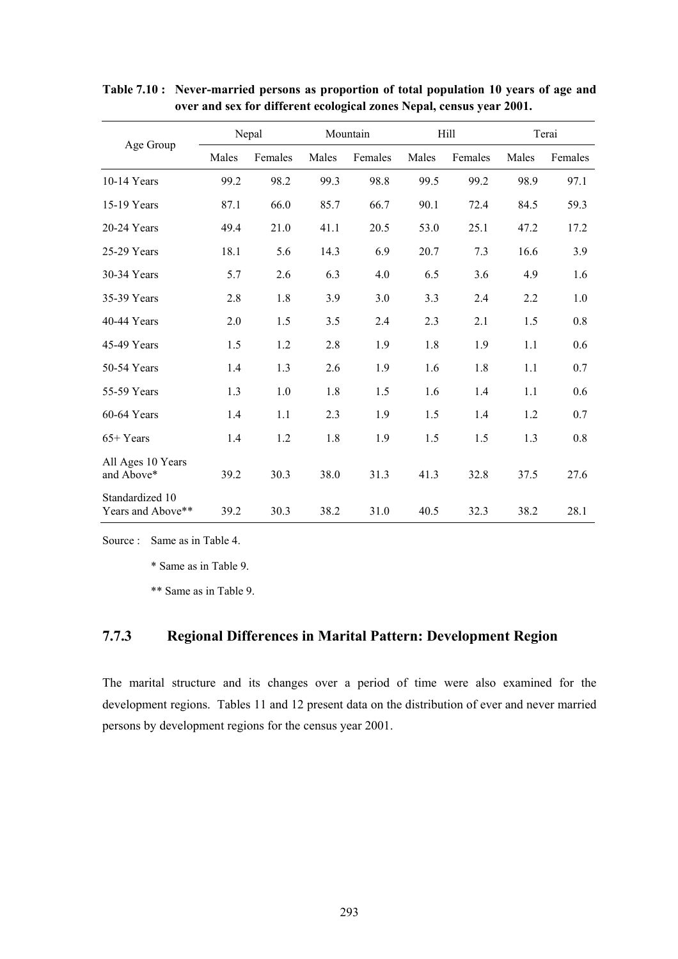|                                      |       | Nepal   |       | Mountain |       | Hill    | Terai |         |  |
|--------------------------------------|-------|---------|-------|----------|-------|---------|-------|---------|--|
| Age Group                            | Males | Females | Males | Females  | Males | Females | Males | Females |  |
| $10-14$ Years                        | 99.2  | 98.2    | 99.3  | 98.8     | 99.5  | 99.2    | 98.9  | 97.1    |  |
| 15-19 Years                          | 87.1  | 66.0    | 85.7  | 66.7     | 90.1  | 72.4    | 84.5  | 59.3    |  |
| 20-24 Years                          | 49.4  | 21.0    | 41.1  | 20.5     | 53.0  | 25.1    | 47.2  | 17.2    |  |
| 25-29 Years                          | 18.1  | 5.6     | 14.3  | 6.9      | 20.7  | 7.3     | 16.6  | 3.9     |  |
| 30-34 Years                          | 5.7   | 2.6     | 6.3   | 4.0      | 6.5   | 3.6     | 4.9   | 1.6     |  |
| 35-39 Years                          | 2.8   | 1.8     | 3.9   | 3.0      | 3.3   | 2.4     | 2.2   | 1.0     |  |
| 40-44 Years                          | 2.0   | 1.5     | 3.5   | 2.4      | 2.3   | 2.1     | 1.5   | 0.8     |  |
| 45-49 Years                          | 1.5   | 1.2     | 2.8   | 1.9      | 1.8   | 1.9     | 1.1   | 0.6     |  |
| 50-54 Years                          | 1.4   | 1.3     | 2.6   | 1.9      | 1.6   | 1.8     | 1.1   | 0.7     |  |
| 55-59 Years                          | 1.3   | 1.0     | 1.8   | 1.5      | 1.6   | 1.4     | 1.1   | 0.6     |  |
| $60-64$ Years                        | 1.4   | 1.1     | 2.3   | 1.9      | 1.5   | 1.4     | 1.2   | 0.7     |  |
| $65+Years$                           | 1.4   | 1.2     | 1.8   | 1.9      | 1.5   | 1.5     | 1.3   | 0.8     |  |
| All Ages 10 Years<br>and Above*      | 39.2  | 30.3    | 38.0  | 31.3     | 41.3  | 32.8    | 37.5  | 27.6    |  |
| Standardized 10<br>Years and Above** | 39.2  | 30.3    | 38.2  | 31.0     | 40.5  | 32.3    | 38.2  | 28.1    |  |

**Table 7.10 : Never-married persons as proportion of total population 10 years of age and over and sex for different ecological zones Nepal, census year 2001.** 

Source : Same as in Table 4.

\* Same as in Table 9.

\*\* Same as in Table 9.

## **7.7.3 Regional Differences in Marital Pattern: Development Region**

The marital structure and its changes over a period of time were also examined for the development regions. Tables 11 and 12 present data on the distribution of ever and never married persons by development regions for the census year 2001.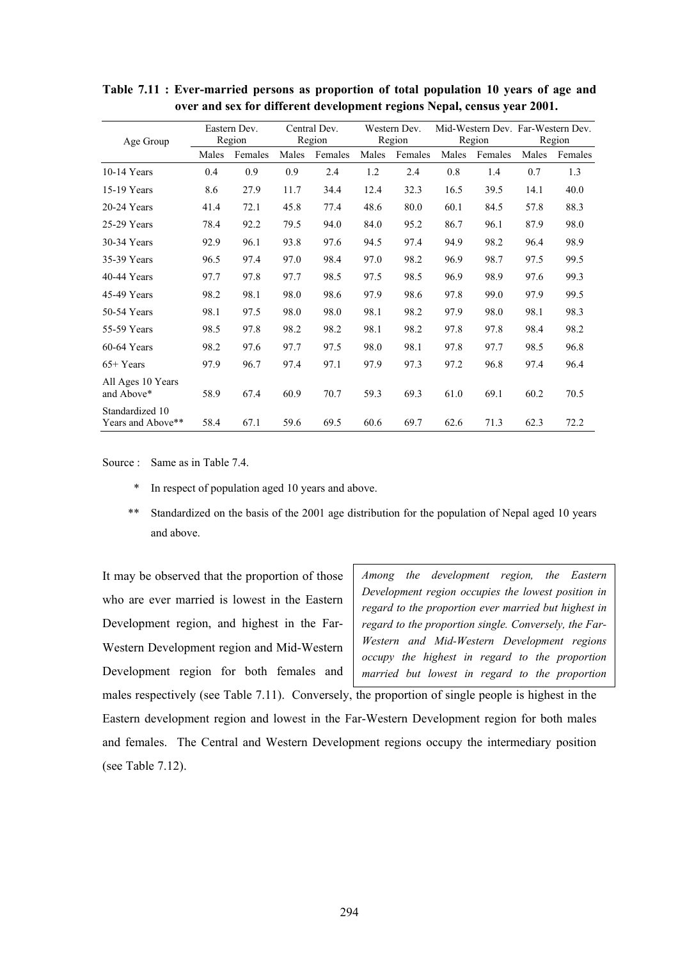| Age Group                            | Eastern Dev.<br>Region |         | Central Dev.<br>Region |         | Western Dev.<br>Region |         | Mid-Western Dev. Far-Western Dev.<br>Region |         | Region |         |
|--------------------------------------|------------------------|---------|------------------------|---------|------------------------|---------|---------------------------------------------|---------|--------|---------|
|                                      | Males                  | Females | Males                  | Females | Males                  | Females | Males                                       | Females | Males  | Females |
| $10-14$ Years                        | 0.4                    | 0.9     | 0.9                    | 2.4     | 1.2                    | 2.4     | 0.8                                         | 1.4     | 0.7    | 1.3     |
| 15-19 Years                          | 8.6                    | 27.9    | 11.7                   | 34.4    | 12.4                   | 32.3    | 16.5                                        | 39.5    | 14.1   | 40.0    |
| $20-24$ Years                        | 41.4                   | 72.1    | 45.8                   | 77.4    | 48.6                   | 80.0    | 60.1                                        | 84.5    | 57.8   | 88.3    |
| 25-29 Years                          | 78.4                   | 92.2    | 79.5                   | 94.0    | 84.0                   | 95.2    | 86.7                                        | 96.1    | 87.9   | 98.0    |
| 30-34 Years                          | 92.9                   | 96.1    | 93.8                   | 97.6    | 94.5                   | 97.4    | 94.9                                        | 98.2    | 96.4   | 98.9    |
| 35-39 Years                          | 96.5                   | 97.4    | 97.0                   | 98.4    | 97.0                   | 98.2    | 96.9                                        | 98.7    | 97.5   | 99.5    |
| 40-44 Years                          | 97.7                   | 97.8    | 97.7                   | 98.5    | 97.5                   | 98.5    | 96.9                                        | 98.9    | 97.6   | 99.3    |
| 45-49 Years                          | 98.2                   | 98.1    | 98.0                   | 98.6    | 97.9                   | 98.6    | 97.8                                        | 99.0    | 97.9   | 99.5    |
| 50-54 Years                          | 98.1                   | 97.5    | 98.0                   | 98.0    | 98.1                   | 98.2    | 97.9                                        | 98.0    | 98.1   | 98.3    |
| 55-59 Years                          | 98.5                   | 97.8    | 98.2                   | 98.2    | 98.1                   | 98.2    | 97.8                                        | 97.8    | 98.4   | 98.2    |
| $60-64$ Years                        | 98.2                   | 97.6    | 97.7                   | 97.5    | 98.0                   | 98.1    | 97.8                                        | 97.7    | 98.5   | 96.8    |
| $65+Years$                           | 97.9                   | 96.7    | 97.4                   | 97.1    | 97.9                   | 97.3    | 97.2                                        | 96.8    | 97.4   | 96.4    |
| All Ages 10 Years<br>and Above*      | 58.9                   | 67.4    | 60.9                   | 70.7    | 59.3                   | 69.3    | 61.0                                        | 69.1    | 60.2   | 70.5    |
| Standardized 10<br>Years and Above** | 58.4                   | 67.1    | 59.6                   | 69.5    | 60.6                   | 69.7    | 62.6                                        | 71.3    | 62.3   | 72.2    |

**Table 7.11 : Ever-married persons as proportion of total population 10 years of age and over and sex for different development regions Nepal, census year 2001.** 

Source : Same as in Table 7.4.

- \* In respect of population aged 10 years and above.
- \*\* Standardized on the basis of the 2001 age distribution for the population of Nepal aged 10 years and above.

It may be observed that the proportion of those who are ever married is lowest in the Eastern Development region, and highest in the Far-Western Development region and Mid-Western Development region for both females and *Among the development region, the Eastern Development region occupies the lowest position in regard to the proportion ever married but highest in regard to the proportion single. Conversely, the Far-Western and Mid-Western Development regions occupy the highest in regard to the proportion married but lowest in regard to the proportion* 

males respectively (see Table 7.11). Conversely, the proportion of single people is highest in the Eastern development region and lowest in the Far-Western Development region for both males and females. The Central and Western Development regions occupy the intermediary position (see Table 7.12).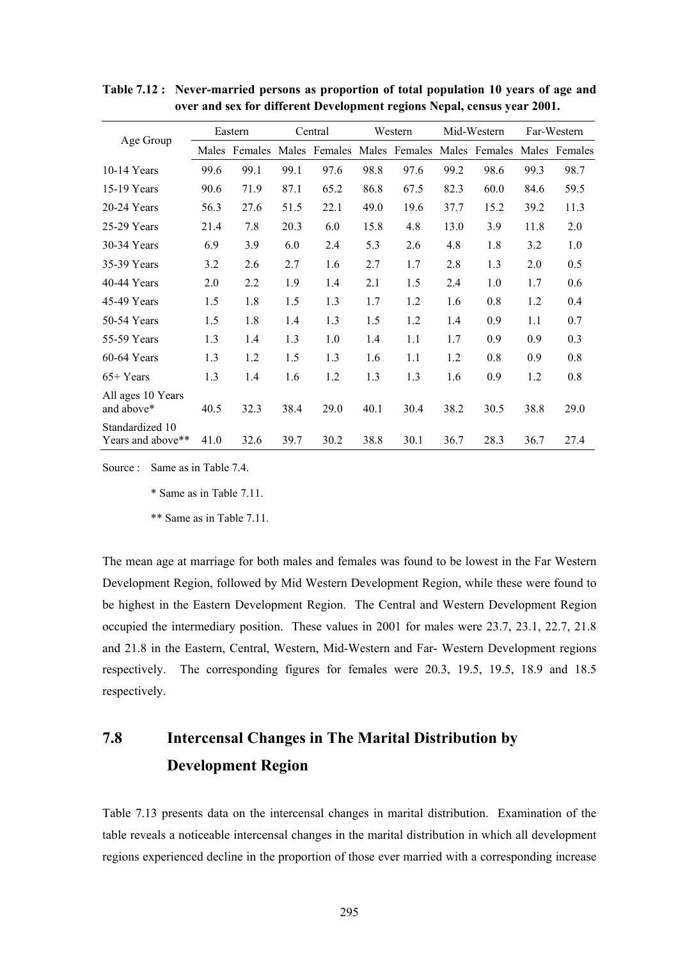|                                      | Eastern |               | Central |      |      | Western                                   | Mid-Western |      | Far-Western |               |
|--------------------------------------|---------|---------------|---------|------|------|-------------------------------------------|-------------|------|-------------|---------------|
| Age Group                            |         | Males Females |         |      |      | Males Females Males Females Males Females |             |      |             | Males Females |
| $10-14$ Years                        | 99.6    | 99.1          | 99.1    | 97.6 | 98.8 | 97.6                                      | 99.2        | 98.6 | 99.3        | 98.7          |
| 15-19 Years                          | 90.6    | 71.9          | 87.1    | 65.2 | 86.8 | 67.5                                      | 82.3        | 60.0 | 84.6        | 59.5          |
| $20-24$ Years                        | 56.3    | 27.6          | 51.5    | 22.1 | 49.0 | 19.6                                      | 37.7        | 15.2 | 39.2        | 11.3          |
| 25-29 Years                          | 21.4    | 7.8           | 20.3    | 6.0  | 15.8 | 4.8                                       | 13.0        | 3.9  | 11.8        | 2.0           |
| 30-34 Years                          | 6.9     | 3.9           | 6.0     | 2.4  | 5.3  | 2.6                                       | 4.8         | 1.8  | 3.2         | 1.0           |
| 35-39 Years                          | 3.2     | 2.6           | 2.7     | 1.6  | 2.7  | 1.7                                       | 2.8         | 1.3  | 2.0         | 0.5           |
| $40-44$ Years                        | 2.0     | 2.2           | 1.9     | 1.4  | 2.1  | 1.5                                       | 2.4         | 1.0  | 1.7         | 0.6           |
| 45-49 Years                          | 1.5     | 1.8           | 1.5     | 1.3  | 1.7  | 1.2                                       | 1.6         | 0.8  | 1.2         | 0.4           |
| 50-54 Years                          | 1.5     | 1.8           | 1.4     | 1.3  | 1.5  | 1.2                                       | 1.4         | 0.9  | 1.1         | 0.7           |
| 55-59 Years                          | 1.3     | 1.4           | 1.3     | 1.0  | 1.4  | 1.1                                       | 1.7         | 0.9  | 0.9         | 0.3           |
| $60-64$ Years                        | 1.3     | 1.2           | 1.5     | 1.3  | 1.6  | 1.1                                       | 1.2         | 0.8  | 0.9         | 0.8           |
| $65+Years$                           | 1.3     | 1.4           | 1.6     | 1.2  | 1.3  | 1.3                                       | 1.6         | 0.9  | 1.2         | 0.8           |
| All ages 10 Years<br>and above*      | 40.5    | 32.3          | 38.4    | 29.0 | 40.1 | 30.4                                      | 38.2        | 30.5 | 38.8        | 29.0          |
| Standardized 10<br>Years and above** | 41.0    | 32.6          | 39.7    | 30.2 | 38.8 | 30.1                                      | 36.7        | 28.3 | 36.7        | 27.4          |

**Table 7.12 : Never-married persons as proportion of total population 10 years of age and over and sex for different Development regions Nepal, census year 2001.** 

Source : Same as in Table 7.4.

\* Same as in Table 7.11.

\*\* Same as in Table 7.11.

The mean age at marriage for both males and females was found to be lowest in the Far Western Development Region, followed by Mid Western Development Region, while these were found to be highest in the Eastern Development Region. The Central and Western Development Region occupied the intermediary position. These values in 2001 for males were 23.7, 23.1, 22.7, 21.8 and 21.8 in the Eastern, Central, Western, Mid-Western and Far- Western Development regions respectively. The corresponding figures for females were 20.3, 19.5, 19.5, 18.9 and 18.5 respectively.

# **7.8 Intercensal Changes in The Marital Distribution by Development Region**

Table 7.13 presents data on the intercensal changes in marital distribution. Examination of the table reveals a noticeable intercensal changes in the marital distribution in which all development regions experienced decline in the proportion of those ever married with a corresponding increase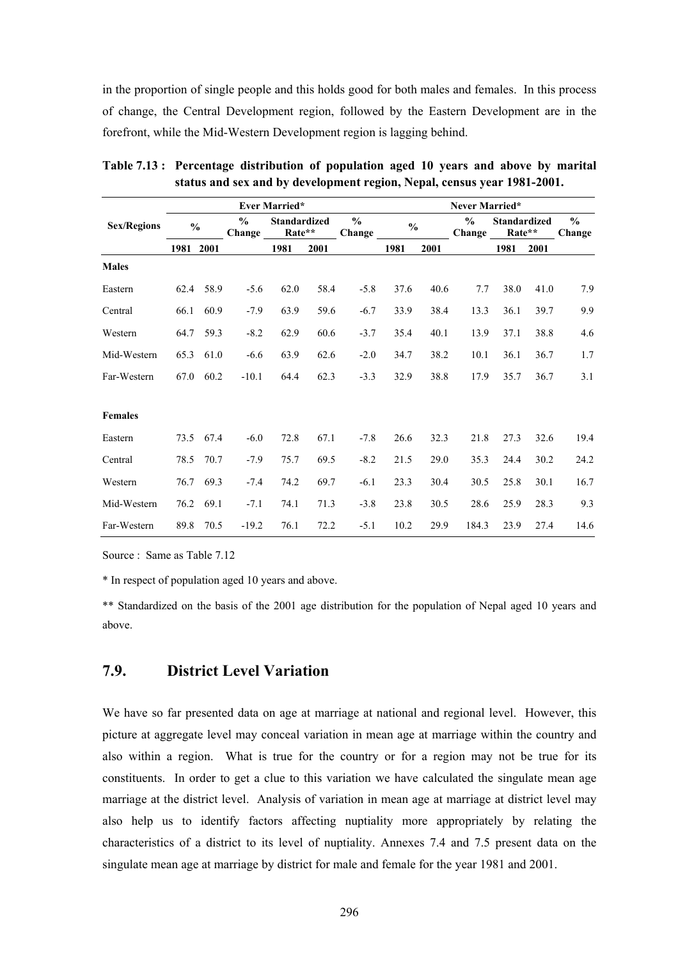in the proportion of single people and this holds good for both males and females. In this process of change, the Central Development region, followed by the Eastern Development are in the forefront, while the Mid-Western Development region is lagging behind.

|                    |               |      |                         | <b>Ever Married*</b>          |      |                         |      |               | Never Married* |                                         |      |                         |
|--------------------|---------------|------|-------------------------|-------------------------------|------|-------------------------|------|---------------|----------------|-----------------------------------------|------|-------------------------|
| <b>Sex/Regions</b> | $\frac{0}{0}$ |      | $\frac{0}{0}$<br>Change | <b>Standardized</b><br>Rate** |      | $\frac{0}{0}$<br>Change |      | $\frac{0}{0}$ |                | <b>Standardized</b><br>Rate**<br>Change |      | $\frac{0}{0}$<br>Change |
|                    | 1981          | 2001 |                         | 1981                          | 2001 |                         | 1981 | 2001          |                | 1981                                    | 2001 |                         |
| <b>Males</b>       |               |      |                         |                               |      |                         |      |               |                |                                         |      |                         |
| Eastern            | 62.4          | 58.9 | $-5.6$                  | 62.0                          | 58.4 | $-5.8$                  | 37.6 | 40.6          | 7.7            | 38.0                                    | 41.0 | 7.9                     |
| Central            | 66.1          | 60.9 | $-7.9$                  | 63.9                          | 59.6 | $-6.7$                  | 33.9 | 38.4          | 13.3           | 36.1                                    | 39.7 | 9.9                     |
| Western            | 64.7          | 59.3 | $-8.2$                  | 62.9                          | 60.6 | $-3.7$                  | 35.4 | 40.1          | 13.9           | 37.1                                    | 38.8 | 4.6                     |
| Mid-Western        | 65.3          | 61.0 | $-6.6$                  | 63.9                          | 62.6 | $-2.0$                  | 34.7 | 38.2          | 10.1           | 36.1                                    | 36.7 | 1.7                     |
| Far-Western        | 67.0          | 60.2 | $-10.1$                 | 64.4                          | 62.3 | $-3.3$                  | 32.9 | 38.8          | 17.9           | 35.7                                    | 36.7 | 3.1                     |
| <b>Females</b>     |               |      |                         |                               |      |                         |      |               |                |                                         |      |                         |
| Eastern            | 73.5          | 67.4 | $-6.0$                  | 72.8                          | 67.1 | $-7.8$                  | 26.6 | 32.3          | 21.8           | 27.3                                    | 32.6 | 19.4                    |
| Central            | 78.5          | 70.7 | $-7.9$                  | 75.7                          | 69.5 | $-8.2$                  | 21.5 | 29.0          | 35.3           | 24.4                                    | 30.2 | 24.2                    |
| Western            | 76.7          | 69.3 | $-7.4$                  | 74.2                          | 69.7 | $-6.1$                  | 23.3 | 30.4          | 30.5           | 25.8                                    | 30.1 | 16.7                    |
| Mid-Western        | 76.2          | 69.1 | $-7.1$                  | 74.1                          | 71.3 | $-3.8$                  | 23.8 | 30.5          | 28.6           | 25.9                                    | 28.3 | 9.3                     |
| Far-Western        | 89.8          | 70.5 | $-19.2$                 | 76.1                          | 72.2 | $-5.1$                  | 10.2 | 29.9          | 184.3          | 23.9                                    | 27.4 | 14.6                    |

**Table 7.13 : Percentage distribution of population aged 10 years and above by marital status and sex and by development region, Nepal, census year 1981-2001.** 

Source : Same as Table 7.12

\* In respect of population aged 10 years and above.

\*\* Standardized on the basis of the 2001 age distribution for the population of Nepal aged 10 years and above.

# **7.9. District Level Variation**

We have so far presented data on age at marriage at national and regional level. However, this picture at aggregate level may conceal variation in mean age at marriage within the country and also within a region. What is true for the country or for a region may not be true for its constituents. In order to get a clue to this variation we have calculated the singulate mean age marriage at the district level. Analysis of variation in mean age at marriage at district level may also help us to identify factors affecting nuptiality more appropriately by relating the characteristics of a district to its level of nuptiality. Annexes 7.4 and 7.5 present data on the singulate mean age at marriage by district for male and female for the year 1981 and 2001.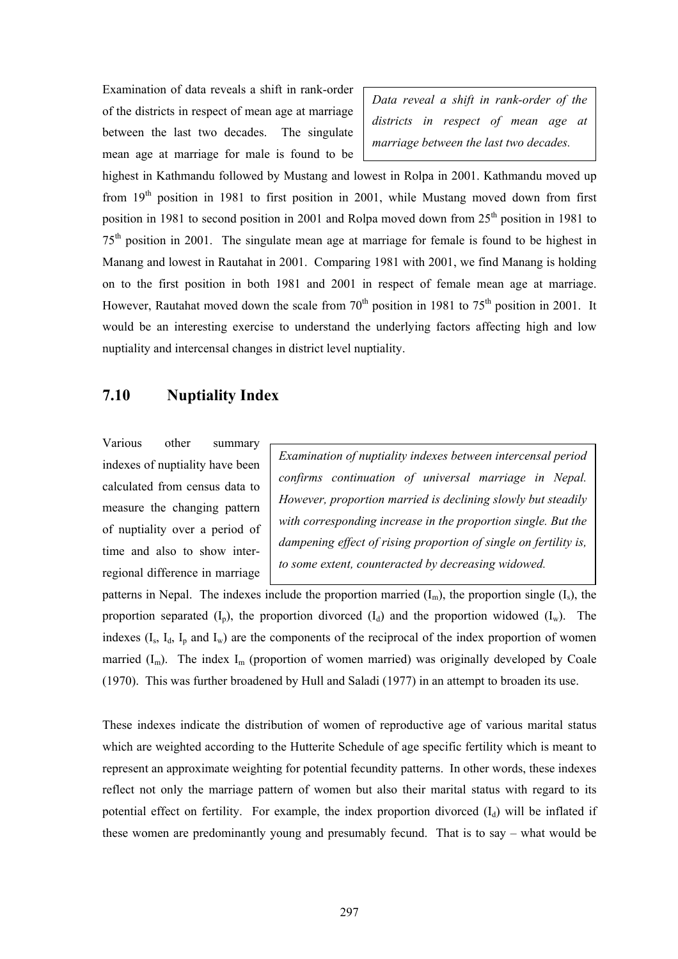Examination of data reveals a shift in rank-order of the districts in respect of mean age at marriage between the last two decades. The singulate mean age at marriage for male is found to be

*Data reveal a shift in rank-order of the districts in respect of mean age at marriage between the last two decades.* 

highest in Kathmandu followed by Mustang and lowest in Rolpa in 2001. Kathmandu moved up from  $19<sup>th</sup>$  position in 1981 to first position in 2001, while Mustang moved down from first position in 1981 to second position in 2001 and Rolpa moved down from  $25<sup>th</sup>$  position in 1981 to 75th position in 2001. The singulate mean age at marriage for female is found to be highest in Manang and lowest in Rautahat in 2001. Comparing 1981 with 2001, we find Manang is holding on to the first position in both 1981 and 2001 in respect of female mean age at marriage. However, Rautahat moved down the scale from  $70<sup>th</sup>$  position in 1981 to  $75<sup>th</sup>$  position in 2001. It would be an interesting exercise to understand the underlying factors affecting high and low nuptiality and intercensal changes in district level nuptiality.

# **7.10 Nuptiality Index**

Various other summary indexes of nuptiality have been calculated from census data to measure the changing pattern of nuptiality over a period of time and also to show interregional difference in marriage

*Examination of nuptiality indexes between intercensal period confirms continuation of universal marriage in Nepal. However, proportion married is declining slowly but steadily with corresponding increase in the proportion single. But the dampening effect of rising proportion of single on fertility is, to some extent, counteracted by decreasing widowed.* 

patterns in Nepal. The indexes include the proportion married  $(I_m)$ , the proportion single  $(I_s)$ , the proportion separated  $(I_p)$ , the proportion divorced  $(I_d)$  and the proportion widowed  $(I_w)$ . The indexes  $(I_s, I_d, I_p$  and  $I_w$ ) are the components of the reciprocal of the index proportion of women married  $(I_m)$ . The index  $I_m$  (proportion of women married) was originally developed by Coale (1970). This was further broadened by Hull and Saladi (1977) in an attempt to broaden its use.

These indexes indicate the distribution of women of reproductive age of various marital status which are weighted according to the Hutterite Schedule of age specific fertility which is meant to represent an approximate weighting for potential fecundity patterns. In other words, these indexes reflect not only the marriage pattern of women but also their marital status with regard to its potential effect on fertility. For example, the index proportion divorced  $(I_d)$  will be inflated if these women are predominantly young and presumably fecund. That is to say – what would be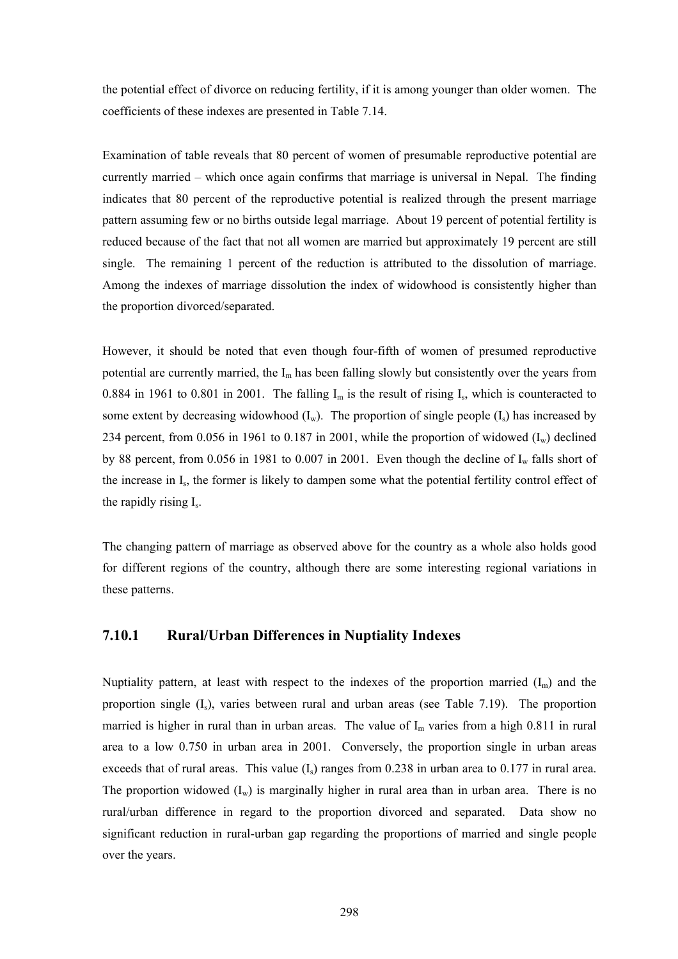the potential effect of divorce on reducing fertility, if it is among younger than older women. The coefficients of these indexes are presented in Table 7.14.

Examination of table reveals that 80 percent of women of presumable reproductive potential are currently married – which once again confirms that marriage is universal in Nepal. The finding indicates that 80 percent of the reproductive potential is realized through the present marriage pattern assuming few or no births outside legal marriage. About 19 percent of potential fertility is reduced because of the fact that not all women are married but approximately 19 percent are still single. The remaining 1 percent of the reduction is attributed to the dissolution of marriage. Among the indexes of marriage dissolution the index of widowhood is consistently higher than the proportion divorced/separated.

However, it should be noted that even though four-fifth of women of presumed reproductive potential are currently married, the  $I_m$  has been falling slowly but consistently over the years from 0.884 in 1961 to 0.801 in 2001. The falling  $I_m$  is the result of rising  $I_s$ , which is counteracted to some extent by decreasing widowhood  $(I_w)$ . The proportion of single people  $(I_s)$  has increased by 234 percent, from 0.056 in 1961 to 0.187 in 2001, while the proportion of widowed  $(I_w)$  declined by 88 percent, from 0.056 in 1981 to 0.007 in 2001. Even though the decline of  $I_w$  falls short of the increase in Is, the former is likely to dampen some what the potential fertility control effect of the rapidly rising Is.

The changing pattern of marriage as observed above for the country as a whole also holds good for different regions of the country, although there are some interesting regional variations in these patterns.

#### **7.10.1 Rural/Urban Differences in Nuptiality Indexes**

Nuptiality pattern, at least with respect to the indexes of the proportion married  $(I_m)$  and the proportion single  $(I_s)$ , varies between rural and urban areas (see Table 7.19). The proportion married is higher in rural than in urban areas. The value of  $I_m$  varies from a high 0.811 in rural area to a low 0.750 in urban area in 2001. Conversely, the proportion single in urban areas exceeds that of rural areas. This value  $(I_s)$  ranges from 0.238 in urban area to 0.177 in rural area. The proportion widowed  $(I_w)$  is marginally higher in rural area than in urban area. There is no rural/urban difference in regard to the proportion divorced and separated. Data show no significant reduction in rural-urban gap regarding the proportions of married and single people over the years.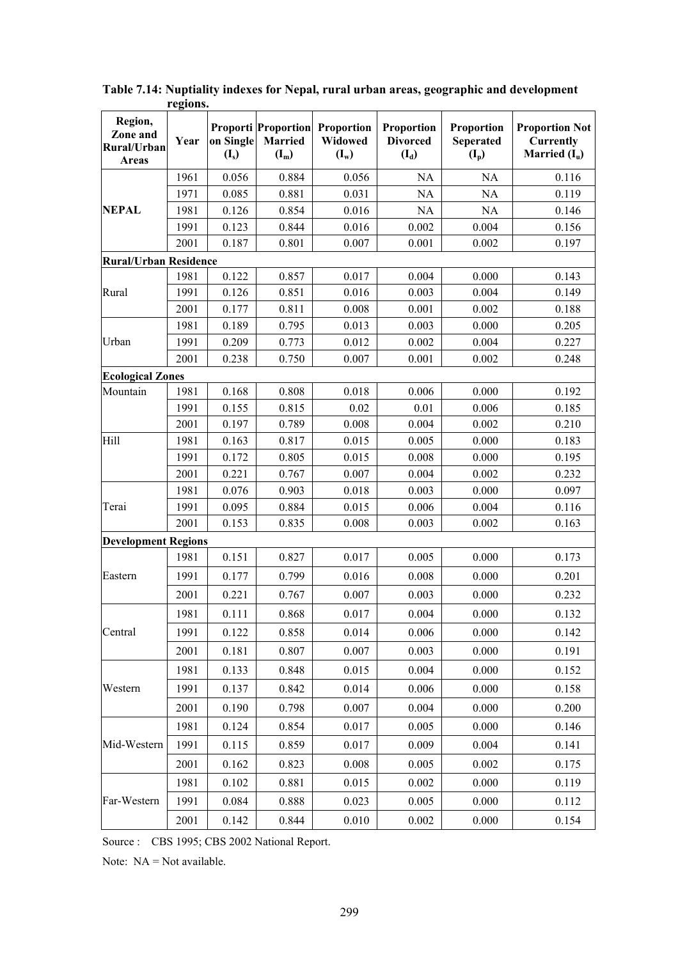| Region,<br>Zone and<br>Rural/Urban<br><b>Areas</b> | Year | on Single<br>$(I_s)$ | <b>Proporti Proportion</b><br><b>Married</b><br>$(I_m)$ | Proportion<br>Widowed<br>$(I_w)$ | Proportion<br><b>Divorced</b><br>$(I_d)$ | Proportion<br>Seperated<br>$(I_p)$ | <b>Proportion Not</b><br><b>Currently</b><br>Married $(I_u)$ |
|----------------------------------------------------|------|----------------------|---------------------------------------------------------|----------------------------------|------------------------------------------|------------------------------------|--------------------------------------------------------------|
|                                                    | 1961 | 0.056                | 0.884                                                   | 0.056                            | NA                                       | NA                                 | 0.116                                                        |
|                                                    | 1971 | 0.085                | 0.881                                                   | 0.031                            | <b>NA</b>                                | NA                                 | 0.119                                                        |
| <b>NEPAL</b>                                       | 1981 | 0.126                | 0.854                                                   | 0.016                            | NA                                       | NA                                 | 0.146                                                        |
|                                                    | 1991 | 0.123                | 0.844                                                   | 0.016                            | 0.002                                    | 0.004                              | 0.156                                                        |
|                                                    | 2001 | 0.187                | 0.801                                                   | 0.007                            | 0.001                                    | 0.002                              | 0.197                                                        |
| <b>Rural/Urban Residence</b>                       |      |                      |                                                         |                                  |                                          |                                    |                                                              |
|                                                    | 1981 | 0.122                | 0.857                                                   | 0.017                            | 0.004                                    | 0.000                              | 0.143                                                        |
| Rural                                              | 1991 | 0.126                | 0.851                                                   | 0.016                            | 0.003                                    | 0.004                              | 0.149                                                        |
|                                                    | 2001 | 0.177                | 0.811                                                   | 0.008                            | 0.001                                    | 0.002                              | 0.188                                                        |
|                                                    | 1981 | 0.189                | 0.795                                                   | 0.013                            | 0.003                                    | 0.000                              | 0.205                                                        |
| Urban                                              | 1991 | 0.209                | 0.773                                                   | 0.012                            | 0.002                                    | 0.004                              | 0.227                                                        |
|                                                    | 2001 | 0.238                | 0.750                                                   | 0.007                            | 0.001                                    | 0.002                              | 0.248                                                        |
| <b>Ecological Zones</b>                            | 1981 | 0.168                | 0.808                                                   | 0.018                            | 0.006                                    | 0.000                              | 0.192                                                        |
| Mountain                                           | 1991 | 0.155                | 0.815                                                   | 0.02                             | 0.01                                     | 0.006                              | 0.185                                                        |
|                                                    | 2001 | 0.197                | 0.789                                                   | 0.008                            | 0.004                                    | 0.002                              | 0.210                                                        |
| Hill                                               | 1981 | 0.163                | 0.817                                                   | 0.015                            | 0.005                                    | 0.000                              | 0.183                                                        |
|                                                    | 1991 | 0.172                | 0.805                                                   | 0.015                            | 0.008                                    | 0.000                              | 0.195                                                        |
|                                                    | 2001 | 0.221                | 0.767                                                   | 0.007                            | 0.004                                    | 0.002                              | 0.232                                                        |
|                                                    | 1981 | 0.076                | 0.903                                                   | 0.018                            | 0.003                                    | 0.000                              | 0.097                                                        |
| Terai                                              | 1991 | 0.095                | 0.884                                                   | 0.015                            | 0.006                                    | 0.004                              | 0.116                                                        |
|                                                    | 2001 | 0.153                | 0.835                                                   | 0.008                            | 0.003                                    | 0.002                              | 0.163                                                        |
| <b>Development Regions</b>                         |      |                      |                                                         |                                  |                                          |                                    |                                                              |
|                                                    | 1981 | 0.151                | 0.827                                                   | 0.017                            | 0.005                                    | 0.000                              | 0.173                                                        |
| Eastern                                            | 1991 | 0.177                | 0.799                                                   | 0.016                            | 0.008                                    | 0.000                              | 0.201                                                        |
|                                                    | 2001 | 0.221                | 0.767                                                   | 0.007                            | 0.003                                    | 0.000                              | 0.232                                                        |
|                                                    | 1981 | 0.111                | 0.868                                                   | 0.017                            | 0.004                                    | 0.000                              | 0.132                                                        |
| Central                                            | 1991 | 0.122                | 0.858                                                   | 0.014                            | 0.006                                    | 0.000                              | 0.142                                                        |
|                                                    | 2001 | 0.181                | 0.807                                                   | 0.007                            | 0.003                                    | 0.000                              | 0.191                                                        |
|                                                    | 1981 | 0.133                | 0.848                                                   | 0.015                            | 0.004                                    | 0.000                              | 0.152                                                        |
| Western                                            | 1991 | 0.137                | 0.842                                                   | 0.014                            | 0.006                                    | 0.000                              | 0.158                                                        |
|                                                    | 2001 | 0.190                | 0.798                                                   | 0.007                            | 0.004                                    | 0.000                              | 0.200                                                        |
|                                                    | 1981 | 0.124                | 0.854                                                   | 0.017                            | 0.005                                    | 0.000                              | 0.146                                                        |
| Mid-Western                                        | 1991 | 0.115                | 0.859                                                   | 0.017                            | 0.009                                    | 0.004                              | 0.141                                                        |
|                                                    | 2001 | 0.162                | 0.823                                                   | 0.008                            | 0.005                                    | 0.002                              | 0.175                                                        |
|                                                    | 1981 | 0.102                | 0.881                                                   | 0.015                            | 0.002                                    | 0.000                              | 0.119                                                        |
| Far-Western                                        | 1991 | 0.084                | 0.888                                                   | 0.023                            | 0.005                                    | 0.000                              | 0.112                                                        |
|                                                    | 2001 | 0.142                | 0.844                                                   | 0.010                            | 0.002                                    | 0.000                              | 0.154                                                        |

**Table 7.14: Nuptiality indexes for Nepal, rural urban areas, geographic and development regions.** 

Source : CBS 1995; CBS 2002 National Report.

Note: NA = Not available.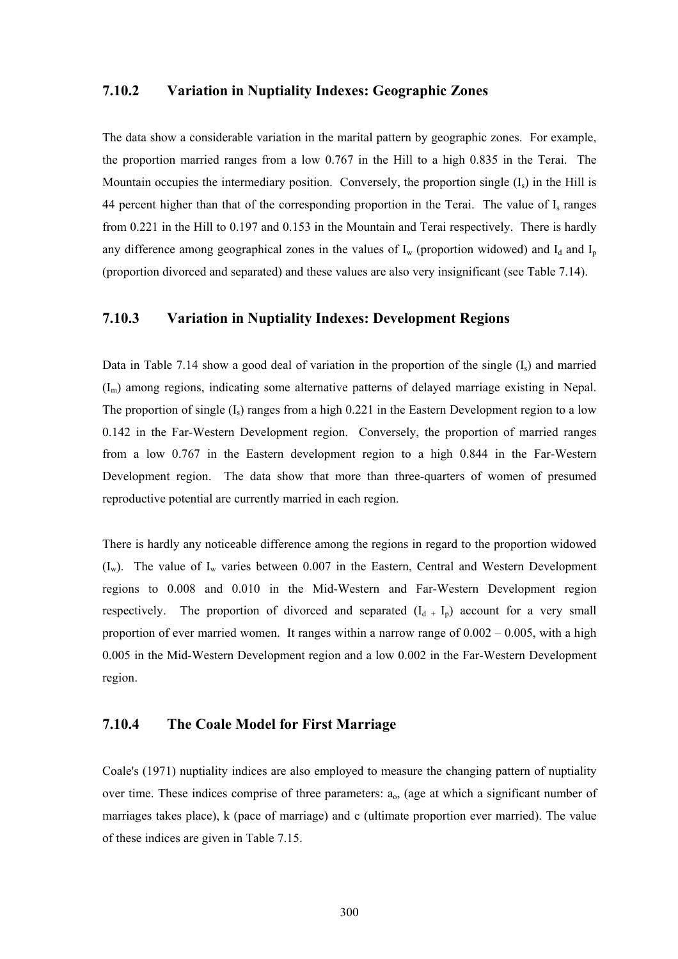#### **7.10.2 Variation in Nuptiality Indexes: Geographic Zones**

The data show a considerable variation in the marital pattern by geographic zones. For example, the proportion married ranges from a low 0.767 in the Hill to a high 0.835 in the Terai. The Mountain occupies the intermediary position. Conversely, the proportion single  $(I_s)$  in the Hill is 44 percent higher than that of the corresponding proportion in the Terai. The value of  $I_s$  ranges from 0.221 in the Hill to 0.197 and 0.153 in the Mountain and Terai respectively. There is hardly any difference among geographical zones in the values of  $I_w$  (proportion widowed) and  $I_d$  and  $I_p$ (proportion divorced and separated) and these values are also very insignificant (see Table 7.14).

#### **7.10.3 Variation in Nuptiality Indexes: Development Regions**

Data in Table 7.14 show a good deal of variation in the proportion of the single  $(I_s)$  and married  $(I_m)$  among regions, indicating some alternative patterns of delayed marriage existing in Nepal. The proportion of single  $(I_s)$  ranges from a high 0.221 in the Eastern Development region to a low 0.142 in the Far-Western Development region. Conversely, the proportion of married ranges from a low 0.767 in the Eastern development region to a high 0.844 in the Far-Western Development region. The data show that more than three-quarters of women of presumed reproductive potential are currently married in each region.

There is hardly any noticeable difference among the regions in regard to the proportion widowed  $(I_w)$ . The value of  $I_w$  varies between 0.007 in the Eastern, Central and Western Development regions to 0.008 and 0.010 in the Mid-Western and Far-Western Development region respectively. The proportion of divorced and separated  $(I_d + I_p)$  account for a very small proportion of ever married women. It ranges within a narrow range of  $0.002 - 0.005$ , with a high 0.005 in the Mid-Western Development region and a low 0.002 in the Far-Western Development region.

#### **7.10.4 The Coale Model for First Marriage**

Coale's (1971) nuptiality indices are also employed to measure the changing pattern of nuptiality over time. These indices comprise of three parameters:  $a<sub>o</sub>$ , (age at which a significant number of marriages takes place), k (pace of marriage) and c (ultimate proportion ever married). The value of these indices are given in Table 7.15.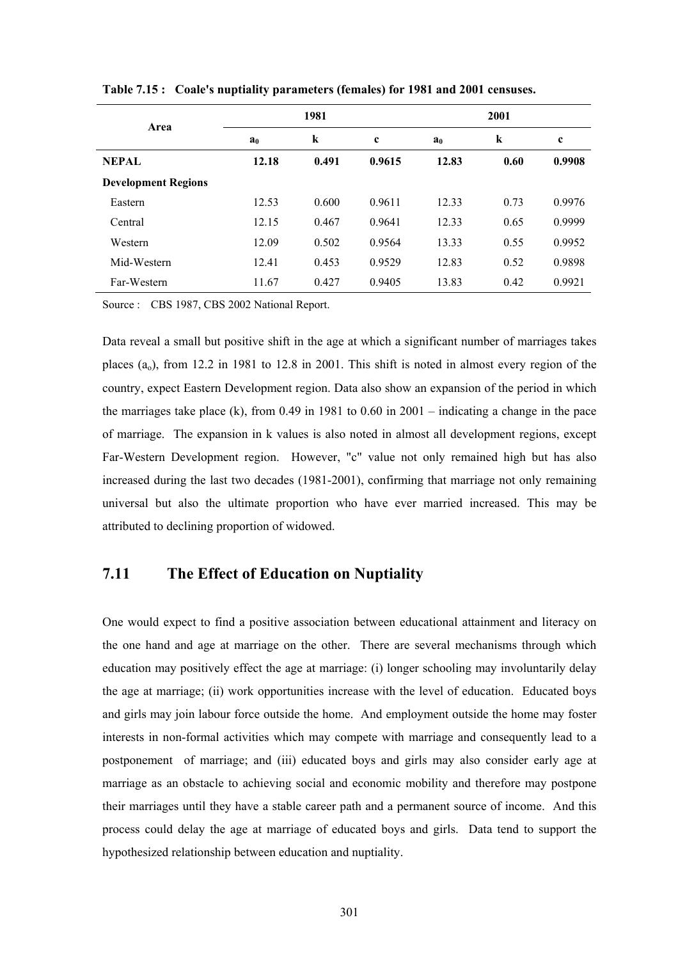| Area                       |                | 1981    |             | 2001           |         |             |  |
|----------------------------|----------------|---------|-------------|----------------|---------|-------------|--|
|                            | a <sub>0</sub> | $\bf k$ | $\mathbf c$ | a <sub>0</sub> | $\bf k$ | $\mathbf c$ |  |
| <b>NEPAL</b>               | 12.18          | 0.491   | 0.9615      | 12.83          | 0.60    | 0.9908      |  |
| <b>Development Regions</b> |                |         |             |                |         |             |  |
| Eastern                    | 12.53          | 0.600   | 0.9611      | 12.33          | 0.73    | 0.9976      |  |
| Central                    | 12.15          | 0.467   | 0.9641      | 12.33          | 0.65    | 0.9999      |  |
| Western                    | 12.09          | 0.502   | 0.9564      | 13.33          | 0.55    | 0.9952      |  |
| Mid-Western                | 12.41          | 0.453   | 0.9529      | 12.83          | 0.52    | 0.9898      |  |
| Far-Western                | 11.67          | 0.427   | 0.9405      | 13.83          | 0.42    | 0.9921      |  |

**Table 7.15 : Coale's nuptiality parameters (females) for 1981 and 2001 censuses.** 

Source : CBS 1987, CBS 2002 National Report.

Data reveal a small but positive shift in the age at which a significant number of marriages takes places  $(a_0)$ , from 12.2 in 1981 to 12.8 in 2001. This shift is noted in almost every region of the country, expect Eastern Development region. Data also show an expansion of the period in which the marriages take place (k), from 0.49 in 1981 to 0.60 in 2001 – indicating a change in the pace of marriage. The expansion in k values is also noted in almost all development regions, except Far-Western Development region. However, "c" value not only remained high but has also increased during the last two decades (1981-2001), confirming that marriage not only remaining universal but also the ultimate proportion who have ever married increased. This may be attributed to declining proportion of widowed.

## **7.11 The Effect of Education on Nuptiality**

One would expect to find a positive association between educational attainment and literacy on the one hand and age at marriage on the other. There are several mechanisms through which education may positively effect the age at marriage: (i) longer schooling may involuntarily delay the age at marriage; (ii) work opportunities increase with the level of education. Educated boys and girls may join labour force outside the home. And employment outside the home may foster interests in non-formal activities which may compete with marriage and consequently lead to a postponement of marriage; and (iii) educated boys and girls may also consider early age at marriage as an obstacle to achieving social and economic mobility and therefore may postpone their marriages until they have a stable career path and a permanent source of income. And this process could delay the age at marriage of educated boys and girls. Data tend to support the hypothesized relationship between education and nuptiality.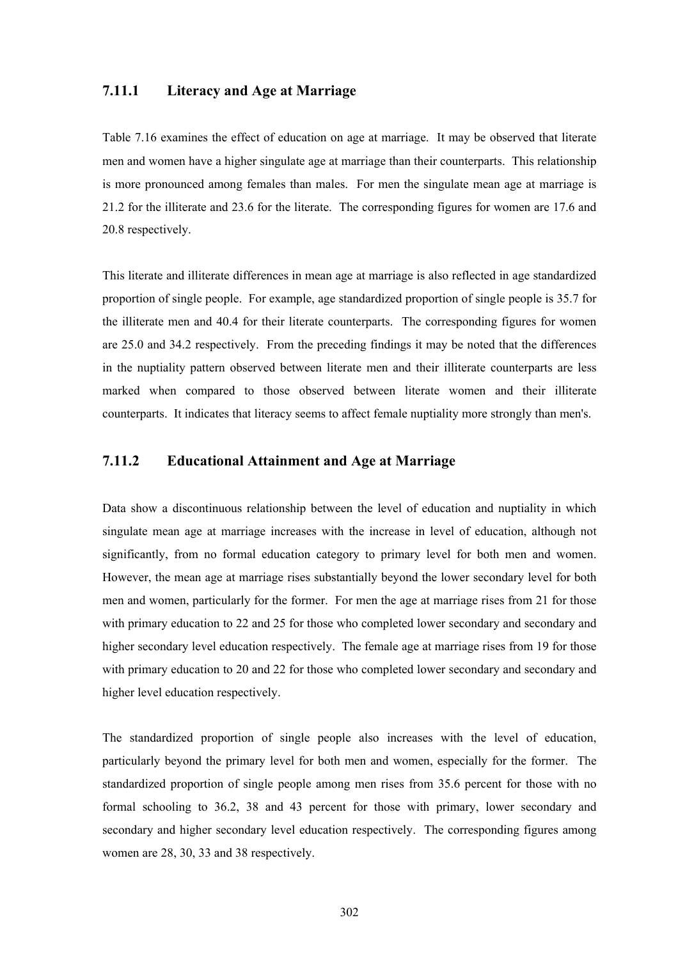#### **7.11.1 Literacy and Age at Marriage**

Table 7.16 examines the effect of education on age at marriage. It may be observed that literate men and women have a higher singulate age at marriage than their counterparts. This relationship is more pronounced among females than males. For men the singulate mean age at marriage is 21.2 for the illiterate and 23.6 for the literate. The corresponding figures for women are 17.6 and 20.8 respectively.

This literate and illiterate differences in mean age at marriage is also reflected in age standardized proportion of single people. For example, age standardized proportion of single people is 35.7 for the illiterate men and 40.4 for their literate counterparts. The corresponding figures for women are 25.0 and 34.2 respectively. From the preceding findings it may be noted that the differences in the nuptiality pattern observed between literate men and their illiterate counterparts are less marked when compared to those observed between literate women and their illiterate counterparts. It indicates that literacy seems to affect female nuptiality more strongly than men's.

#### **7.11.2 Educational Attainment and Age at Marriage**

Data show a discontinuous relationship between the level of education and nuptiality in which singulate mean age at marriage increases with the increase in level of education, although not significantly, from no formal education category to primary level for both men and women. However, the mean age at marriage rises substantially beyond the lower secondary level for both men and women, particularly for the former. For men the age at marriage rises from 21 for those with primary education to 22 and 25 for those who completed lower secondary and secondary and higher secondary level education respectively. The female age at marriage rises from 19 for those with primary education to 20 and 22 for those who completed lower secondary and secondary and higher level education respectively.

The standardized proportion of single people also increases with the level of education, particularly beyond the primary level for both men and women, especially for the former. The standardized proportion of single people among men rises from 35.6 percent for those with no formal schooling to 36.2, 38 and 43 percent for those with primary, lower secondary and secondary and higher secondary level education respectively. The corresponding figures among women are 28, 30, 33 and 38 respectively.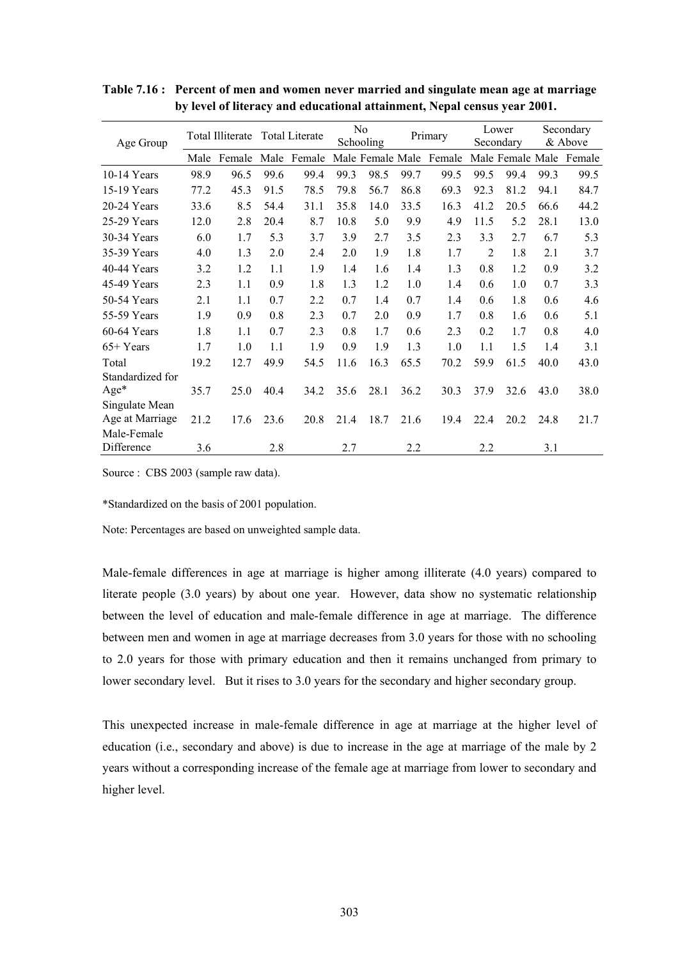| Age Group                         |      | Total Illiterate |      | <b>Total Literate</b> |      | N <sub>0</sub><br>Schooling |      | Primary |                | Lower<br>Secondary |      | Secondary<br>& Above    |
|-----------------------------------|------|------------------|------|-----------------------|------|-----------------------------|------|---------|----------------|--------------------|------|-------------------------|
|                                   | Male | Female           | Male | Female                |      | Male Female Male            |      | Female  |                |                    |      | Male Female Male Female |
| $10-14$ Years                     | 98.9 | 96.5             | 99.6 | 99.4                  | 99.3 | 98.5                        | 99.7 | 99.5    | 99.5           | 99.4               | 99.3 | 99.5                    |
| 15-19 Years                       | 77.2 | 45.3             | 91.5 | 78.5                  | 79.8 | 56.7                        | 86.8 | 69.3    | 92.3           | 81.2               | 94.1 | 84.7                    |
| $20-24$ Years                     | 33.6 | 8.5              | 54.4 | 31.1                  | 35.8 | 14.0                        | 33.5 | 16.3    | 41.2           | 20.5               | 66.6 | 44.2                    |
| 25-29 Years                       | 12.0 | 2.8              | 20.4 | 8.7                   | 10.8 | 5.0                         | 9.9  | 4.9     | 11.5           | 5.2                | 28.1 | 13.0                    |
| 30-34 Years                       | 6.0  | 1.7              | 5.3  | 3.7                   | 3.9  | 2.7                         | 3.5  | 2.3     | 3.3            | 2.7                | 6.7  | 5.3                     |
| 35-39 Years                       | 4.0  | 1.3              | 2.0  | 2.4                   | 2.0  | 1.9                         | 1.8  | 1.7     | $\overline{2}$ | 1.8                | 2.1  | 3.7                     |
| 40-44 Years                       | 3.2  | 1.2              | 1.1  | 1.9                   | 1.4  | 1.6                         | 1.4  | 1.3     | 0.8            | 1.2                | 0.9  | 3.2                     |
| 45-49 Years                       | 2.3  | 1.1              | 0.9  | 1.8                   | 1.3  | 1.2                         | 1.0  | 1.4     | 0.6            | 1.0                | 0.7  | 3.3                     |
| 50-54 Years                       | 2.1  | 1.1              | 0.7  | 2.2                   | 0.7  | 1.4                         | 0.7  | 1.4     | 0.6            | 1.8                | 0.6  | 4.6                     |
| 55-59 Years                       | 1.9  | 0.9              | 0.8  | 2.3                   | 0.7  | 2.0                         | 0.9  | 1.7     | 0.8            | 1.6                | 0.6  | 5.1                     |
| 60-64 Years                       | 1.8  | 1.1              | 0.7  | 2.3                   | 0.8  | 1.7                         | 0.6  | 2.3     | 0.2            | 1.7                | 0.8  | 4.0                     |
| $65+Years$                        | 1.7  | 1.0              | 1.1  | 1.9                   | 0.9  | 1.9                         | 1.3  | 1.0     | 1.1            | 1.5                | 1.4  | 3.1                     |
| Total                             | 19.2 | 12.7             | 49.9 | 54.5                  | 11.6 | 16.3                        | 65.5 | 70.2    | 59.9           | 61.5               | 40.0 | 43.0                    |
| Standardized for                  |      |                  |      |                       |      |                             |      |         |                |                    |      |                         |
| $Age*$                            | 35.7 | 25.0             | 40.4 | 34.2                  | 35.6 | 28.1                        | 36.2 | 30.3    | 37.9           | 32.6               | 43.0 | 38.0                    |
| Singulate Mean<br>Age at Marriage | 21.2 | 17.6             | 23.6 | 20.8                  | 21.4 | 18.7                        | 21.6 | 19.4    | 22.4           | 20.2               | 24.8 | 21.7                    |
| Male-Female<br>Difference         | 3.6  |                  | 2.8  |                       | 2.7  |                             | 2.2  |         | 2.2            |                    | 3.1  |                         |

**Table 7.16 : Percent of men and women never married and singulate mean age at marriage by level of literacy and educational attainment, Nepal census year 2001.** 

Source : CBS 2003 (sample raw data).

\*Standardized on the basis of 2001 population.

Note: Percentages are based on unweighted sample data.

Male-female differences in age at marriage is higher among illiterate (4.0 years) compared to literate people (3.0 years) by about one year. However, data show no systematic relationship between the level of education and male-female difference in age at marriage. The difference between men and women in age at marriage decreases from 3.0 years for those with no schooling to 2.0 years for those with primary education and then it remains unchanged from primary to lower secondary level. But it rises to 3.0 years for the secondary and higher secondary group.

This unexpected increase in male-female difference in age at marriage at the higher level of education (i.e., secondary and above) is due to increase in the age at marriage of the male by 2 years without a corresponding increase of the female age at marriage from lower to secondary and higher level.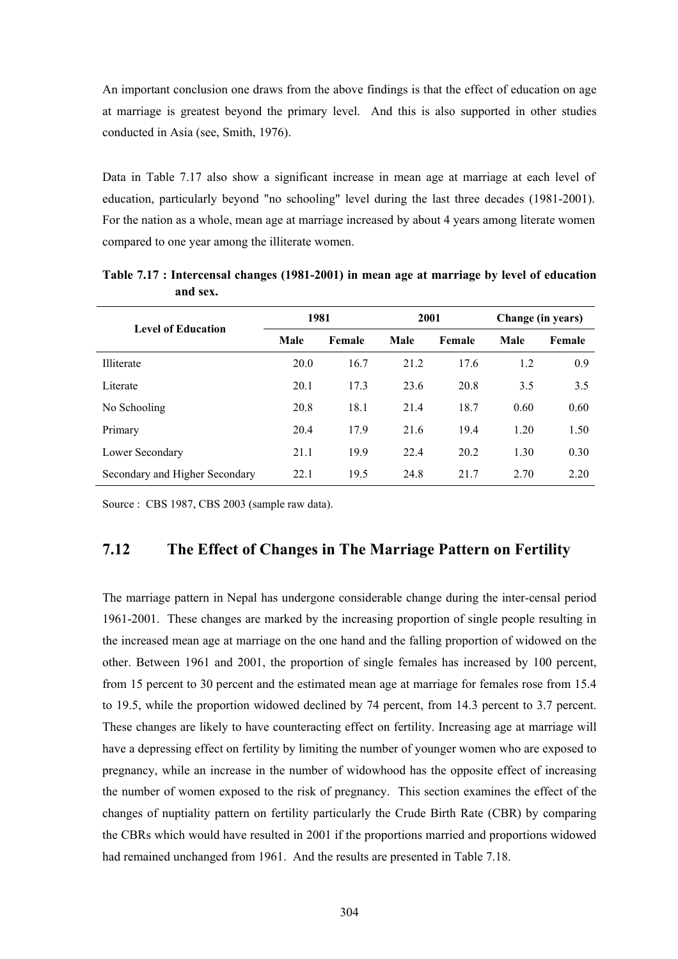An important conclusion one draws from the above findings is that the effect of education on age at marriage is greatest beyond the primary level. And this is also supported in other studies conducted in Asia (see, Smith, 1976).

Data in Table 7.17 also show a significant increase in mean age at marriage at each level of education, particularly beyond "no schooling" level during the last three decades (1981-2001). For the nation as a whole, mean age at marriage increased by about 4 years among literate women compared to one year among the illiterate women.

| <b>Level of Education</b>      | 1981 |        | 2001 |        | Change (in years) |        |  |
|--------------------------------|------|--------|------|--------|-------------------|--------|--|
|                                | Male | Female | Male | Female | Male              | Female |  |
| <b>Illiterate</b>              | 20.0 | 16.7   | 21.2 | 17.6   | 1.2               | 0.9    |  |
| Literate                       | 20.1 | 17.3   | 23.6 | 20.8   | 3.5               | 3.5    |  |
| No Schooling                   | 20.8 | 18.1   | 21.4 | 18.7   | 0.60              | 0.60   |  |
| Primary                        | 20.4 | 17.9   | 21.6 | 19.4   | 1.20              | 1.50   |  |
| Lower Secondary                | 21.1 | 19.9   | 22.4 | 20.2   | 1.30              | 0.30   |  |
| Secondary and Higher Secondary | 22.1 | 19.5   | 24.8 | 21.7   | 2.70              | 2.20   |  |

**Table 7.17 : Intercensal changes (1981-2001) in mean age at marriage by level of education and sex.** 

Source : CBS 1987, CBS 2003 (sample raw data).

## **7.12 The Effect of Changes in The Marriage Pattern on Fertility**

The marriage pattern in Nepal has undergone considerable change during the inter-censal period 1961-2001. These changes are marked by the increasing proportion of single people resulting in the increased mean age at marriage on the one hand and the falling proportion of widowed on the other. Between 1961 and 2001, the proportion of single females has increased by 100 percent, from 15 percent to 30 percent and the estimated mean age at marriage for females rose from 15.4 to 19.5, while the proportion widowed declined by 74 percent, from 14.3 percent to 3.7 percent. These changes are likely to have counteracting effect on fertility. Increasing age at marriage will have a depressing effect on fertility by limiting the number of younger women who are exposed to pregnancy, while an increase in the number of widowhood has the opposite effect of increasing the number of women exposed to the risk of pregnancy. This section examines the effect of the changes of nuptiality pattern on fertility particularly the Crude Birth Rate (CBR) by comparing the CBRs which would have resulted in 2001 if the proportions married and proportions widowed had remained unchanged from 1961. And the results are presented in Table 7.18.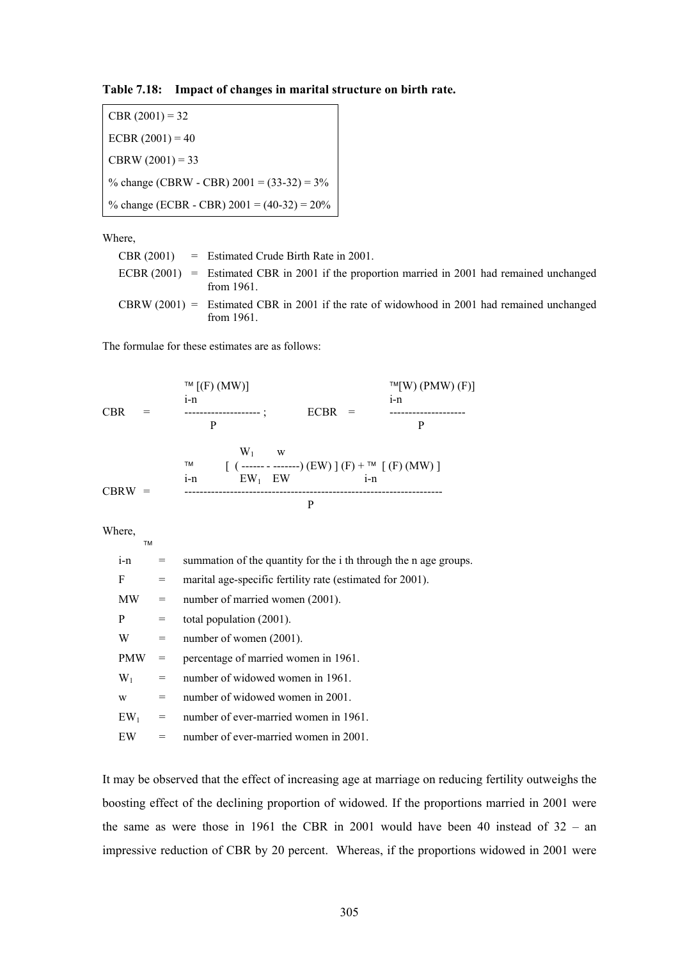**Table 7.18: Impact of changes in marital structure on birth rate.** 

 $CBR (2001) = 32$ ECBR  $(2001) = 40$  $CBRW (2001) = 33$ % change (CBRW - CBR)  $2001 = (33-32) = 3\%$ % change (ECBR - CBR) 2001 = (40-32) = 20%

Where,

|  | CBR $(2001)$ = Estimated Crude Birth Rate in 2001.                                                              |
|--|-----------------------------------------------------------------------------------------------------------------|
|  | ECBR $(2001)$ = Estimated CBR in 2001 if the proportion married in 2001 had remained unchanged<br>from $1961$ . |
|  | CBRW $(2001)$ = Estimated CBR in 2001 if the rate of widowhood in 2001 had remained unchanged<br>from $1961$ .  |

The formulae for these estimates are as follows:

|            | $TM$ $[(F)(MW)]$                        |                                                                          | $TM(W)$ (PMW) (F)] |
|------------|-----------------------------------------|--------------------------------------------------------------------------|--------------------|
|            | $1 - n$                                 |                                                                          | $1 - n$            |
| <b>CBR</b> |                                         | <b>ECBR</b><br>$=$                                                       |                    |
|            | P                                       |                                                                          | P                  |
|            | $W_1$<br>W<br>ТM<br>$EW1$ EW<br>$1 - n$ | $[$ ( ------ - -------) (EW) ] (F) + <sup>TM</sup> [ (F) (MW) ]<br>$i-n$ |                    |
| $CBRW =$   |                                         | р                                                                        |                    |

Where,

T<sub>N</sub>

| $i-n$      | $=$ $\qquad$ | summation of the quantity for the i the through the n age groups. |
|------------|--------------|-------------------------------------------------------------------|
| F          | $=$          | marital age-specific fertility rate (estimated for 2001).         |
| MW         | $=$          | number of married women (2001).                                   |
| P          | $=$          | total population (2001).                                          |
| W          | $=$          | number of women (2001).                                           |
| <b>PMW</b> | $=$          | percentage of married women in 1961.                              |
| $W_1$      | $=$          | number of widowed women in 1961.                                  |
| W          | $=$          | number of widowed women in 2001.                                  |
| $EW_1$     | $=$          | number of ever-married women in 1961.                             |
| EW         | $=$          | number of ever-married women in 2001.                             |
|            |              |                                                                   |

It may be observed that the effect of increasing age at marriage on reducing fertility outweighs the boosting effect of the declining proportion of widowed. If the proportions married in 2001 were the same as were those in 1961 the CBR in 2001 would have been 40 instead of 32 – an impressive reduction of CBR by 20 percent. Whereas, if the proportions widowed in 2001 were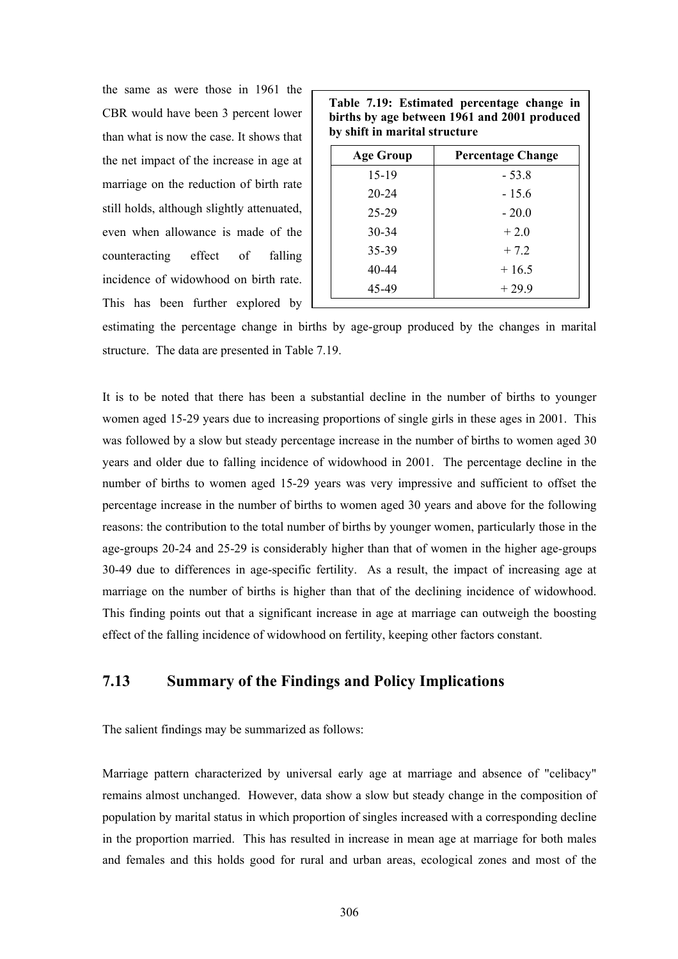the same as were those in 1961 the CBR would have been 3 percent lower than what is now the case. It shows that the net impact of the increase in age at marriage on the reduction of birth rate still holds, although slightly attenuated, even when allowance is made of the counteracting effect of falling incidence of widowhood on birth rate. This has been further explored by

| Table 7.19: Estimated percentage change in   |  |  |  |  |  |  |  |  |
|----------------------------------------------|--|--|--|--|--|--|--|--|
| births by age between 1961 and 2001 produced |  |  |  |  |  |  |  |  |
| by shift in marital structure                |  |  |  |  |  |  |  |  |

| <b>Percentage Change</b> |
|--------------------------|
| $-53.8$                  |
| $-15.6$                  |
| $-20.0$                  |
| $+2.0$                   |
| $+7.2$                   |
| $+16.5$                  |
| $+29.9$                  |
|                          |

estimating the percentage change in births by age-group produced by the changes in marital structure. The data are presented in Table 7.19.

It is to be noted that there has been a substantial decline in the number of births to younger women aged 15-29 years due to increasing proportions of single girls in these ages in 2001. This was followed by a slow but steady percentage increase in the number of births to women aged 30 years and older due to falling incidence of widowhood in 2001. The percentage decline in the number of births to women aged 15-29 years was very impressive and sufficient to offset the percentage increase in the number of births to women aged 30 years and above for the following reasons: the contribution to the total number of births by younger women, particularly those in the age-groups 20-24 and 25-29 is considerably higher than that of women in the higher age-groups 30-49 due to differences in age-specific fertility. As a result, the impact of increasing age at marriage on the number of births is higher than that of the declining incidence of widowhood. This finding points out that a significant increase in age at marriage can outweigh the boosting effect of the falling incidence of widowhood on fertility, keeping other factors constant.

## **7.13 Summary of the Findings and Policy Implications**

The salient findings may be summarized as follows:

Marriage pattern characterized by universal early age at marriage and absence of "celibacy" remains almost unchanged. However, data show a slow but steady change in the composition of population by marital status in which proportion of singles increased with a corresponding decline in the proportion married. This has resulted in increase in mean age at marriage for both males and females and this holds good for rural and urban areas, ecological zones and most of the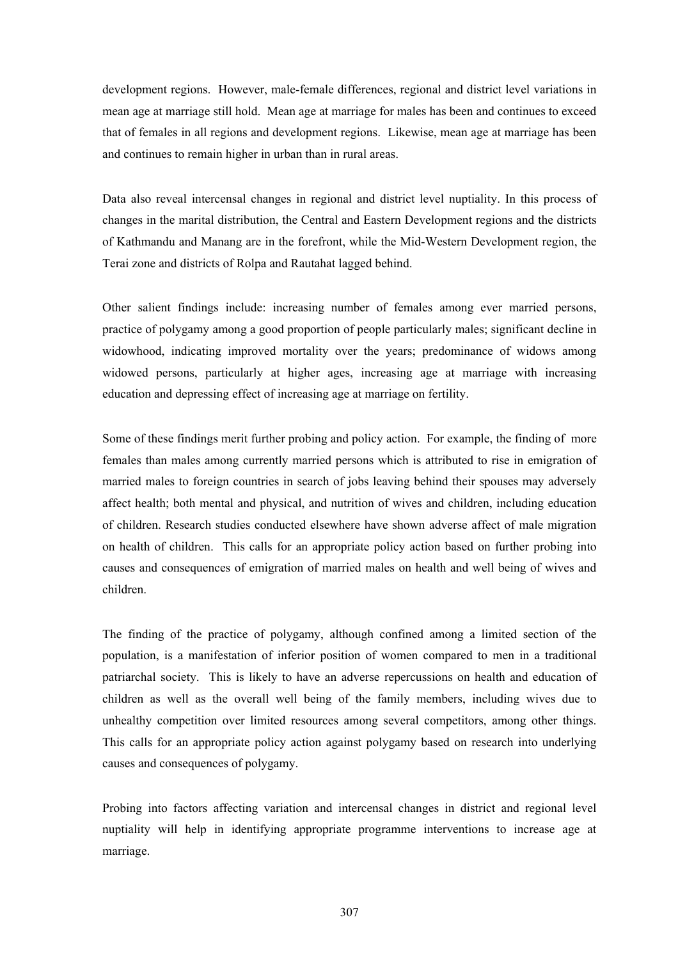development regions. However, male-female differences, regional and district level variations in mean age at marriage still hold. Mean age at marriage for males has been and continues to exceed that of females in all regions and development regions. Likewise, mean age at marriage has been and continues to remain higher in urban than in rural areas.

Data also reveal intercensal changes in regional and district level nuptiality. In this process of changes in the marital distribution, the Central and Eastern Development regions and the districts of Kathmandu and Manang are in the forefront, while the Mid-Western Development region, the Terai zone and districts of Rolpa and Rautahat lagged behind.

Other salient findings include: increasing number of females among ever married persons, practice of polygamy among a good proportion of people particularly males; significant decline in widowhood, indicating improved mortality over the years; predominance of widows among widowed persons, particularly at higher ages, increasing age at marriage with increasing education and depressing effect of increasing age at marriage on fertility.

Some of these findings merit further probing and policy action. For example, the finding of more females than males among currently married persons which is attributed to rise in emigration of married males to foreign countries in search of jobs leaving behind their spouses may adversely affect health; both mental and physical, and nutrition of wives and children, including education of children. Research studies conducted elsewhere have shown adverse affect of male migration on health of children. This calls for an appropriate policy action based on further probing into causes and consequences of emigration of married males on health and well being of wives and children.

The finding of the practice of polygamy, although confined among a limited section of the population, is a manifestation of inferior position of women compared to men in a traditional patriarchal society. This is likely to have an adverse repercussions on health and education of children as well as the overall well being of the family members, including wives due to unhealthy competition over limited resources among several competitors, among other things. This calls for an appropriate policy action against polygamy based on research into underlying causes and consequences of polygamy.

Probing into factors affecting variation and intercensal changes in district and regional level nuptiality will help in identifying appropriate programme interventions to increase age at marriage.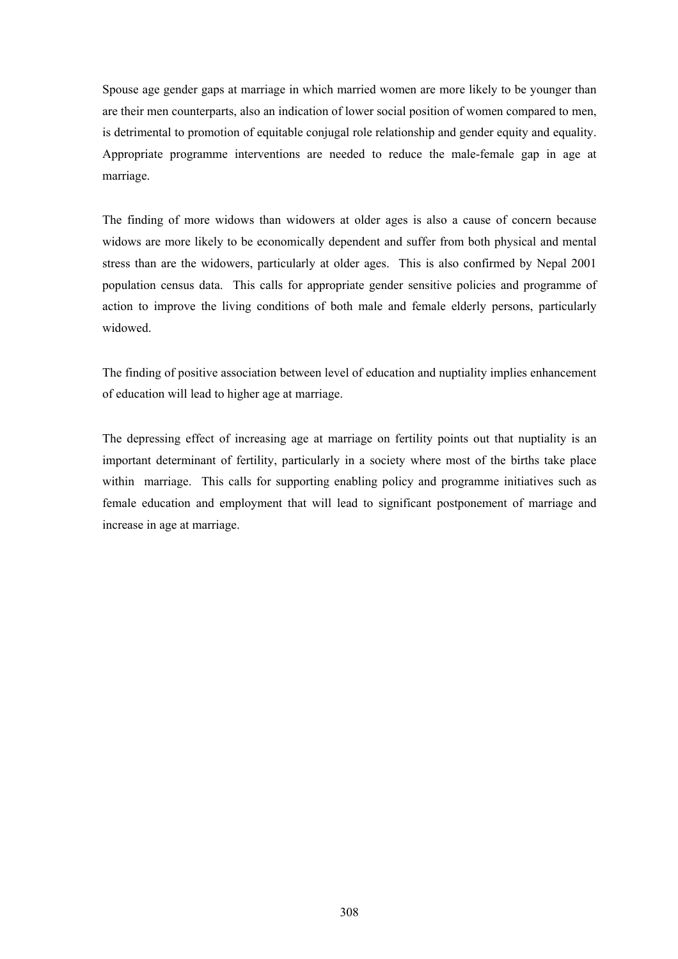Spouse age gender gaps at marriage in which married women are more likely to be younger than are their men counterparts, also an indication of lower social position of women compared to men, is detrimental to promotion of equitable conjugal role relationship and gender equity and equality. Appropriate programme interventions are needed to reduce the male-female gap in age at marriage.

The finding of more widows than widowers at older ages is also a cause of concern because widows are more likely to be economically dependent and suffer from both physical and mental stress than are the widowers, particularly at older ages. This is also confirmed by Nepal 2001 population census data. This calls for appropriate gender sensitive policies and programme of action to improve the living conditions of both male and female elderly persons, particularly widowed.

The finding of positive association between level of education and nuptiality implies enhancement of education will lead to higher age at marriage.

The depressing effect of increasing age at marriage on fertility points out that nuptiality is an important determinant of fertility, particularly in a society where most of the births take place within marriage. This calls for supporting enabling policy and programme initiatives such as female education and employment that will lead to significant postponement of marriage and increase in age at marriage.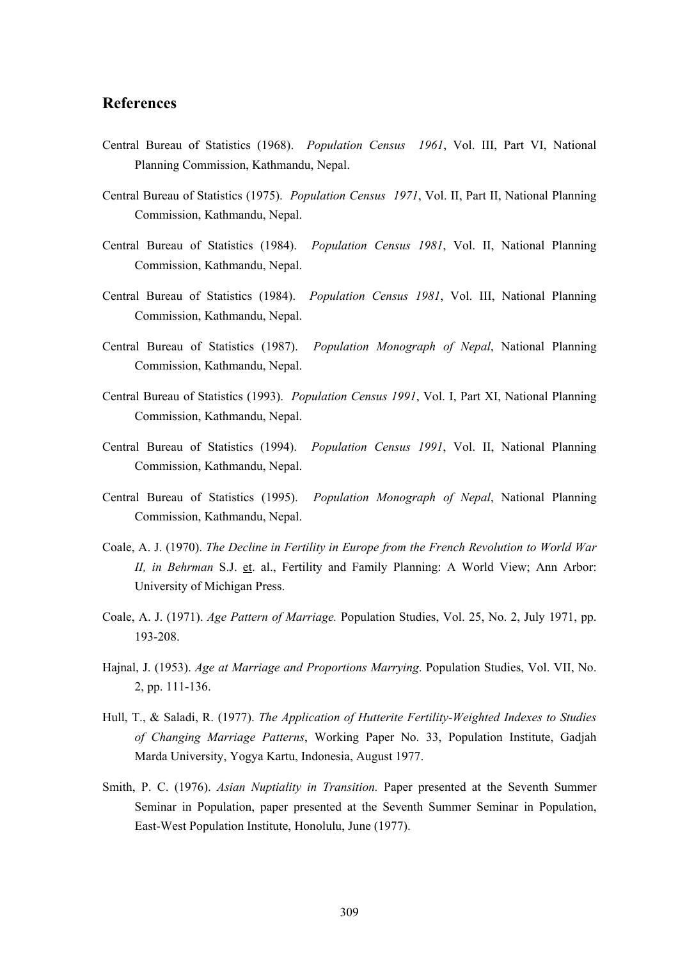#### **References**

- Central Bureau of Statistics (1968). *Population Census 1961*, Vol. III, Part VI, National Planning Commission, Kathmandu, Nepal.
- Central Bureau of Statistics (1975). *Population Census 1971*, Vol. II, Part II, National Planning Commission, Kathmandu, Nepal.
- Central Bureau of Statistics (1984). *Population Census 1981*, Vol. II, National Planning Commission, Kathmandu, Nepal.
- Central Bureau of Statistics (1984). *Population Census 1981*, Vol. III, National Planning Commission, Kathmandu, Nepal.
- Central Bureau of Statistics (1987). *Population Monograph of Nepal*, National Planning Commission, Kathmandu, Nepal.
- Central Bureau of Statistics (1993). *Population Census 1991*, Vol. I, Part XI, National Planning Commission, Kathmandu, Nepal.
- Central Bureau of Statistics (1994). *Population Census 1991*, Vol. II, National Planning Commission, Kathmandu, Nepal.
- Central Bureau of Statistics (1995). *Population Monograph of Nepal*, National Planning Commission, Kathmandu, Nepal.
- Coale, A. J. (1970). *The Decline in Fertility in Europe from the French Revolution to World War II, in Behrman* S.J. et. al., Fertility and Family Planning: A World View; Ann Arbor: University of Michigan Press.
- Coale, A. J. (1971). *Age Pattern of Marriage.* Population Studies, Vol. 25, No. 2, July 1971, pp. 193-208.
- Hajnal, J. (1953). *Age at Marriage and Proportions Marrying*. Population Studies, Vol. VII, No. 2, pp. 111-136.
- Hull, T., & Saladi, R. (1977). *The Application of Hutterite Fertility-Weighted Indexes to Studies of Changing Marriage Patterns*, Working Paper No. 33, Population Institute, Gadjah Marda University, Yogya Kartu, Indonesia, August 1977.
- Smith, P. C. (1976). *Asian Nuptiality in Transition.* Paper presented at the Seventh Summer Seminar in Population, paper presented at the Seventh Summer Seminar in Population, East-West Population Institute, Honolulu, June (1977).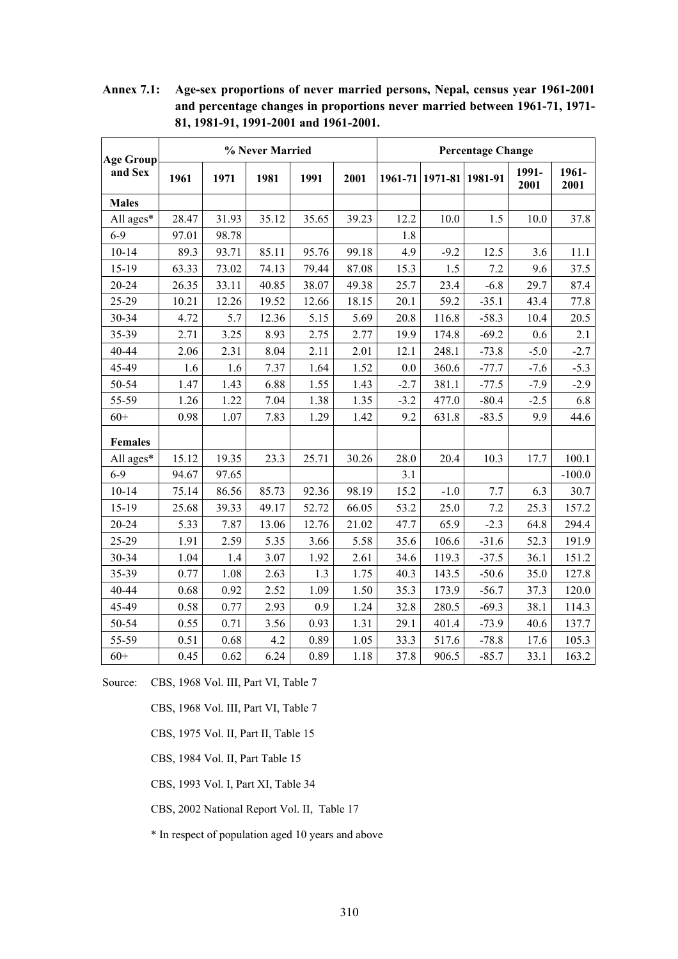| <b>Age Group</b> | % Never Married |       |       |       |       | <b>Percentage Change</b> |                         |         |               |               |
|------------------|-----------------|-------|-------|-------|-------|--------------------------|-------------------------|---------|---------------|---------------|
| and Sex          | 1961            | 1971  | 1981  | 1991  | 2001  |                          | 1961-71 1971-81 1981-91 |         | 1991-<br>2001 | 1961-<br>2001 |
| <b>Males</b>     |                 |       |       |       |       |                          |                         |         |               |               |
| All ages*        | 28.47           | 31.93 | 35.12 | 35.65 | 39.23 | 12.2                     | 10.0                    | 1.5     | 10.0          | 37.8          |
| $6-9$            | 97.01           | 98.78 |       |       |       | 1.8                      |                         |         |               |               |
| $10 - 14$        | 89.3            | 93.71 | 85.11 | 95.76 | 99.18 | 4.9                      | $-9.2$                  | 12.5    | 3.6           | 11.1          |
| 15-19            | 63.33           | 73.02 | 74.13 | 79.44 | 87.08 | 15.3                     | 1.5                     | 7.2     | 9.6           | 37.5          |
| 20-24            | 26.35           | 33.11 | 40.85 | 38.07 | 49.38 | 25.7                     | 23.4                    | $-6.8$  | 29.7          | 87.4          |
| 25-29            | 10.21           | 12.26 | 19.52 | 12.66 | 18.15 | 20.1                     | 59.2                    | $-35.1$ | 43.4          | 77.8          |
| 30-34            | 4.72            | 5.7   | 12.36 | 5.15  | 5.69  | 20.8                     | 116.8                   | $-58.3$ | 10.4          | 20.5          |
| 35-39            | 2.71            | 3.25  | 8.93  | 2.75  | 2.77  | 19.9                     | 174.8                   | $-69.2$ | 0.6           | 2.1           |
| 40-44            | 2.06            | 2.31  | 8.04  | 2.11  | 2.01  | 12.1                     | 248.1                   | $-73.8$ | $-5.0$        | $-2.7$        |
| 45-49            | 1.6             | 1.6   | 7.37  | 1.64  | 1.52  | 0.0                      | 360.6                   | $-77.7$ | $-7.6$        | $-5.3$        |
| 50-54            | 1.47            | 1.43  | 6.88  | 1.55  | 1.43  | $-2.7$                   | 381.1                   | $-77.5$ | $-7.9$        | $-2.9$        |
| 55-59            | 1.26            | 1.22  | 7.04  | 1.38  | 1.35  | $-3.2$                   | 477.0                   | $-80.4$ | $-2.5$        | 6.8           |
| $60+$            | 0.98            | 1.07  | 7.83  | 1.29  | 1.42  | 9.2                      | 631.8                   | $-83.5$ | 9.9           | 44.6          |
| <b>Females</b>   |                 |       |       |       |       |                          |                         |         |               |               |
| All ages*        | 15.12           | 19.35 | 23.3  | 25.71 | 30.26 | 28.0                     | 20.4                    | 10.3    | 17.7          | 100.1         |
| $6-9$            | 94.67           | 97.65 |       |       |       | 3.1                      |                         |         |               | $-100.0$      |
| $10 - 14$        | 75.14           | 86.56 | 85.73 | 92.36 | 98.19 | 15.2                     | $-1.0$                  | 7.7     | 6.3           | 30.7          |
| $15 - 19$        | 25.68           | 39.33 | 49.17 | 52.72 | 66.05 | 53.2                     | 25.0                    | 7.2     | 25.3          | 157.2         |
| 20-24            | 5.33            | 7.87  | 13.06 | 12.76 | 21.02 | 47.7                     | 65.9                    | $-2.3$  | 64.8          | 294.4         |
| 25-29            | 1.91            | 2.59  | 5.35  | 3.66  | 5.58  | 35.6                     | 106.6                   | $-31.6$ | 52.3          | 191.9         |
| 30-34            | 1.04            | 1.4   | 3.07  | 1.92  | 2.61  | 34.6                     | 119.3                   | $-37.5$ | 36.1          | 151.2         |
| 35-39            | 0.77            | 1.08  | 2.63  | 1.3   | 1.75  | 40.3                     | 143.5                   | $-50.6$ | 35.0          | 127.8         |
| 40-44            | 0.68            | 0.92  | 2.52  | 1.09  | 1.50  | 35.3                     | 173.9                   | $-56.7$ | 37.3          | 120.0         |
| 45-49            | 0.58            | 0.77  | 2.93  | 0.9   | 1.24  | 32.8                     | 280.5                   | $-69.3$ | 38.1          | 114.3         |
| 50-54            | 0.55            | 0.71  | 3.56  | 0.93  | 1.31  | 29.1                     | 401.4                   | $-73.9$ | 40.6          | 137.7         |
| 55-59            | 0.51            | 0.68  | 4.2   | 0.89  | 1.05  | 33.3                     | 517.6                   | $-78.8$ | 17.6          | 105.3         |
| $60+$            | 0.45            | 0.62  | 6.24  | 0.89  | 1.18  | 37.8                     | 906.5                   | $-85.7$ | 33.1          | 163.2         |

**Annex 7.1: Age-sex proportions of never married persons, Nepal, census year 1961-2001 and percentage changes in proportions never married between 1961-71, 1971- 81, 1981-91, 1991-2001 and 1961-2001.**

Source: CBS, 1968 Vol. III, Part VI, Table 7

CBS, 1968 Vol. III, Part VI, Table 7

CBS, 1975 Vol. II, Part II, Table 15

CBS, 1984 Vol. II, Part Table 15

CBS, 1993 Vol. I, Part XI, Table 34

CBS, 2002 National Report Vol. II, Table 17

\* In respect of population aged 10 years and above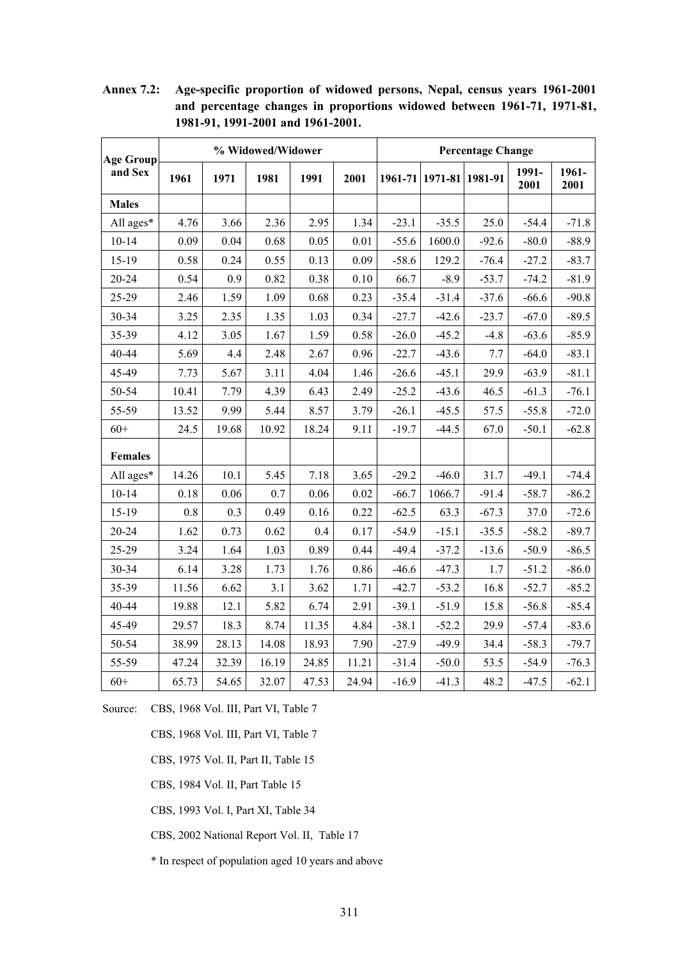| <b>Age Group</b> | % Widowed/Widower |       |       |       |       | <b>Percentage Change</b> |         |         |               |               |
|------------------|-------------------|-------|-------|-------|-------|--------------------------|---------|---------|---------------|---------------|
| and Sex          | 1961              | 1971  | 1981  | 1991  | 2001  | 1961-71                  | 1971-81 | 1981-91 | 1991-<br>2001 | 1961-<br>2001 |
| <b>Males</b>     |                   |       |       |       |       |                          |         |         |               |               |
| All ages*        | 4.76              | 3.66  | 2.36  | 2.95  | 1.34  | $-23.1$                  | $-35.5$ | 25.0    | $-54.4$       | $-71.8$       |
| $10 - 14$        | 0.09              | 0.04  | 0.68  | 0.05  | 0.01  | $-55.6$                  | 1600.0  | $-92.6$ | $-80.0$       | $-88.9$       |
| 15-19            | 0.58              | 0.24  | 0.55  | 0.13  | 0.09  | $-58.6$                  | 129.2   | $-76.4$ | $-27.2$       | $-83.7$       |
| 20-24            | 0.54              | 0.9   | 0.82  | 0.38  | 0.10  | 66.7                     | $-8.9$  | $-53.7$ | $-74.2$       | $-81.9$       |
| 25-29            | 2.46              | 1.59  | 1.09  | 0.68  | 0.23  | $-35.4$                  | $-31.4$ | $-37.6$ | $-66.6$       | $-90.8$       |
| 30-34            | 3.25              | 2.35  | 1.35  | 1.03  | 0.34  | $-27.7$                  | $-42.6$ | $-23.7$ | $-67.0$       | $-89.5$       |
| 35-39            | 4.12              | 3.05  | 1.67  | 1.59  | 0.58  | $-26.0$                  | $-45.2$ | $-4.8$  | $-63.6$       | $-85.9$       |
| 40-44            | 5.69              | 4.4   | 2.48  | 2.67  | 0.96  | $-22.7$                  | $-43.6$ | 7.7     | $-64.0$       | $-83.1$       |
| 45-49            | 7.73              | 5.67  | 3.11  | 4.04  | 1.46  | $-26.6$                  | $-45.1$ | 29.9    | $-63.9$       | $-81.1$       |
| 50-54            | 10.41             | 7.79  | 4.39  | 6.43  | 2.49  | $-25.2$                  | $-43.6$ | 46.5    | $-61.3$       | $-76.1$       |
| 55-59            | 13.52             | 9.99  | 5.44  | 8.57  | 3.79  | $-26.1$                  | $-45.5$ | 57.5    | $-55.8$       | $-72.0$       |
| $60+$            | 24.5              | 19.68 | 10.92 | 18.24 | 9.11  | $-19.7$                  | $-44.5$ | 67.0    | $-50.1$       | $-62.8$       |
| <b>Females</b>   |                   |       |       |       |       |                          |         |         |               |               |
| All ages*        | 14.26             | 10.1  | 5.45  | 7.18  | 3.65  | $-29.2$                  | $-46.0$ | 31.7    | $-49.1$       | $-74.4$       |
| $10 - 14$        | 0.18              | 0.06  | 0.7   | 0.06  | 0.02  | $-66.7$                  | 1066.7  | $-91.4$ | $-58.7$       | $-86.2$       |
| 15-19            | 0.8               | 0.3   | 0.49  | 0.16  | 0.22  | $-62.5$                  | 63.3    | $-67.3$ | 37.0          | $-72.6$       |
| 20-24            | 1.62              | 0.73  | 0.62  | 0.4   | 0.17  | $-54.9$                  | $-15.1$ | $-35.5$ | $-58.2$       | $-89.7$       |
| 25-29            | 3.24              | 1.64  | 1.03  | 0.89  | 0.44  | $-49.4$                  | $-37.2$ | $-13.6$ | $-50.9$       | $-86.5$       |
| 30-34            | 6.14              | 3.28  | 1.73  | 1.76  | 0.86  | $-46.6$                  | $-47.3$ | 1.7     | $-51.2$       | $-86.0$       |
| 35-39            | 11.56             | 6.62  | 3.1   | 3.62  | 1.71  | $-42.7$                  | $-53.2$ | 16.8    | $-52.7$       | $-85.2$       |
| 40-44            | 19.88             | 12.1  | 5.82  | 6.74  | 2.91  | $-39.1$                  | $-51.9$ | 15.8    | $-56.8$       | $-85.4$       |
| 45-49            | 29.57             | 18.3  | 8.74  | 11.35 | 4.84  | $-38.1$                  | $-52.2$ | 29.9    | $-57.4$       | $-83.6$       |
| 50-54            | 38.99             | 28.13 | 14.08 | 18.93 | 7.90  | $-27.9$                  | $-49.9$ | 34.4    | $-58.3$       | $-79.7$       |
| 55-59            | 47.24             | 32.39 | 16.19 | 24.85 | 11.21 | $-31.4$                  | $-50.0$ | 53.5    | $-54.9$       | $-76.3$       |
| $60+$            | 65.73             | 54.65 | 32.07 | 47.53 | 24.94 | $-16.9$                  | $-41.3$ | 48.2    | $-47.5$       | $-62.1$       |

**Annex 7.2: Age-specific proportion of widowed persons, Nepal, census years 1961-2001 and percentage changes in proportions widowed between 1961-71, 1971-81, 1981-91, 1991-2001 and 1961-2001.** 

Source: CBS, 1968 Vol. III, Part VI, Table 7

CBS, 1968 Vol. III, Part VI, Table 7

CBS, 1975 Vol. II, Part II, Table 15

CBS, 1984 Vol. II, Part Table 15

CBS, 1993 Vol. I, Part XI, Table 34

CBS, 2002 National Report Vol. II, Table 17

\* In respect of population aged 10 years and above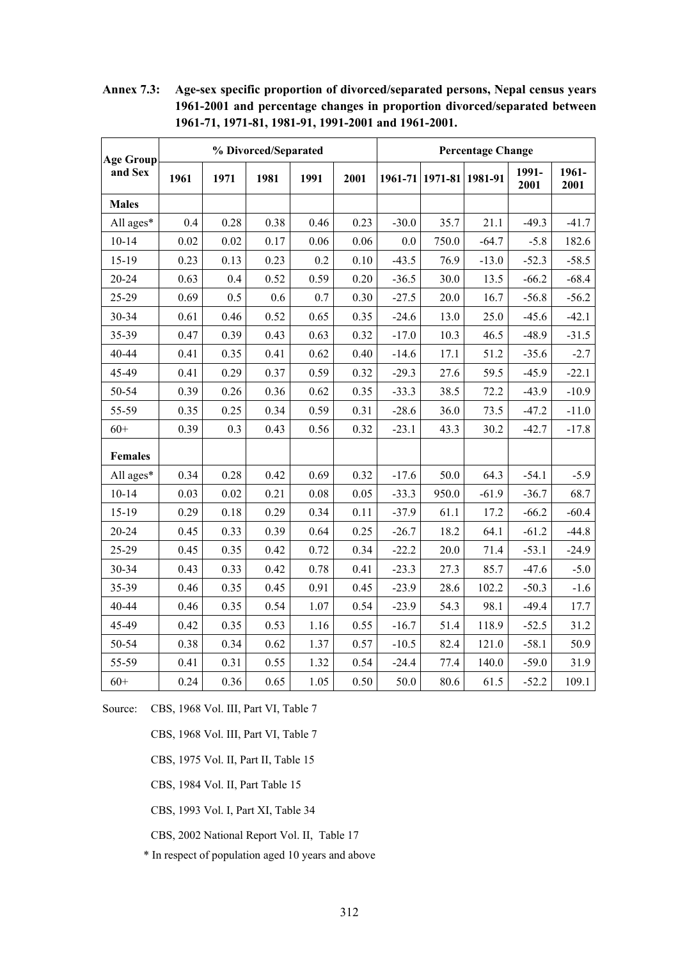| <b>Age Group</b> | % Divorced/Separated |      |      |      |      | <b>Percentage Change</b> |                         |         |               |               |
|------------------|----------------------|------|------|------|------|--------------------------|-------------------------|---------|---------------|---------------|
| and Sex          | 1961                 | 1971 | 1981 | 1991 | 2001 |                          | 1961-71 1971-81 1981-91 |         | 1991-<br>2001 | 1961-<br>2001 |
| <b>Males</b>     |                      |      |      |      |      |                          |                         |         |               |               |
| All ages*        | 0.4                  | 0.28 | 0.38 | 0.46 | 0.23 | $-30.0$                  | 35.7                    | 21.1    | $-49.3$       | $-41.7$       |
| $10 - 14$        | 0.02                 | 0.02 | 0.17 | 0.06 | 0.06 | $0.0\,$                  | 750.0                   | $-64.7$ | $-5.8$        | 182.6         |
| 15-19            | 0.23                 | 0.13 | 0.23 | 0.2  | 0.10 | $-43.5$                  | 76.9                    | $-13.0$ | $-52.3$       | $-58.5$       |
| 20-24            | 0.63                 | 0.4  | 0.52 | 0.59 | 0.20 | $-36.5$                  | 30.0                    | 13.5    | $-66.2$       | $-68.4$       |
| 25-29            | 0.69                 | 0.5  | 0.6  | 0.7  | 0.30 | $-27.5$                  | 20.0                    | 16.7    | $-56.8$       | $-56.2$       |
| 30-34            | 0.61                 | 0.46 | 0.52 | 0.65 | 0.35 | $-24.6$                  | 13.0                    | 25.0    | $-45.6$       | $-42.1$       |
| 35-39            | 0.47                 | 0.39 | 0.43 | 0.63 | 0.32 | $-17.0$                  | 10.3                    | 46.5    | $-48.9$       | $-31.5$       |
| 40-44            | 0.41                 | 0.35 | 0.41 | 0.62 | 0.40 | $-14.6$                  | 17.1                    | 51.2    | $-35.6$       | $-2.7$        |
| 45-49            | 0.41                 | 0.29 | 0.37 | 0.59 | 0.32 | $-29.3$                  | 27.6                    | 59.5    | $-45.9$       | $-22.1$       |
| 50-54            | 0.39                 | 0.26 | 0.36 | 0.62 | 0.35 | $-33.3$                  | 38.5                    | 72.2    | $-43.9$       | $-10.9$       |
| 55-59            | 0.35                 | 0.25 | 0.34 | 0.59 | 0.31 | $-28.6$                  | 36.0                    | 73.5    | $-47.2$       | $-11.0$       |
| $60+$            | 0.39                 | 0.3  | 0.43 | 0.56 | 0.32 | $-23.1$                  | 43.3                    | 30.2    | $-42.7$       | $-17.8$       |
| <b>Females</b>   |                      |      |      |      |      |                          |                         |         |               |               |
| All ages*        | 0.34                 | 0.28 | 0.42 | 0.69 | 0.32 | $-17.6$                  | 50.0                    | 64.3    | $-54.1$       | $-5.9$        |
| $10 - 14$        | 0.03                 | 0.02 | 0.21 | 0.08 | 0.05 | $-33.3$                  | 950.0                   | $-61.9$ | $-36.7$       | 68.7          |
| 15-19            | 0.29                 | 0.18 | 0.29 | 0.34 | 0.11 | $-37.9$                  | 61.1                    | 17.2    | $-66.2$       | $-60.4$       |
| 20-24            | 0.45                 | 0.33 | 0.39 | 0.64 | 0.25 | $-26.7$                  | 18.2                    | 64.1    | $-61.2$       | $-44.8$       |
| 25-29            | 0.45                 | 0.35 | 0.42 | 0.72 | 0.34 | $-22.2$                  | 20.0                    | 71.4    | $-53.1$       | $-24.9$       |
| 30-34            | 0.43                 | 0.33 | 0.42 | 0.78 | 0.41 | $-23.3$                  | 27.3                    | 85.7    | $-47.6$       | $-5.0$        |
| 35-39            | 0.46                 | 0.35 | 0.45 | 0.91 | 0.45 | $-23.9$                  | 28.6                    | 102.2   | $-50.3$       | $-1.6$        |
| 40-44            | 0.46                 | 0.35 | 0.54 | 1.07 | 0.54 | $-23.9$                  | 54.3                    | 98.1    | $-49.4$       | 17.7          |
| 45-49            | 0.42                 | 0.35 | 0.53 | 1.16 | 0.55 | $-16.7$                  | 51.4                    | 118.9   | $-52.5$       | 31.2          |
| 50-54            | 0.38                 | 0.34 | 0.62 | 1.37 | 0.57 | $-10.5$                  | 82.4                    | 121.0   | $-58.1$       | 50.9          |
| 55-59            | 0.41                 | 0.31 | 0.55 | 1.32 | 0.54 | $-24.4$                  | 77.4                    | 140.0   | $-59.0$       | 31.9          |
| $60+$            | 0.24                 | 0.36 | 0.65 | 1.05 | 0.50 | 50.0                     | 80.6                    | 61.5    | $-52.2$       | 109.1         |

**Annex 7.3: Age-sex specific proportion of divorced/separated persons, Nepal census years 1961-2001 and percentage changes in proportion divorced/separated between 1961-71, 1971-81, 1981-91, 1991-2001 and 1961-2001.** 

Source: CBS, 1968 Vol. III, Part VI, Table 7

CBS, 1968 Vol. III, Part VI, Table 7

CBS, 1975 Vol. II, Part II, Table 15

CBS, 1984 Vol. II, Part Table 15

CBS, 1993 Vol. I, Part XI, Table 34

CBS, 2002 National Report Vol. II, Table 17

\* In respect of population aged 10 years and above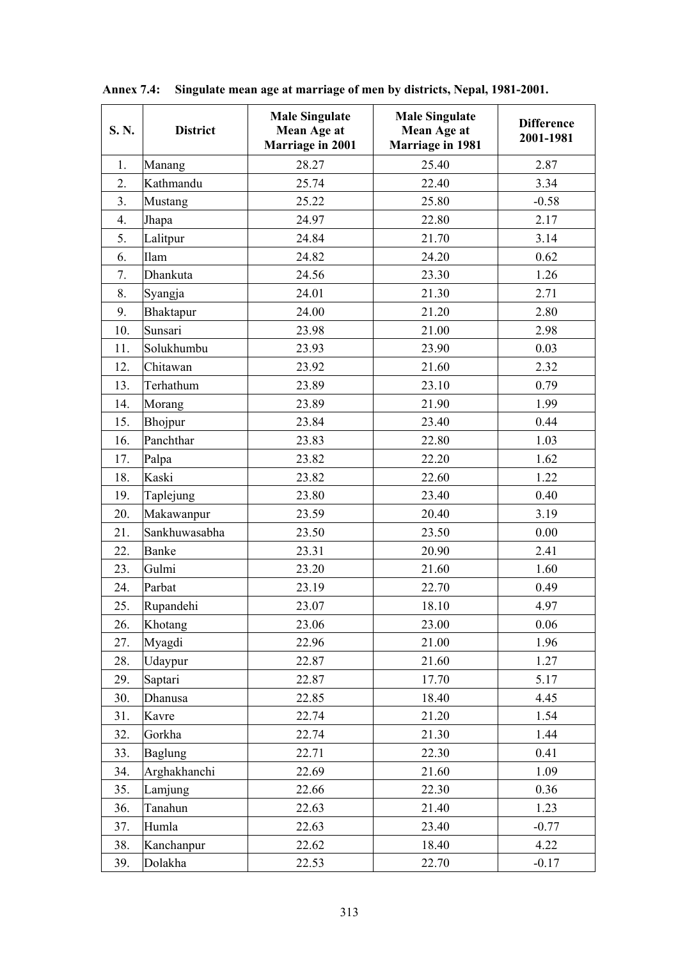| S. N.            | <b>District</b> | <b>Male Singulate</b><br>Mean Age at<br>Marriage in 2001 | <b>Male Singulate</b><br>Mean Age at<br><b>Marriage in 1981</b> | <b>Difference</b><br>2001-1981 |
|------------------|-----------------|----------------------------------------------------------|-----------------------------------------------------------------|--------------------------------|
| 1.               | Manang          | 28.27                                                    | 25.40                                                           | 2.87                           |
| $\overline{2}$ . | Kathmandu       | 25.74                                                    | 22.40                                                           | 3.34                           |
| 3.               | Mustang         | 25.22                                                    | 25.80                                                           | $-0.58$                        |
| 4.               | Jhapa           | 24.97                                                    | 22.80                                                           | 2.17                           |
| 5.               | Lalitpur        | 24.84                                                    | 21.70                                                           | 3.14                           |
| 6.               | Ilam            | 24.82                                                    | 24.20                                                           | 0.62                           |
| 7.               | Dhankuta        | 24.56                                                    | 23.30                                                           | 1.26                           |
| 8.               | Syangja         | 24.01                                                    | 21.30                                                           | 2.71                           |
| 9.               | Bhaktapur       | 24.00                                                    | 21.20                                                           | 2.80                           |
| 10.              | Sunsari         | 23.98                                                    | 21.00                                                           | 2.98                           |
| 11.              | Solukhumbu      | 23.93                                                    | 23.90                                                           | 0.03                           |
| 12.              | Chitawan        | 23.92                                                    | 21.60                                                           | 2.32                           |
| 13.              | Terhathum       | 23.89                                                    | 23.10                                                           | 0.79                           |
| 14.              | Morang          | 23.89                                                    | 21.90                                                           | 1.99                           |
| 15.              | Bhojpur         | 23.84                                                    | 23.40                                                           | 0.44                           |
| 16.              | Panchthar       | 23.83                                                    | 22.80                                                           | 1.03                           |
| 17.              | Palpa           | 23.82                                                    | 22.20                                                           | 1.62                           |
| 18.              | Kaski           | 23.82                                                    | 22.60                                                           | 1.22                           |
| 19.              | Taplejung       | 23.80                                                    | 23.40                                                           | 0.40                           |
| 20.              | Makawanpur      | 23.59                                                    | 20.40                                                           | 3.19                           |
| 21.              | Sankhuwasabha   | 23.50                                                    | 23.50                                                           | 0.00                           |
| 22.              | Banke           | 23.31                                                    | 20.90                                                           | 2.41                           |
| 23.              | Gulmi           | 23.20                                                    | 21.60                                                           | 1.60                           |
| 24.              | Parbat          | 23.19                                                    | 22.70                                                           | 0.49                           |
| 25.              | Rupandehi       | 23.07                                                    | 18.10                                                           | 4.97                           |
| 26.              | Khotang         | 23.06                                                    | 23.00                                                           | 0.06                           |
| 27.              | Myagdi          | 22.96                                                    | 21.00                                                           | 1.96                           |
| 28.              | Udaypur         | 22.87                                                    | 21.60                                                           | 1.27                           |
| 29.              | Saptari         | 22.87                                                    | 17.70                                                           | 5.17                           |
| 30.              | Dhanusa         | 22.85                                                    | 18.40                                                           | 4.45                           |
| 31.              | Kavre           | 22.74                                                    | 21.20                                                           | 1.54                           |
| 32.              | Gorkha          | 22.74                                                    | 21.30                                                           | 1.44                           |
| 33.              | <b>Baglung</b>  | 22.71                                                    | 22.30                                                           | 0.41                           |
| 34.              | Arghakhanchi    | 22.69                                                    | 21.60                                                           | 1.09                           |
| 35.              | Lamjung         | 22.66                                                    | 22.30                                                           | 0.36                           |
| 36.              | Tanahun         | 22.63                                                    | 21.40                                                           | 1.23                           |
| 37.              | Humla           | 22.63                                                    | 23.40                                                           | $-0.77$                        |
| 38.              | Kanchanpur      | 22.62                                                    | 18.40                                                           | 4.22                           |
| 39.              | Dolakha         | 22.53                                                    | 22.70                                                           | $-0.17$                        |

**Annex 7.4: Singulate mean age at marriage of men by districts, Nepal, 1981-2001.**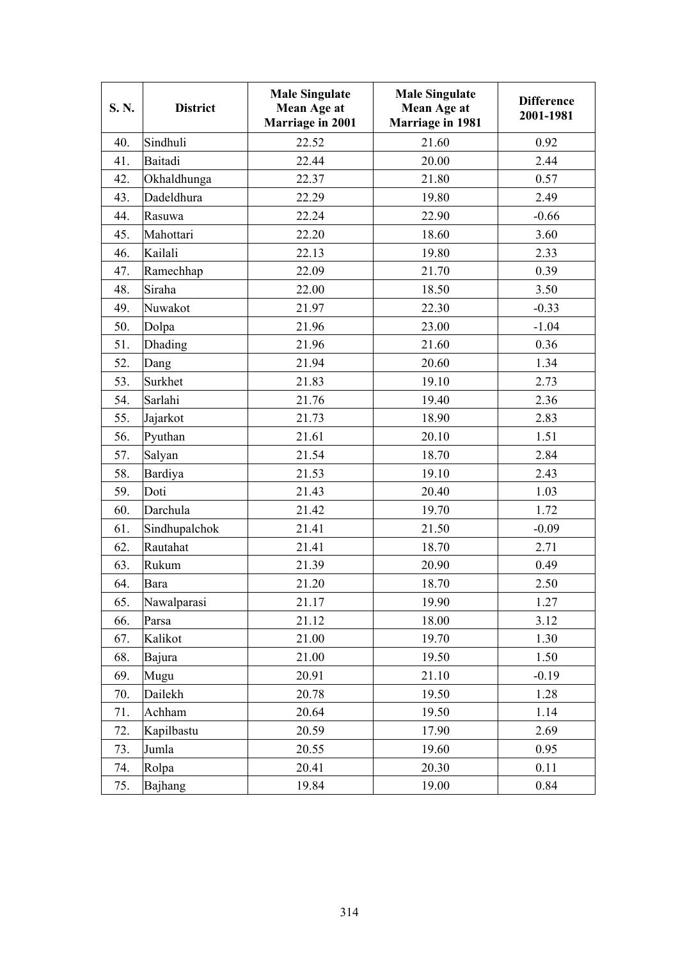| S.N. | <b>District</b> | <b>Male Singulate</b><br>Mean Age at<br><b>Marriage in 2001</b> | <b>Male Singulate</b><br>Mean Age at<br><b>Marriage in 1981</b> | <b>Difference</b><br>2001-1981 |
|------|-----------------|-----------------------------------------------------------------|-----------------------------------------------------------------|--------------------------------|
| 40.  | Sindhuli        | 22.52                                                           | 21.60                                                           | 0.92                           |
| 41.  | Baitadi         | 22.44                                                           | 20.00                                                           | 2.44                           |
| 42.  | Okhaldhunga     | 22.37                                                           | 21.80                                                           | 0.57                           |
| 43.  | Dadeldhura      | 22.29                                                           | 19.80                                                           | 2.49                           |
| 44.  | Rasuwa          | 22.24                                                           | 22.90                                                           | $-0.66$                        |
| 45.  | Mahottari       | 22.20                                                           | 18.60                                                           | 3.60                           |
| 46.  | Kailali         | 22.13                                                           | 19.80                                                           | 2.33                           |
| 47.  | Ramechhap       | 22.09                                                           | 21.70                                                           | 0.39                           |
| 48.  | Siraha          | 22.00                                                           | 18.50                                                           | 3.50                           |
| 49.  | Nuwakot         | 21.97                                                           | 22.30                                                           | $-0.33$                        |
| 50.  | Dolpa           | 21.96                                                           | 23.00                                                           | $-1.04$                        |
| 51.  | Dhading         | 21.96                                                           | 21.60                                                           | 0.36                           |
| 52.  | Dang            | 21.94                                                           | 20.60                                                           | 1.34                           |
| 53.  | Surkhet         | 21.83                                                           | 19.10                                                           | 2.73                           |
| 54.  | Sarlahi         | 21.76                                                           | 19.40                                                           | 2.36                           |
| 55.  | Jajarkot        | 21.73                                                           | 18.90                                                           | 2.83                           |
| 56.  | Pyuthan         | 21.61                                                           | 20.10                                                           | 1.51                           |
| 57.  | Salyan          | 21.54                                                           | 18.70                                                           | 2.84                           |
| 58.  | Bardiya         | 21.53                                                           | 19.10                                                           | 2.43                           |
| 59.  | Doti            | 21.43                                                           | 20.40                                                           | 1.03                           |
| 60.  | Darchula        | 21.42                                                           | 19.70                                                           | 1.72                           |
| 61.  | Sindhupalchok   | 21.41                                                           | 21.50                                                           | $-0.09$                        |
| 62.  | Rautahat        | 21.41                                                           | 18.70                                                           | 2.71                           |
| 63.  | Rukum           | 21.39                                                           | 20.90                                                           | 0.49                           |
| 64.  | Bara            | 21.20                                                           | 18.70                                                           | 2.50                           |
| 65.  | Nawalparasi     | 21.17                                                           | 19.90                                                           | 1.27                           |
| 66.  | Parsa           | 21.12                                                           | 18.00                                                           | 3.12                           |
| 67.  | Kalikot         | 21.00                                                           | 19.70                                                           | 1.30                           |
| 68.  | Bajura          | 21.00                                                           | 19.50                                                           | 1.50                           |
| 69.  | Mugu            | 20.91                                                           | 21.10                                                           | $-0.19$                        |
| 70.  | Dailekh         | 20.78                                                           | 19.50                                                           | 1.28                           |
| 71.  | Achham          | 20.64                                                           | 19.50                                                           | 1.14                           |
| 72.  | Kapilbastu      | 20.59                                                           | 17.90                                                           | 2.69                           |
| 73.  | Jumla           | 20.55                                                           | 19.60                                                           | 0.95                           |
| 74.  | Rolpa           | 20.41                                                           | 20.30                                                           | 0.11                           |
| 75.  | Bajhang         | 19.84                                                           | 19.00                                                           | 0.84                           |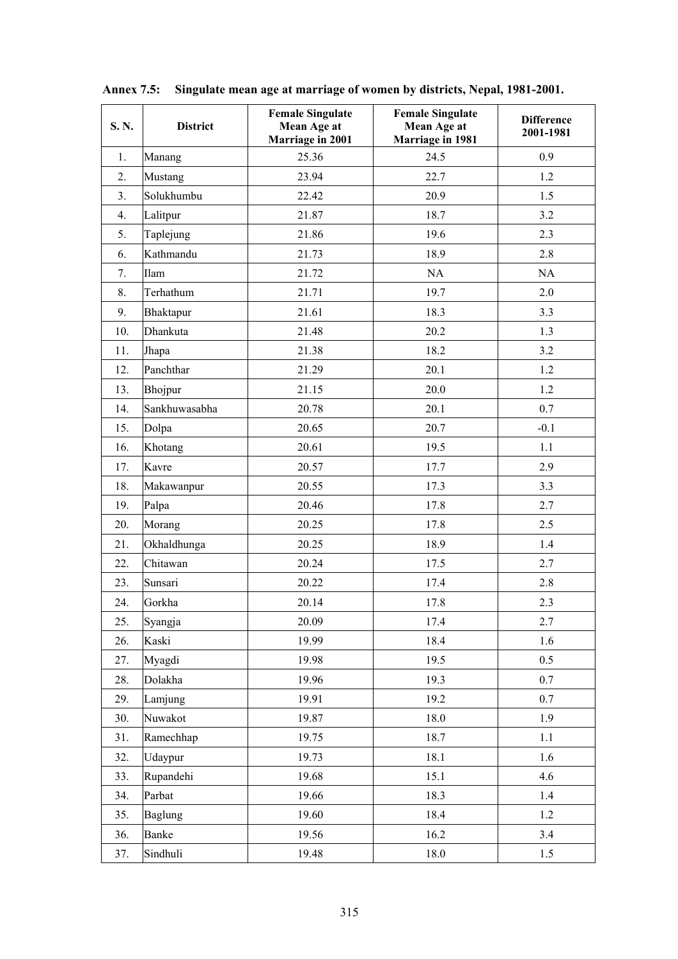| S.N. | <b>District</b> | <b>Female Singulate</b><br>Mean Age at<br>Marriage in 2001 | <b>Female Singulate</b><br>Mean Age at<br>Marriage in 1981 | <b>Difference</b><br>2001-1981 |
|------|-----------------|------------------------------------------------------------|------------------------------------------------------------|--------------------------------|
| 1.   | Manang          | 25.36                                                      | 24.5                                                       | 0.9                            |
| 2.   | Mustang         | 23.94                                                      | 22.7                                                       | 1.2                            |
| 3.   | Solukhumbu      | 22.42                                                      | 20.9                                                       | 1.5                            |
| 4.   | Lalitpur        | 21.87                                                      | 18.7                                                       | 3.2                            |
| 5.   | Taplejung       | 21.86                                                      | 19.6                                                       | 2.3                            |
| 6.   | Kathmandu       | 21.73                                                      | 18.9                                                       | 2.8                            |
| 7.   | Ilam            | 21.72                                                      | NA                                                         | NA                             |
| 8.   | Terhathum       | 21.71                                                      | 19.7                                                       | 2.0                            |
| 9.   | Bhaktapur       | 21.61                                                      | 18.3                                                       | 3.3                            |
| 10.  | Dhankuta        | 21.48                                                      | 20.2                                                       | 1.3                            |
| 11.  | Jhapa           | 21.38                                                      | 18.2                                                       | 3.2                            |
| 12.  | Panchthar       | 21.29                                                      | 20.1                                                       | 1.2                            |
| 13.  | Bhojpur         | 21.15                                                      | 20.0                                                       | 1.2                            |
| 14.  | Sankhuwasabha   | 20.78                                                      | 20.1                                                       | 0.7                            |
| 15.  | Dolpa           | 20.65                                                      | 20.7                                                       | $-0.1$                         |
| 16.  | Khotang         | 20.61                                                      | 19.5                                                       | 1.1                            |
| 17.  | Kavre           | 20.57                                                      | 17.7                                                       | 2.9                            |
| 18.  | Makawanpur      | 20.55                                                      | 17.3                                                       | 3.3                            |
| 19.  | Palpa           | 20.46                                                      | 17.8                                                       | 2.7                            |
| 20.  | Morang          | 20.25                                                      | 17.8                                                       | 2.5                            |
| 21.  | Okhaldhunga     | 20.25                                                      | 18.9                                                       | 1.4                            |
| 22.  | Chitawan        | 20.24                                                      | 17.5                                                       | 2.7                            |
| 23.  | Sunsari         | 20.22                                                      | 17.4                                                       | 2.8                            |
| 24.  | Gorkha          | 20.14                                                      | 17.8                                                       | 2.3                            |
| 25.  | Syangja         | 20.09                                                      | 17.4                                                       | 2.7                            |
| 26.  | Kaski           | 19.99                                                      | 18.4                                                       | 1.6                            |
| 27.  | Myagdi          | 19.98                                                      | 19.5                                                       | 0.5                            |
| 28.  | Dolakha         | 19.96                                                      | 19.3                                                       | 0.7                            |
| 29.  | Lamjung         | 19.91                                                      | 19.2                                                       | 0.7                            |
| 30.  | Nuwakot         | 19.87                                                      | 18.0                                                       | 1.9                            |
| 31.  | Ramechhap       | 19.75                                                      | 18.7                                                       | 1.1                            |
| 32.  | Udaypur         | 19.73                                                      | 18.1                                                       | 1.6                            |
| 33.  | Rupandehi       | 19.68                                                      | 15.1                                                       | 4.6                            |
| 34.  | Parbat          | 19.66                                                      | 18.3                                                       | 1.4                            |
| 35.  | <b>Baglung</b>  | 19.60                                                      | 18.4                                                       | 1.2                            |
| 36.  | Banke           | 19.56                                                      | 16.2                                                       | 3.4                            |
| 37.  | Sindhuli        | 19.48                                                      | 18.0                                                       | $1.5\,$                        |

**Annex 7.5: Singulate mean age at marriage of women by districts, Nepal, 1981-2001.**